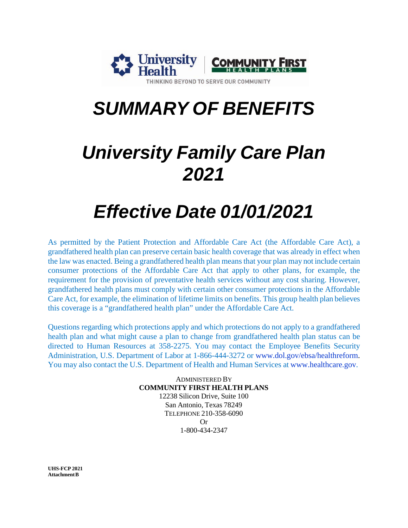

# *SUMMARY OF BENEFITS*

# *University Family Care Plan 2021*

# *Effective Date 01/01/2021*

As permitted by the Patient Protection and Affordable Care Act (the Affordable Care Act), a grandfathered health plan can preserve certain basic health coverage that was already in effect when the law was enacted. Being a grandfathered health plan meansthat your plan may not include certain consumer protections of the Affordable Care Act that apply to other plans, for example, the requirement for the provision of preventative health services without any cost sharing. However, grandfathered health plans must comply with certain other consumer protections in the Affordable Care Act, for example, the elimination of lifetime limits on benefits. This group health plan believes this coverage is a "grandfathered health plan" under the Affordable Care Act.

Questions regarding which protections apply and which protections do not apply to a grandfathered health plan and what might cause a plan to change from grandfathered health plan status can be directed to Human Resources at 358-2275. You may contact the Employee Benefits Security Administration, U.S. Department of Labor at 1-866-444-3272 or [www.dol.gov/ebsa/healthreform.](http://www.dol.gov/ebsa/healthreform) You may also contact the U.S. Department of Health and Human Services at [www.healthcare.gov.](http://www.healthcare.gov/)

> ADMINISTERED BY **COMMUNITY FIRST HEALTH PLANS** 12238 Silicon Drive, Suite 100 San Antonio, Texas 78249 TELEPHONE 210-358-6090 Or 1-800-434-2347

**UHS-FCP 2021 Attachment B**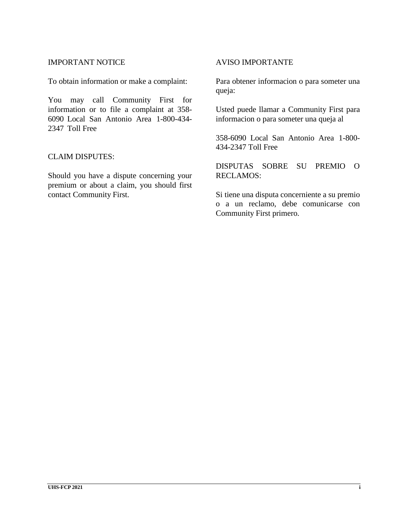#### IMPORTANT NOTICE

To obtain information or make a complaint:

You may call Community First for information or to file a complaint at 358- 6090 Local San Antonio Area 1-800-434- 2347 Toll Free

#### CLAIM DISPUTES:

Should you have a dispute concerning your premium or about a claim, you should first contact Community First.

#### AVISO IMPORTANTE

Para obtener informacion o para someter una queja:

Usted puede llamar a Community First para informacion o para someter una queja al

358-6090 Local San Antonio Area 1-800- 434-2347 Toll Free

DISPUTAS SOBRE SU PREMIO O RECLAMOS:

Si tiene una disputa concerniente a su premio o a un reclamo, debe comunicarse con Community First primero.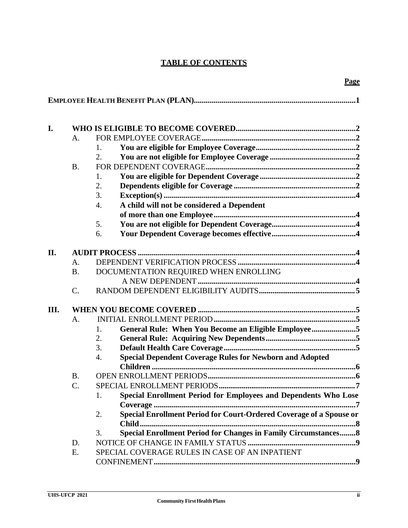# **TABLE OF CONTENTS**

| I.   |           |                                                                              |  |  |  |
|------|-----------|------------------------------------------------------------------------------|--|--|--|
|      | A.        |                                                                              |  |  |  |
|      |           | 1.                                                                           |  |  |  |
|      |           | 2.                                                                           |  |  |  |
|      | <b>B.</b> |                                                                              |  |  |  |
|      |           | 1.                                                                           |  |  |  |
|      |           | 2.                                                                           |  |  |  |
|      |           | 3.                                                                           |  |  |  |
|      |           | A child will not be considered a Dependent<br>4.                             |  |  |  |
|      |           |                                                                              |  |  |  |
|      |           | 5.                                                                           |  |  |  |
|      |           | 6.                                                                           |  |  |  |
|      |           |                                                                              |  |  |  |
| II.  |           |                                                                              |  |  |  |
|      | A.        |                                                                              |  |  |  |
|      | <b>B.</b> | DOCUMENTATION REQUIRED WHEN ENROLLING                                        |  |  |  |
|      |           |                                                                              |  |  |  |
|      | $C$ .     |                                                                              |  |  |  |
| III. |           |                                                                              |  |  |  |
|      | A.        |                                                                              |  |  |  |
|      |           | General Rule: When You Become an Eligible Employee5<br>1.                    |  |  |  |
|      |           | 2.                                                                           |  |  |  |
|      |           | 3.                                                                           |  |  |  |
|      |           | <b>Special Dependent Coverage Rules for Newborn and Adopted</b><br>4.        |  |  |  |
|      |           |                                                                              |  |  |  |
|      | <b>B.</b> |                                                                              |  |  |  |
|      | C.        |                                                                              |  |  |  |
|      |           | Special Enrollment Period for Employees and Dependents Who Lose<br>1.        |  |  |  |
|      |           |                                                                              |  |  |  |
|      |           | Special Enrollment Period for Court-Ordered Coverage of a Spouse or<br>2.    |  |  |  |
|      |           | <b>Child</b>                                                                 |  |  |  |
|      |           | <b>Special Enrollment Period for Changes in Family Circumstances 8</b><br>3. |  |  |  |
|      | D.        |                                                                              |  |  |  |
|      | Ε.        | SPECIAL COVERAGE RULES IN CASE OF AN INPATIENT                               |  |  |  |
|      |           |                                                                              |  |  |  |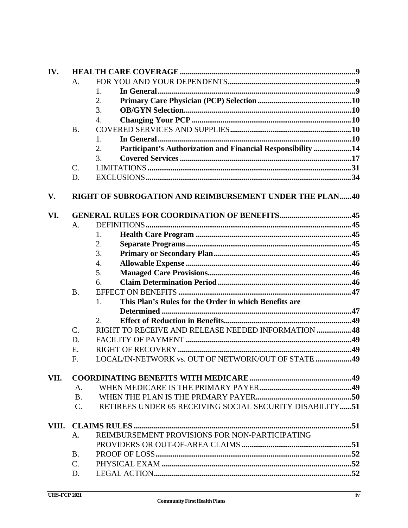| IV.  |             |                                                                   |  |  |
|------|-------------|-------------------------------------------------------------------|--|--|
|      | A.          |                                                                   |  |  |
|      |             | 1.                                                                |  |  |
|      |             | 2.                                                                |  |  |
|      |             | 3.                                                                |  |  |
|      |             | $\overline{4}$ .                                                  |  |  |
|      | <b>B.</b>   |                                                                   |  |  |
|      |             | 1.                                                                |  |  |
|      |             | Participant's Authorization and Financial Responsibility 14<br>2. |  |  |
|      |             | 3.                                                                |  |  |
|      | $C$ .       |                                                                   |  |  |
|      | D.          |                                                                   |  |  |
| V.   |             | RIGHT OF SUBROGATION AND REIMBURSEMENT UNDER THE PLAN40           |  |  |
| VI.  |             | <b>GENERAL RULES FOR COORDINATION OF BENEFITS45</b>               |  |  |
|      | A.          |                                                                   |  |  |
|      |             | 1.                                                                |  |  |
|      |             | 2.                                                                |  |  |
|      |             | 3.                                                                |  |  |
|      |             | 4.                                                                |  |  |
|      |             | 5.                                                                |  |  |
|      |             | 6.                                                                |  |  |
|      | <b>B.</b>   |                                                                   |  |  |
|      |             | This Plan's Rules for the Order in which Benefits are<br>1.       |  |  |
|      |             |                                                                   |  |  |
|      |             | 2.                                                                |  |  |
|      | C.          | RIGHT TO RECEIVE AND RELEASE NEEDED INFORMATION48                 |  |  |
|      | D.          |                                                                   |  |  |
|      | Ε.          |                                                                   |  |  |
|      | F.          | LOCAL/IN-NETWORK vs. OUT OF NETWORK/OUT OF STATE 49               |  |  |
| VII. |             |                                                                   |  |  |
|      | A.          |                                                                   |  |  |
|      | <b>B.</b>   |                                                                   |  |  |
|      | $C_{\cdot}$ | RETIREES UNDER 65 RECEIVING SOCIAL SECURITY DISABILITY51          |  |  |
|      |             |                                                                   |  |  |
|      | A.          | REIMBURSEMENT PROVISIONS FOR NON-PARTICIPATING                    |  |  |
|      |             |                                                                   |  |  |
|      | <b>B.</b>   |                                                                   |  |  |
|      | $C_{\cdot}$ |                                                                   |  |  |
|      | D.          |                                                                   |  |  |
|      |             |                                                                   |  |  |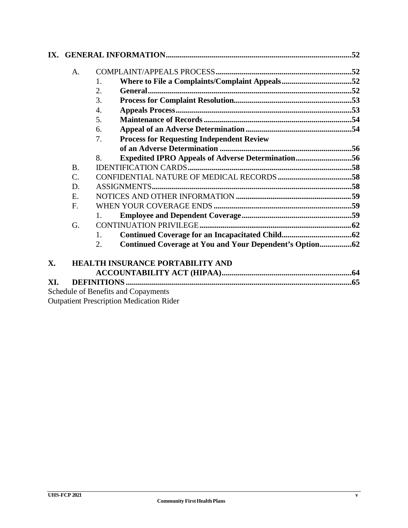|     | A.              |                                                                |  |
|-----|-----------------|----------------------------------------------------------------|--|
|     |                 | 1.                                                             |  |
|     |                 | 2.                                                             |  |
|     |                 | 3.                                                             |  |
|     |                 | 4.                                                             |  |
|     |                 | 5.                                                             |  |
|     |                 | 6.                                                             |  |
|     |                 | <b>Process for Requesting Independent Review</b><br>7.         |  |
|     |                 |                                                                |  |
|     |                 | <b>Expedited IPRO Appeals of Adverse Determination56</b><br>8. |  |
|     | <b>B.</b>       |                                                                |  |
|     | $\mathcal{C}$ . |                                                                |  |
|     | D.              |                                                                |  |
|     | E.              |                                                                |  |
| F.  |                 |                                                                |  |
|     |                 |                                                                |  |
|     | G.              |                                                                |  |
|     |                 | $\mathbf{1}$ .                                                 |  |
|     |                 | 2.                                                             |  |
| X.  |                 | <b>HEALTH INSURANCE PORTABILITY AND</b>                        |  |
|     |                 |                                                                |  |
| XI. |                 |                                                                |  |
|     |                 | Schedule of Renefits and Conayments                            |  |

Schedule of Benefits and Copayments Outpatient Prescription Medication Rider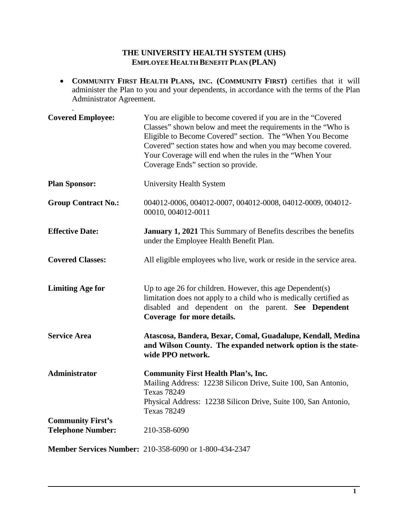## **THE UNIVERSITY HEALTH SYSTEM (UHS) EMPLOYEEHEALTH BENEFIT PLAN (PLAN)**

• **COMMUNITY FIRST HEALTH PLANS, INC. (COMMUNITY FIRST)** certifies that it will administer the Plan to you and your dependents, in accordance with the terms of the Plan Administrator Agreement.

.

| <b>Covered Employee:</b>                             | You are eligible to become covered if you are in the "Covered"<br>Classes" shown below and meet the requirements in the "Who is<br>Eligible to Become Covered" section. The "When You Become<br>Covered" section states how and when you may become covered.<br>Your Coverage will end when the rules in the "When Your<br>Coverage Ends" section so provide. |
|------------------------------------------------------|---------------------------------------------------------------------------------------------------------------------------------------------------------------------------------------------------------------------------------------------------------------------------------------------------------------------------------------------------------------|
| <b>Plan Sponsor:</b>                                 | University Health System                                                                                                                                                                                                                                                                                                                                      |
| <b>Group Contract No.:</b>                           | 004012-0006, 004012-0007, 004012-0008, 04012-0009, 004012-<br>00010, 004012-0011                                                                                                                                                                                                                                                                              |
| <b>Effective Date:</b>                               | <b>January 1, 2021</b> This Summary of Benefits describes the benefits<br>under the Employee Health Benefit Plan.                                                                                                                                                                                                                                             |
| <b>Covered Classes:</b>                              | All eligible employees who live, work or reside in the service area.                                                                                                                                                                                                                                                                                          |
| <b>Limiting Age for</b>                              | Up to age 26 for children. However, this age Dependent(s)<br>limitation does not apply to a child who is medically certified as<br>disabled and dependent on the parent. See Dependent<br>Coverage for more details.                                                                                                                                          |
| <b>Service Area</b>                                  | Atascosa, Bandera, Bexar, Comal, Guadalupe, Kendall, Medina<br>and Wilson County. The expanded network option is the state-<br>wide PPO network.                                                                                                                                                                                                              |
| Administrator                                        | <b>Community First Health Plan's, Inc.</b><br>Mailing Address: 12238 Silicon Drive, Suite 100, San Antonio,<br><b>Texas 78249</b><br>Physical Address: 12238 Silicon Drive, Suite 100, San Antonio,<br><b>Texas 78249</b>                                                                                                                                     |
| <b>Community First's</b><br><b>Telephone Number:</b> | 210-358-6090                                                                                                                                                                                                                                                                                                                                                  |
|                                                      |                                                                                                                                                                                                                                                                                                                                                               |

**Member Services Number:** 210-358-6090 or 1-800-434-2347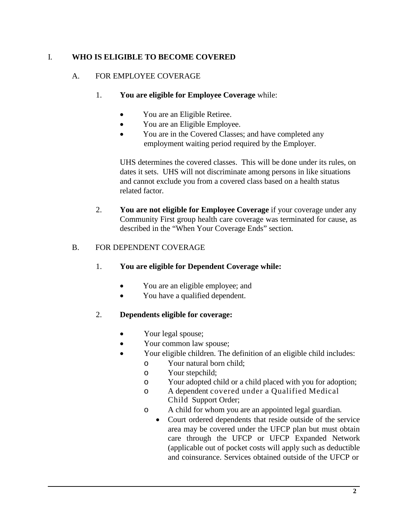# I. **WHO IS ELIGIBLE TO BECOME COVERED**

# A. FOR EMPLOYEE COVERAGE

# 1. **You are eligible for Employee Coverage** while:

- You are an Eligible Retiree.
- You are an Eligible Employee.
- You are in the Covered Classes; and have completed any employment waiting period required by the Employer.

UHS determines the covered classes. This will be done under its rules, on dates it sets. UHS will not discriminate among persons in like situations and cannot exclude you from a covered class based on a health status related factor.

2. **You are not eligible for Employee Coverage** if your coverage under any Community First group health care coverage was terminated for cause, as described in the "When Your Coverage Ends" section.

# B. FOR DEPENDENT COVERAGE

- 1. **You are eligible for Dependent Coverage while:**
	- You are an eligible employee; and
	- You have a qualified dependent.

# 2. **Dependents eligible for coverage:**

- Your legal spouse;
- Your common law spouse;
- Your eligible children. The definition of an eligible child includes:
	- o Your natural born child;
	- o Your stepchild;
	- o Your adopted child or a child placed with you for adoption;
	- o A dependent covered under a Qualified Medical Child Support Order;
	- o A child for whom you are an appointed legal guardian.
		- Court ordered dependents that reside outside of the service area may be covered under the UFCP plan but must obtain care through the UFCP or UFCP Expanded Network (applicable out of pocket costs will apply such as deductible and coinsurance. Services obtained outside of the UFCP or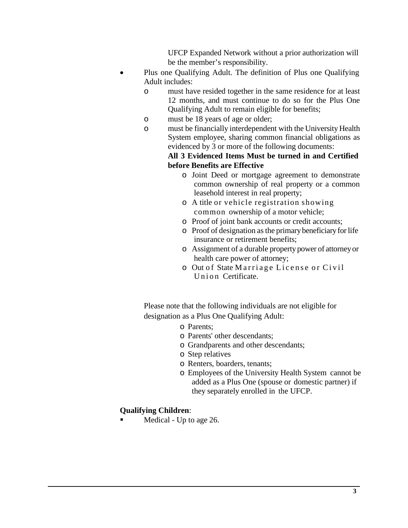UFCP Expanded Network without a prior authorization will be the member's responsibility.

- Plus one Qualifying Adult. The definition of Plus one Qualifying Adult includes:
	- o must have resided together in the same residence for at least 12 months, and must continue to do so for the Plus One Qualifying Adult to remain eligible for benefits;
	- o must be 18 years of age or older;
	- o must be financially interdependent with the University Health System employee, sharing common financial obligations as evidenced by 3 or more of the following documents:

#### **All 3 Evidenced Items Must be turned in and Certified before Benefits are Effective**

- o Joint Deed or mortgage agreement to demonstrate common ownership of real property or a common leasehold interest in real property;
- o A title or vehicle registration showing common ownership of a motor vehicle;
- o Proof of joint bank accounts or credit accounts;
- o Proof of designation asthe primary beneficiaryforlife insurance or retirement benefits;
- o Assignment of a durable property power of attorneyor health care power of attorney;
- o Out of State Marriage License or Civil Union Certificate.

Please note that the following individuals are not eligible for designation as a Plus One Qualifying Adult:

- o Parents;
- o Parents' other descendants;
- o Grandparents and other descendants;
- o Step relatives
- o Renters, boarders, tenants;
- o Employees of the University Health System cannot be added as a Plus One (spouse or domestic partner) if they separately enrolled in the UFCP.

### **Qualifying Children**:

Medical - Up to age 26.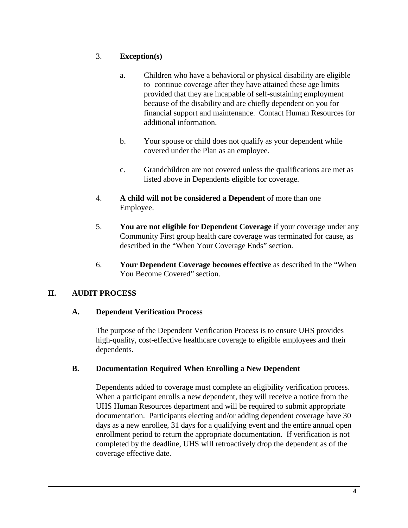# 3. **Exception(s)**

- a. Children who have a behavioral or physical disability are eligible to continue coverage after they have attained these age limits provided that they are incapable of self-sustaining employment because of the disability and are chiefly dependent on you for financial support and maintenance. Contact Human Resources for additional information.
- b. Your spouse or child does not qualify as your dependent while covered under the Plan as an employee.
- c. Grandchildren are not covered unless the qualifications are met as listed above in Dependents eligible for coverage.
- 4. **A child will not be considered a Dependent** of more than one Employee.
- 5. **You are not eligible for Dependent Coverage** if your coverage under any Community First group health care coverage was terminated for cause, as described in the "When Your Coverage Ends" section.
- 6. **Your Dependent Coverage becomes effective** as described in the "When You Become Covered" section.

# **II. AUDIT PROCESS**

# **A. Dependent Verification Process**

The purpose of the Dependent Verification Process is to ensure UHS provides high-quality, cost-effective healthcare coverage to eligible employees and their dependents.

# **B. Documentation Required When Enrolling a New Dependent**

Dependents added to coverage must complete an eligibility verification process. When a participant enrolls a new dependent, they will receive a notice from the UHS Human Resources department and will be required to submit appropriate documentation. Participants electing and/or adding dependent coverage have 30 days as a new enrollee, 31 days for a qualifying event and the entire annual open enrollment period to return the appropriate documentation. If verification is not completed by the deadline, UHS will retroactively drop the dependent as of the coverage effective date.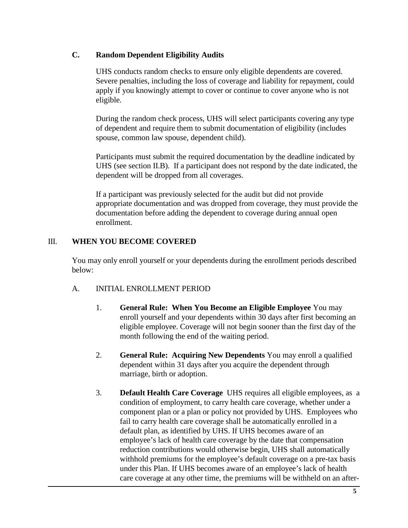# **C. Random Dependent Eligibility Audits**

UHS conducts random checks to ensure only eligible dependents are covered. Severe penalties, including the loss of coverage and liability for repayment, could apply if you knowingly attempt to cover or continue to cover anyone who is not eligible.

During the random check process, UHS will select participants covering any type of dependent and require them to submit documentation of eligibility (includes spouse, common law spouse, dependent child).

Participants must submit the required documentation by the deadline indicated by UHS (see section II.B). If a participant does not respond by the date indicated, the dependent will be dropped from all coverages.

If a participant was previously selected for the audit but did not provide appropriate documentation and was dropped from coverage, they must provide the documentation before adding the dependent to coverage during annual open enrollment.

## III. **WHEN YOU BECOME COVERED**

You may only enroll yourself or your dependents during the enrollment periods described below:

### A. INITIAL ENROLLMENT PERIOD

- 1. **General Rule: When You Become an Eligible Employee** You may enroll yourself and your dependents within 30 days after first becoming an eligible employee. Coverage will not begin sooner than the first day of the month following the end of the waiting period.
- 2. **General Rule: Acquiring New Dependents** You may enroll a qualified dependent within 31 days after you acquire the dependent through marriage, birth or adoption.
- 3. **Default Health Care Coverage** UHS requires all eligible employees, as a condition of employment, to carry health care coverage, whether under a component plan or a plan or policy not provided by UHS. Employees who fail to carry health care coverage shall be automatically enrolled in a default plan, as identified by UHS. If UHS becomes aware of an employee's lack of health care coverage by the date that compensation reduction contributions would otherwise begin, UHS shall automatically withhold premiums for the employee's default coverage on a pre-tax basis under this Plan. If UHS becomes aware of an employee's lack of health care coverage at any other time, the premiums will be withheld on an after-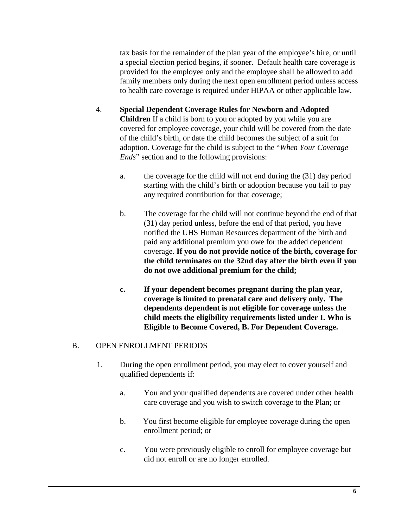tax basis for the remainder of the plan year of the employee's hire, or until a special election period begins, if sooner. Default health care coverage is provided for the employee only and the employee shall be allowed to add family members only during the next open enrollment period unless access to health care coverage is required under HIPAA or other applicable law.

- 4. **Special Dependent Coverage Rules for Newborn and Adopted Children** If a child is born to you or adopted by you while you are covered for employee coverage, your child will be covered from the date of the child's birth, or date the child becomes the subject of a suit for adoption. Coverage for the child is subject to the "*When Your Coverage Ends*" section and to the following provisions:
	- a. the coverage for the child will not end during the (31) day period starting with the child's birth or adoption because you fail to pay any required contribution for that coverage;
	- b. The coverage for the child will not continue beyond the end of that (31) day period unless, before the end of that period, you have notified the UHS Human Resources department of the birth and paid any additional premium you owe for the added dependent coverage. **If you do not provide notice of the birth, coverage for the child terminates on the 32nd day after the birth even if you do not owe additional premium for the child;**
	- **c. If your dependent becomes pregnant during the plan year, coverage is limited to prenatal care and delivery only. The dependents dependent is not eligible for coverage unless the child meets the eligibility requirements listed under I. Who is Eligible to Become Covered, B. For Dependent Coverage.**

### B. OPEN ENROLLMENT PERIODS

- 1. During the open enrollment period, you may elect to cover yourself and qualified dependents if:
	- a. You and your qualified dependents are covered under other health care coverage and you wish to switch coverage to the Plan; or
	- b. You first become eligible for employee coverage during the open enrollment period; or
	- c. You were previously eligible to enroll for employee coverage but did not enroll or are no longer enrolled.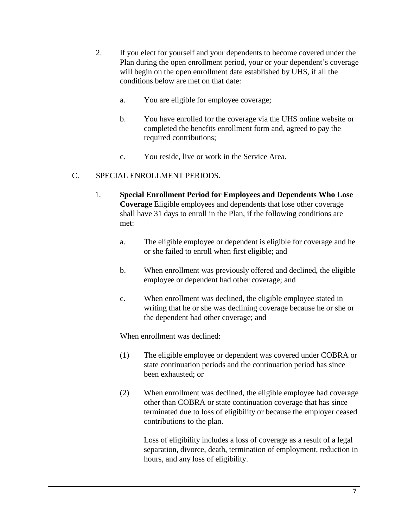- 2. If you elect for yourself and your dependents to become covered under the Plan during the open enrollment period, your or your dependent's coverage will begin on the open enrollment date established by UHS, if all the conditions below are met on that date:
	- a. You are eligible for employee coverage;
	- b. You have enrolled for the coverage via the UHS online website or completed the benefits enrollment form and, agreed to pay the required contributions;
	- c. You reside, live or work in the Service Area.

## C. SPECIAL ENROLLMENT PERIODS.

- 1. **Special Enrollment Period for Employees and Dependents Who Lose Coverage** Eligible employees and dependents that lose other coverage shall have 31 days to enroll in the Plan, if the following conditions are met:
	- a. The eligible employee or dependent is eligible for coverage and he or she failed to enroll when first eligible; and
	- b. When enrollment was previously offered and declined, the eligible employee or dependent had other coverage; and
	- c. When enrollment was declined, the eligible employee stated in writing that he or she was declining coverage because he or she or the dependent had other coverage; and

When enrollment was declined:

- (1) The eligible employee or dependent was covered under COBRA or state continuation periods and the continuation period has since been exhausted; or
- (2) When enrollment was declined, the eligible employee had coverage other than COBRA or state continuation coverage that has since terminated due to loss of eligibility or because the employer ceased contributions to the plan.

Loss of eligibility includes a loss of coverage as a result of a legal separation, divorce, death, termination of employment, reduction in hours, and any loss of eligibility.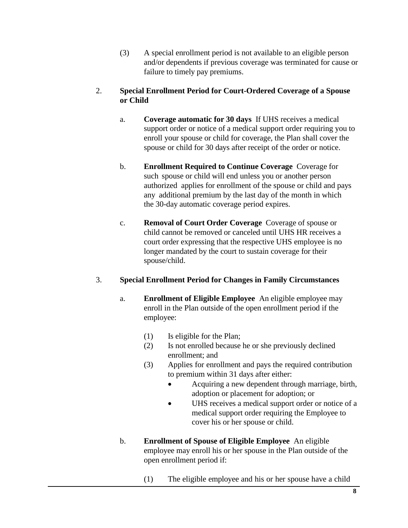(3) A special enrollment period is not available to an eligible person and/or dependents if previous coverage was terminated for cause or failure to timely pay premiums.

## 2. **Special Enrollment Period for Court-Ordered Coverage of a Spouse or Child**

- a. **Coverage automatic for 30 days** If UHS receives a medical support order or notice of a medical support order requiring you to enroll your spouse or child for coverage, the Plan shall cover the spouse or child for 30 days after receipt of the order or notice.
- b. **Enrollment Required to Continue Coverage** Coverage for such spouse or child will end unless you or another person authorized applies for enrollment of the spouse or child and pays any additional premium by the last day of the month in which the 30-day automatic coverage period expires.
- c. **Removal of Court Order Coverage** Coverage of spouse or child cannot be removed or canceled until UHS HR receives a court order expressing that the respective UHS employee is no longer mandated by the court to sustain coverage for their spouse/child.

# 3. **Special Enrollment Period for Changes in Family Circumstances**

- a. **Enrollment of Eligible Employee** An eligible employee may enroll in the Plan outside of the open enrollment period if the employee:
	- (1) Is eligible for the Plan;
	- (2) Is not enrolled because he or she previously declined enrollment; and
	- (3) Applies for enrollment and pays the required contribution to premium within 31 days after either:
		- Acquiring a new dependent through marriage, birth, adoption or placement for adoption; or
		- UHS receives a medical support order or notice of a medical support order requiring the Employee to cover his or her spouse or child.
- b. **Enrollment of Spouse of Eligible Employee** An eligible employee may enroll his or her spouse in the Plan outside of the open enrollment period if:
	- (1) The eligible employee and his or her spouse have a child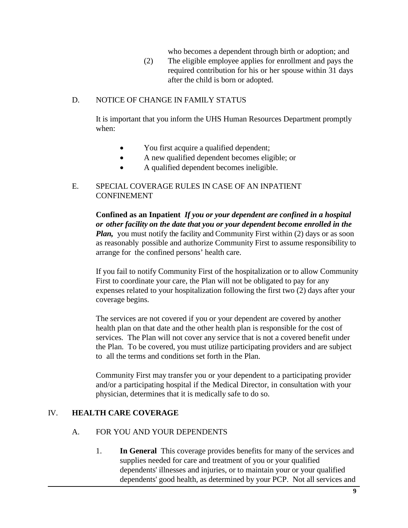who becomes a dependent through birth or adoption; and

(2) The eligible employee applies for enrollment and pays the required contribution for his or her spouse within 31 days after the child is born or adopted.

#### D. NOTICE OF CHANGE IN FAMILY STATUS

It is important that you inform the UHS Human Resources Department promptly when:

- You first acquire a qualified dependent;
- A new qualified dependent becomes eligible; or
- A qualified dependent becomes ineligible.

### E. SPECIAL COVERAGE RULES IN CASE OF AN INPATIENT CONFINEMENT

**Confined as an Inpatient** *If you or your dependent are confined in a hospital or other facility on the date that you or your dependent become enrolled in the Plan,* you must notify the facility and Community First within (2) days or as soon as reasonably possible and authorize Community First to assume responsibility to arrange for the confined persons' health care.

If you fail to notify Community First of the hospitalization or to allow Community First to coordinate your care, the Plan will not be obligated to pay for any expenses related to your hospitalization following the first two (2) days after your coverage begins.

The services are not covered if you or your dependent are covered by another health plan on that date and the other health plan is responsible for the cost of services. The Plan will not cover any service that is not a covered benefit under the Plan. To be covered, you must utilize participating providers and are subject to all the terms and conditions set forth in the Plan.

Community First may transfer you or your dependent to a participating provider and/or a participating hospital if the Medical Director, in consultation with your physician, determines that it is medically safe to do so.

### IV. **HEALTH CARE COVERAGE**

#### A. FOR YOU AND YOUR DEPENDENTS

1. **In General** This coverage provides benefits for many of the services and supplies needed for care and treatment of you or your qualified dependents' illnesses and injuries, or to maintain your or your qualified dependents' good health, as determined by your PCP. Not all services and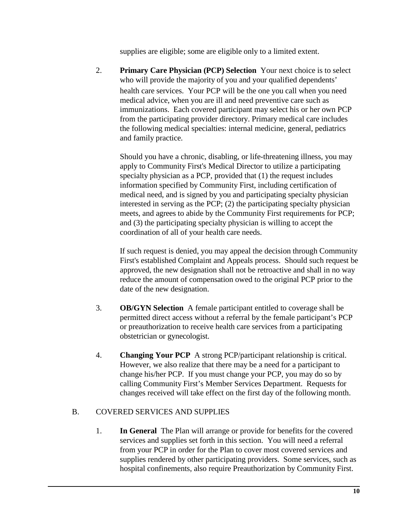supplies are eligible; some are eligible only to a limited extent.

2. **Primary Care Physician (PCP) Selection** Your next choice is to select who will provide the majority of you and your qualified dependents' health care services. Your PCP will be the one you call when you need medical advice, when you are ill and need preventive care such as immunizations. Each covered participant may select his or her own PCP from the participating provider directory. Primary medical care includes the following medical specialties: internal medicine, general, pediatrics and family practice.

Should you have a chronic, disabling, or life-threatening illness, you may apply to Community First's Medical Director to utilize a participating specialty physician as a PCP, provided that (1) the request includes information specified by Community First, including certification of medical need, and is signed by you and participating specialty physician interested in serving as the PCP; (2) the participating specialty physician meets, and agrees to abide by the Community First requirements for PCP; and (3) the participating specialty physician is willing to accept the coordination of all of your health care needs.

If such request is denied, you may appeal the decision through Community First's established Complaint and Appeals process. Should such request be approved, the new designation shall not be retroactive and shall in no way reduce the amount of compensation owed to the original PCP prior to the date of the new designation.

- 3. **OB/GYN Selection** A female participant entitled to coverage shall be permitted direct access without a referral by the female participant's PCP or preauthorization to receive health care services from a participating obstetrician or gynecologist.
- 4. **Changing Your PCP** A strong PCP/participant relationship is critical. However, we also realize that there may be a need for a participant to change his/her PCP. If you must change your PCP, you may do so by calling Community First's Member Services Department. Requests for changes received will take effect on the first day of the following month.

# B. COVERED SERVICES AND SUPPLIES

1. **In General** The Plan will arrange or provide for benefits for the covered services and supplies set forth in this section. You will need a referral from your PCP in order for the Plan to cover most covered services and supplies rendered by other participating providers. Some services, such as hospital confinements, also require Preauthorization by Community First.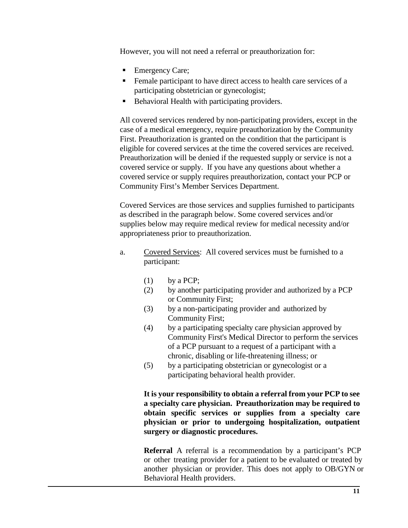However, you will not need a referral or preauthorization for:

- Emergency Care;
- **Female participant to have direct access to health care services of a** participating obstetrician or gynecologist;
- Behavioral Health with participating providers.

All covered services rendered by non-participating providers, except in the case of a medical emergency, require preauthorization by the Community First. Preauthorization is granted on the condition that the participant is eligible for covered services at the time the covered services are received. Preauthorization will be denied if the requested supply or service is not a covered service or supply. If you have any questions about whether a covered service or supply requires preauthorization, contact your PCP or Community First's Member Services Department.

Covered Services are those services and supplies furnished to participants as described in the paragraph below. Some covered services and/or supplies below may require medical review for medical necessity and/or appropriateness prior to preauthorization.

- a. Covered Services: All covered services must be furnished to a participant:
	- (1) by a PCP;
	- (2) by another participating provider and authorized by a PCP or Community First;
	- (3) by a non-participating provider and authorized by Community First;
	- (4) by a participating specialty care physician approved by Community First's Medical Director to perform the services of a PCP pursuant to a request of a participant with a chronic, disabling or life-threatening illness; or
	- (5) by a participating obstetrician or gynecologist or a participating behavioral health provider.

**It is your responsibility to obtain a referral from your PCP to see a specialty care physician. Preauthorization may be required to obtain specific services or supplies from a specialty care physician or prior to undergoing hospitalization, outpatient surgery or diagnostic procedures.**

**Referral** A referral is a recommendation by a participant's PCP or other treating provider for a patient to be evaluated or treated by another physician or provider. This does not apply to OB/GYN or Behavioral Health providers.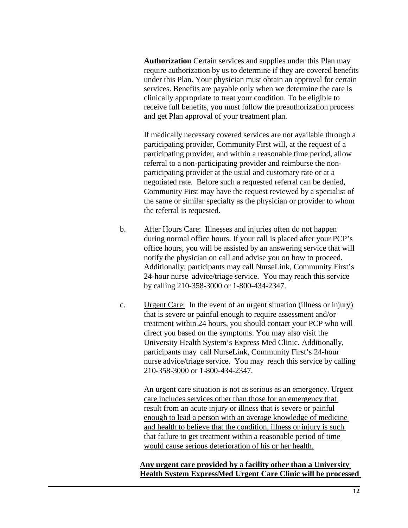**Authorization** Certain services and supplies under this Plan may require authorization by us to determine if they are covered benefits under this Plan. Your physician must obtain an approval for certain services. Benefits are payable only when we determine the care is clinically appropriate to treat your condition. To be eligible to receive full benefits, you must follow the preauthorization process and get Plan approval of your treatment plan.

If medically necessary covered services are not available through a participating provider, Community First will, at the request of a participating provider, and within a reasonable time period, allow referral to a non-participating provider and reimburse the nonparticipating provider at the usual and customary rate or at a negotiated rate. Before such a requested referral can be denied, Community First may have the request reviewed by a specialist of the same or similar specialty as the physician or provider to whom the referral is requested.

- b. After Hours Care: Illnesses and injuries often do not happen during normal office hours. If your call is placed after your PCP's office hours, you will be assisted by an answering service that will notify the physician on call and advise you on how to proceed. Additionally, participants may call NurseLink, Community First's 24-hour nurse advice/triage service. You may reach this service by calling 210-358-3000 or 1-800-434-2347.
- c. Urgent Care: In the event of an urgent situation (illness or injury) that is severe or painful enough to require assessment and/or treatment within 24 hours, you should contact your PCP who will direct you based on the symptoms. You may also visit the University Health System's Express Med Clinic. Additionally, participants may call NurseLink, Community First's 24-hour nurse advice/triage service. You may reach this service by calling 210-358-3000 or 1-800-434-2347.

An urgent care situation is not as serious as an emergency. Urgent care includes services other than those for an emergency that result from an acute injury or illness that is severe or painful enough to lead a person with an average knowledge of medicine and health to believe that the condition, illness or injury is such that failure to get treatment within a reasonable period of time would cause serious deterioration of his or her health.

**Any urgent care provided by a facility other than a University Health System ExpressMed Urgent Care Clinic will be processed**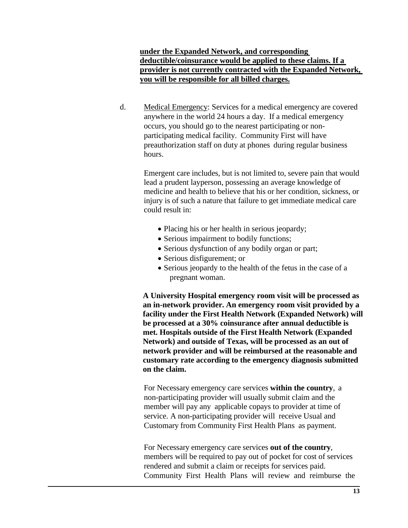### **under the Expanded Network, and corresponding deductible/coinsurance would be applied to these claims. If a provider is not currently contracted with the Expanded Network, you will be responsible for all billed charges.**

d. Medical Emergency: Services for a medical emergency are covered anywhere in the world 24 hours a day. If a medical emergency occurs, you should go to the nearest participating or nonparticipating medical facility. Community First will have preauthorization staff on duty at phones during regular business hours.

> Emergent care includes, but is not limited to, severe pain that would lead a prudent layperson, possessing an average knowledge of medicine and health to believe that his or her condition, sickness, or injury is of such a nature that failure to get immediate medical care could result in:

- Placing his or her health in serious jeopardy;
- Serious impairment to bodily functions;
- Serious dysfunction of any bodily organ or part;
- Serious disfigurement; or
- Serious jeopardy to the health of the fetus in the case of a pregnant woman.

**A University Hospital emergency room visit will be processed as an in-network provider. An emergency room visit provided by a facility under the First Health Network (Expanded Network) will be processed at a 30% coinsurance after annual deductible is met. Hospitals outside of the First Health Network (Expanded Network) and outside of Texas, will be processed as an out of network provider and will be reimbursed at the reasonable and customary rate according to the emergency diagnosis submitted on the claim.**

For Necessary emergency care services **within the country**, a non-participating provider will usually submit claim and the member will pay any applicable copays to provider at time of service. A non-participating provider will receive Usual and Customary from Community First Health Plans as payment.

For Necessary emergency care services **out of the country**, members will be required to pay out of pocket for cost of services rendered and submit a claim or receipts for services paid. Community First Health Plans will review and reimburse the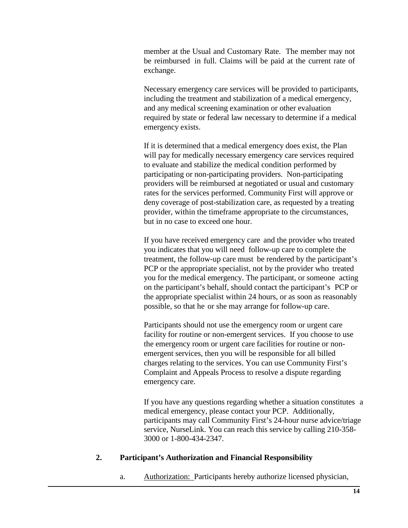member at the Usual and Customary Rate. The member may not be reimbursed in full. Claims will be paid at the current rate of exchange.

Necessary emergency care services will be provided to participants, including the treatment and stabilization of a medical emergency, and any medical screening examination or other evaluation required by state or federal law necessary to determine if a medical emergency exists.

If it is determined that a medical emergency does exist, the Plan will pay for medically necessary emergency care services required to evaluate and stabilize the medical condition performed by participating or non-participating providers. Non-participating providers will be reimbursed at negotiated or usual and customary rates for the services performed. Community First will approve or deny coverage of post-stabilization care, as requested by a treating provider, within the timeframe appropriate to the circumstances, but in no case to exceed one hour.

If you have received emergency care and the provider who treated you indicates that you will need follow-up care to complete the treatment, the follow-up care must be rendered by the participant's PCP or the appropriate specialist, not by the provider who treated you for the medical emergency. The participant, or someone acting on the participant's behalf, should contact the participant's PCP or the appropriate specialist within 24 hours, or as soon as reasonably possible, so that he or she may arrange for follow-up care.

Participants should not use the emergency room or urgent care facility for routine or non-emergent services. If you choose to use the emergency room or urgent care facilities for routine or nonemergent services, then you will be responsible for all billed charges relating to the services. You can use Community First's Complaint and Appeals Process to resolve a dispute regarding emergency care.

If you have any questions regarding whether a situation constitutes a medical emergency, please contact your PCP. Additionally, participants may call Community First's 24-hour nurse advice/triage service, NurseLink. You can reach this service by calling 210-358- 3000 or 1-800-434-2347.

### **2. Participant's Authorization and Financial Responsibility**

a. Authorization: Participants hereby authorize licensed physician,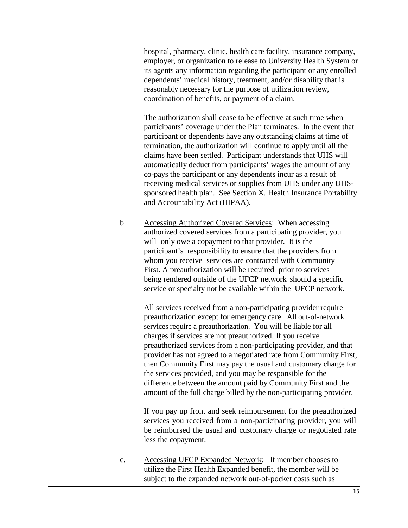hospital, pharmacy, clinic, health care facility, insurance company, employer, or organization to release to University Health System or its agents any information regarding the participant or any enrolled dependents' medical history, treatment, and/or disability that is reasonably necessary for the purpose of utilization review, coordination of benefits, or payment of a claim.

The authorization shall cease to be effective at such time when participants' coverage under the Plan terminates. In the event that participant or dependents have any outstanding claims at time of termination, the authorization will continue to apply until all the claims have been settled. Participant understands that UHS will automatically deduct from participants' wages the amount of any co-pays the participant or any dependents incur as a result of receiving medical services or supplies from UHS under any UHSsponsored health plan. See Section X. Health Insurance Portability and Accountability Act (HIPAA).

b. Accessing Authorized Covered Services: When accessing authorized covered services from a participating provider, you will only owe a copayment to that provider. It is the participant's responsibility to ensure that the providers from whom you receive services are contracted with Community First. A preauthorization will be required prior to services being rendered outside of the UFCP network should a specific service or specialty not be available within the UFCP network.

> All services received from a non-participating provider require preauthorization except for emergency care. All out-of-network services require a preauthorization. You will be liable for all charges if services are not preauthorized. If you receive preauthorized services from a non-participating provider, and that provider has not agreed to a negotiated rate from Community First, then Community First may pay the usual and customary charge for the services provided, and you may be responsible for the difference between the amount paid by Community First and the amount of the full charge billed by the non-participating provider.

> If you pay up front and seek reimbursement for the preauthorized services you received from a non-participating provider, you will be reimbursed the usual and customary charge or negotiated rate less the copayment.

c. Accessing UFCP Expanded Network: If member chooses to utilize the First Health Expanded benefit, the member will be subject to the expanded network out-of-pocket costs such as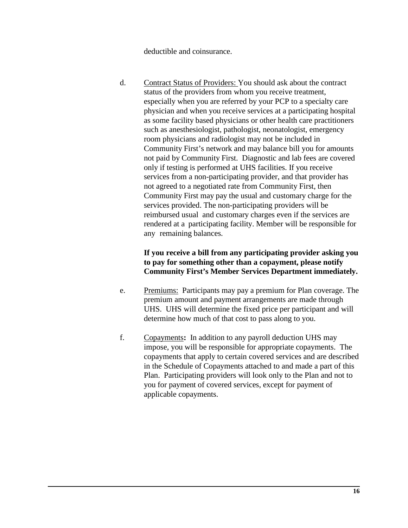deductible and coinsurance.

d. Contract Status of Providers: You should ask about the contract status of the providers from whom you receive treatment, especially when you are referred by your PCP to a specialty care physician and when you receive services at a participating hospital as some facility based physicians or other health care practitioners such as anesthesiologist, pathologist, neonatologist, emergency room physicians and radiologist may not be included in Community First's network and may balance bill you for amounts not paid by Community First. Diagnostic and lab fees are covered only if testing is performed at UHS facilities. If you receive services from a non-participating provider, and that provider has not agreed to a negotiated rate from Community First, then Community First may pay the usual and customary charge for the services provided. The non-participating providers will be reimbursed usual and customary charges even if the services are rendered at a participating facility. Member will be responsible for any remaining balances.

### **If you receive a bill from any participating provider asking you to pay for something other than a copayment, please notify Community First's Member Services Department immediately.**

- e. Premiums: Participants may pay a premium for Plan coverage. The premium amount and payment arrangements are made through UHS. UHS will determine the fixed price per participant and will determine how much of that cost to pass along to you.
- f. Copayments**:** In addition to any payroll deduction UHS may impose, you will be responsible for appropriate copayments. The copayments that apply to certain covered services and are described in the Schedule of Copayments attached to and made a part of this Plan. Participating providers will look only to the Plan and not to you for payment of covered services, except for payment of applicable copayments.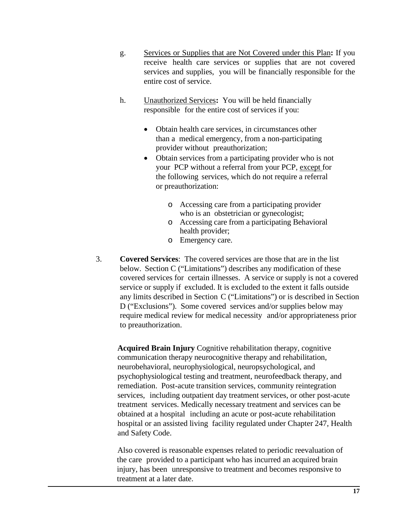- g. Services or Supplies that are Not Covered under this Plan**:** If you receive health care services or supplies that are not covered services and supplies, you will be financially responsible for the entire cost of service.
- h. Unauthorized Services**:** You will be held financially responsible for the entire cost of services if you:
	- Obtain health care services, in circumstances other than a medical emergency, from a non-participating provider without preauthorization;
	- Obtain services from a participating provider who is not your PCP without a referral from your PCP, except for the following services, which do not require a referral or preauthorization:
		- o Accessing care from a participating provider who is an obstetrician or gynecologist;
		- o Accessing care from a participating Behavioral health provider;
		- o Emergency care.
- 3. **Covered Services**: The covered services are those that are in the list below. Section C ("Limitations") describes any modification of these covered services for certain illnesses. A service or supply is not a covered service or supply if excluded. It is excluded to the extent it falls outside any limits described in Section C ("Limitations") or is described in Section D ("Exclusions"). Some covered services and/or supplies below may require medical review for medical necessity and/or appropriateness prior to preauthorization.

**Acquired Brain Injury** Cognitive rehabilitation therapy, cognitive communication therapy neurocognitive therapy and rehabilitation, neurobehavioral, neurophysiological, neuropsychological, and psychophysiological testing and treatment, neurofeedback therapy, and remediation. Post-acute transition services, community reintegration services, including outpatient day treatment services, or other post-acute treatment services. Medically necessary treatment and services can be obtained at a hospital including an acute or post-acute rehabilitation hospital or an assisted living facility regulated under Chapter 247, Health and Safety Code.

Also covered is reasonable expenses related to periodic reevaluation of the care provided to a participant who has incurred an acquired brain injury, has been unresponsive to treatment and becomes responsive to treatment at a later date.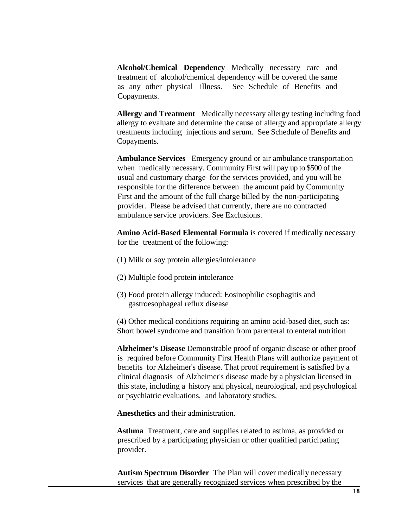**Alcohol/Chemical Dependency** Medically necessary care and treatment of alcohol/chemical dependency will be covered the same as any other physical illness. See Schedule of Benefits and Copayments.

**Allergy and Treatment** Medically necessary allergy testing including food allergy to evaluate and determine the cause of allergy and appropriate allergy treatments including injections and serum. See Schedule of Benefits and Copayments.

**Ambulance Services** Emergency ground or air ambulance transportation when medically necessary. Community First will pay up to \$500 of the usual and customary charge for the services provided, and you will be responsible for the difference between the amount paid by Community First and the amount of the full charge billed by the non-participating provider. Please be advised that currently, there are no contracted ambulance service providers. See Exclusions.

**Amino Acid-Based Elemental Formula** is covered if medically necessary for the treatment of the following:

- (1) Milk or soy protein allergies/intolerance
- (2) Multiple food protein intolerance
- (3) Food protein allergy induced: Eosinophilic esophagitis and gastroesophageal reflux disease

(4) Other medical conditions requiring an amino acid-based diet, such as: Short bowel syndrome and transition from parenteral to enteral nutrition

**Alzheimer's Disease** Demonstrable proof of organic disease or other proof is required before Community First Health Plans will authorize payment of benefits for Alzheimer's disease. That proof requirement is satisfied by a clinical diagnosis of Alzheimer's disease made by a physician licensed in this state, including a history and physical, neurological, and psychological or psychiatric evaluations, and laboratory studies.

**Anesthetics** and their administration.

**Asthma** Treatment, care and supplies related to asthma, as provided or prescribed by a participating physician or other qualified participating provider.

**Autism Spectrum Disorder** The Plan will cover medically necessary services that are generally recognized services when prescribed by the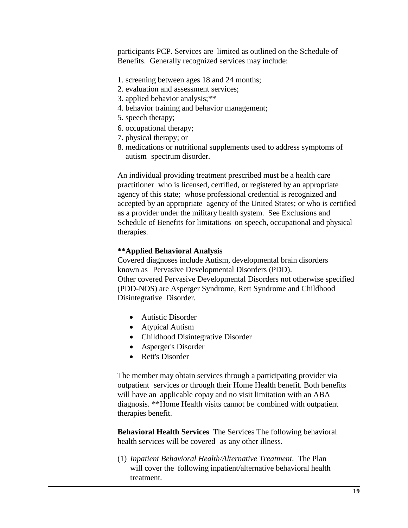participants PCP. Services are limited as outlined on the Schedule of Benefits. Generally recognized services may include:

- 1. screening between ages 18 and 24 months;
- 2. evaluation and assessment services;
- 3. applied behavior analysis;\*\*
- 4. behavior training and behavior management;
- 5. speech therapy;
- 6. occupational therapy;
- 7. physical therapy; or
- 8. medications or nutritional supplements used to address symptoms of autism spectrum disorder.

An individual providing treatment prescribed must be a health care practitioner who is licensed, certified, or registered by an appropriate agency of this state; whose professional credential is recognized and accepted by an appropriate agency of the United States; or who is certified as a provider under the military health system. See Exclusions and Schedule of Benefits for limitations on speech, occupational and physical therapies.

#### **\*\*Applied Behavioral Analysis**

Covered diagnoses include Autism, developmental brain disorders known as Pervasive Developmental Disorders (PDD). Other covered Pervasive Developmental Disorders not otherwise specified (PDD-NOS) are Asperger Syndrome, Rett Syndrome and Childhood Disintegrative Disorder.

- Autistic Disorder
- Atypical Autism
- Childhood Disintegrative Disorder
- Asperger's Disorder
- Rett's Disorder

The member may obtain services through a participating provider via outpatient services or through their Home Health benefit. Both benefits will have an applicable copay and no visit limitation with an ABA diagnosis. \*\*Home Health visits cannot be combined with outpatient therapies benefit.

**Behavioral Health Services** The Services The following behavioral health services will be covered as any other illness.

(1) *Inpatient Behavioral Health/Alternative Treatment*. The Plan will cover the following inpatient/alternative behavioral health treatment.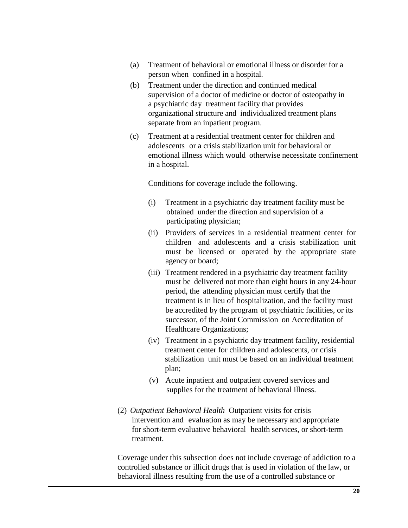- (a) Treatment of behavioral or emotional illness or disorder for a person when confined in a hospital.
- (b) Treatment under the direction and continued medical supervision of a doctor of medicine or doctor of osteopathy in a psychiatric day treatment facility that provides organizational structure and individualized treatment plans separate from an inpatient program.
- (c) Treatment at a residential treatment center for children and adolescents or a crisis stabilization unit for behavioral or emotional illness which would otherwise necessitate confinement in a hospital.

Conditions for coverage include the following.

- (i) Treatment in a psychiatric day treatment facility must be obtained under the direction and supervision of a participating physician;
- (ii) Providers of services in a residential treatment center for children and adolescents and a crisis stabilization unit must be licensed or operated by the appropriate state agency or board;
- (iii) Treatment rendered in a psychiatric day treatment facility must be delivered not more than eight hours in any 24-hour period, the attending physician must certify that the treatment is in lieu of hospitalization, and the facility must be accredited by the program of psychiatric facilities, or its successor, of the Joint Commission on Accreditation of Healthcare Organizations;
- (iv) Treatment in a psychiatric day treatment facility, residential treatment center for children and adolescents, or crisis stabilization unit must be based on an individual treatment plan;
- (v) Acute inpatient and outpatient covered services and supplies for the treatment of behavioral illness.
- (2) *Outpatient Behavioral Health* Outpatient visits for crisis intervention and evaluation as may be necessary and appropriate for short-term evaluative behavioral health services, or short-term treatment.

Coverage under this subsection does not include coverage of addiction to a controlled substance or illicit drugs that is used in violation of the law, or behavioral illness resulting from the use of a controlled substance or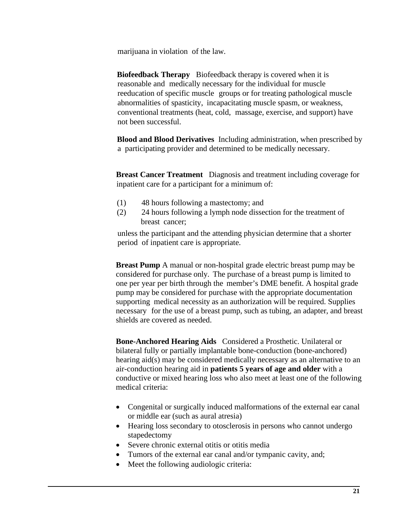marijuana in violation of the law.

**Biofeedback Therapy** Biofeedback therapy is covered when it is reasonable and medically necessary for the individual for muscle reeducation of specific muscle groups or for treating pathological muscle abnormalities of spasticity, incapacitating muscle spasm, or weakness, conventional treatments (heat, cold, massage, exercise, and support) have not been successful.

**Blood and Blood Derivatives** Including administration, when prescribed by a participating provider and determined to be medically necessary.

**Breast Cancer Treatment** Diagnosis and treatment including coverage for inpatient care for a participant for a minimum of:

- (1) 48 hours following a mastectomy; and
- (2) 24 hours following a lymph node dissection for the treatment of breast cancer;

unless the participant and the attending physician determine that a shorter period of inpatient care is appropriate.

**Breast Pump** A manual or non-hospital grade electric breast pump may be considered for purchase only. The purchase of a breast pump is limited to one per year per birth through the member's DME benefit. A hospital grade pump may be considered for purchase with the appropriate documentation supporting medical necessity as an authorization will be required. Supplies necessary for the use of a breast pump, such as tubing, an adapter, and breast shields are covered as needed.

**Bone-Anchored Hearing Aids** Considered a Prosthetic. Unilateral or bilateral fully or partially implantable bone-conduction (bone-anchored) hearing aid(s) may be considered medically necessary as an alternative to an air-conduction hearing aid in **patients 5 years of age and older** with a conductive or mixed hearing loss who also meet at least one of the following medical criteria:

- Congenital or surgically induced malformations of the external ear canal or middle ear (such as aural atresia)
- Hearing loss secondary to otosclerosis in persons who cannot undergo stapedectomy
- Severe chronic external otitis or otitis media
- Tumors of the external ear canal and/or tympanic cavity, and;
- Meet the following audiologic criteria: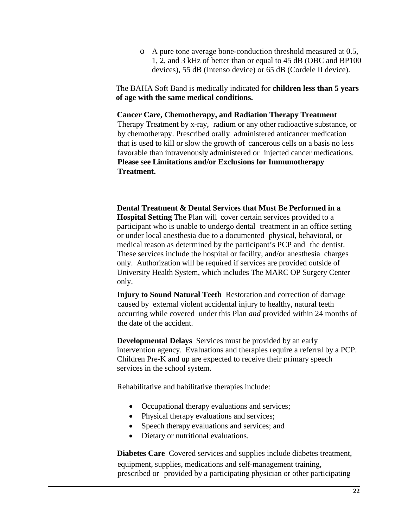o A pure tone average bone-conduction threshold measured at 0.5, 1, 2, and 3 kHz of better than or equal to 45 dB (OBC and BP100 devices), 55 dB (Intenso device) or 65 dB (Cordele II device).

The BAHA Soft Band is medically indicated for **children less than 5 years of age with the same medical conditions.**

#### **Cancer Care, Chemotherapy, and Radiation Therapy Treatment**

Therapy Treatment by x-ray, radium or any other radioactive substance, or by chemotherapy. Prescribed orally administered anticancer medication that is used to kill or slow the growth of cancerous cells on a basis no less favorable than intravenously administered or injected cancer medications. **Please see Limitations and/or Exclusions for Immunotherapy Treatment.**

**Dental Treatment & Dental Services that Must Be Performed in a Hospital Setting** The Plan will cover certain services provided to a participant who is unable to undergo dental treatment in an office setting or under local anesthesia due to a documented physical, behavioral, or medical reason as determined by the participant's PCP and the dentist. These services include the hospital or facility, and/or anesthesia charges only. Authorization will be required if services are provided outside of University Health System, which includes The MARC OP Surgery Center only.

**Injury to Sound Natural Teeth**Restoration and correction of damage caused by external violent accidental injury to healthy, natural teeth occurring while covered under this Plan *and* provided within 24 months of the date of the accident.

**Developmental Delays** Services must be provided by an early intervention agency. Evaluations and therapies require a referral by a PCP. Children Pre-K and up are expected to receive their primary speech services in the school system.

Rehabilitative and habilitative therapies include:

- Occupational therapy evaluations and services;
- Physical therapy evaluations and services;
- Speech therapy evaluations and services; and
- Dietary or nutritional evaluations.

**Diabetes Care** Covered services and supplies include diabetes treatment, equipment, supplies, medications and self-management training, prescribed or provided by a participating physician or other participating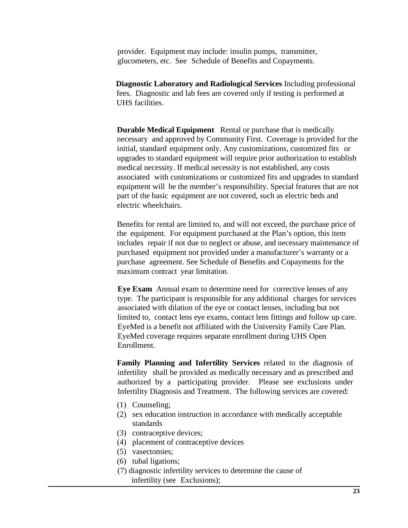provider. Equipment may include: insulin pumps, transmitter, glucometers, etc. See Schedule of Benefits and Copayments.

**Diagnostic Laboratory and Radiological Services** Including professional fees. Diagnostic and lab fees are covered only if testing is performed at UHS facilities.

**Durable Medical Equipment** Rental or purchase that is medically necessary and approved by Community First. Coverage is provided for the initial, standard equipment only. Any customizations, customized fits or upgrades to standard equipment will require prior authorization to establish medical necessity. If medical necessity is not established, any costs associated with customizations or customized fits and upgrades to standard equipment will be the member's responsibility. Special features that are not part of the basic equipment are not covered, such as electric beds and electric wheelchairs.

Benefits for rental are limited to, and will not exceed, the purchase price of the equipment. For equipment purchased at the Plan's option, this item includes repair if not due to neglect or abuse, and necessary maintenance of purchased equipment not provided under a manufacturer's warranty or a purchase agreement. See Schedule of Benefits and Copayments for the maximum contract year limitation.

**Eye Exam** Annual exam to determine need for corrective lenses of any type. The participant is responsible for any additional charges for services associated with dilation of the eye or contact lenses, including but not limited to, contact lens eye exams, contact lens fittings and follow up care. EyeMed is a benefit not affiliated with the University Family Care Plan. EyeMed coverage requires separate enrollment during UHS Open Enrollment.

**Family Planning and Infertility Services** related to the diagnosis of infertility shall be provided as medically necessary and as prescribed and authorized by a participating provider. Please see exclusions under Infertility Diagnosis and Treatment. The following services are covered:

- (1) Counseling;
- (2) sex education instruction in accordance with medically acceptable standards
- (3) contraceptive devices;
- (4) placement of contraceptive devices
- (5) vasectomies;
- (6) tubal ligations;
- (7) diagnostic infertility services to determine the cause of infertility (see Exclusions);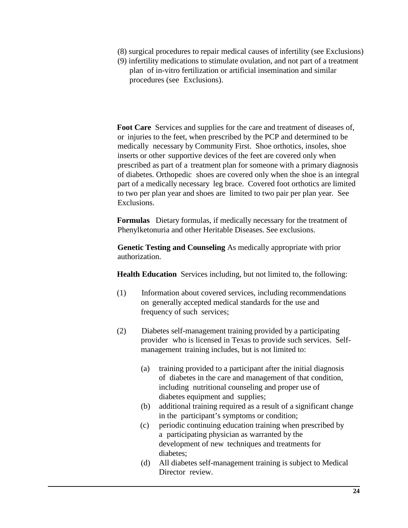- (8) surgical procedures to repair medical causes of infertility (see Exclusions)
- (9) infertility medications to stimulate ovulation, and not part of a treatment plan of in-vitro fertilization or artificial insemination and similar procedures (see Exclusions).

**Foot Care** Services and supplies for the care and treatment of diseases of, or injuries to the feet, when prescribed by the PCP and determined to be medically necessary by Community First. Shoe orthotics, insoles, shoe inserts or other supportive devices of the feet are covered only when prescribed as part of a treatment plan for someone with a primary diagnosis of diabetes. Orthopedic shoes are covered only when the shoe is an integral part of a medically necessary leg brace. Covered foot orthotics are limited to two per plan year and shoes are limited to two pair per plan year. See Exclusions.

**Formulas** Dietary formulas, if medically necessary for the treatment of Phenylketonuria and other Heritable Diseases. See exclusions.

**Genetic Testing and Counseling** As medically appropriate with prior authorization.

**Health Education** Services including, but not limited to, the following:

- (1) Information about covered services, including recommendations on generally accepted medical standards for the use and frequency of such services;
- (2) Diabetes self-management training provided by a participating provider who is licensed in Texas to provide such services. Selfmanagement training includes, but is not limited to:
	- (a) training provided to a participant after the initial diagnosis of diabetes in the care and management of that condition, including nutritional counseling and proper use of diabetes equipment and supplies;
	- (b) additional training required as a result of a significant change in the participant's symptoms or condition;
	- (c) periodic continuing education training when prescribed by a participating physician as warranted by the development of new techniques and treatments for diabetes;
	- (d) All diabetes self-management training is subject to Medical Director review.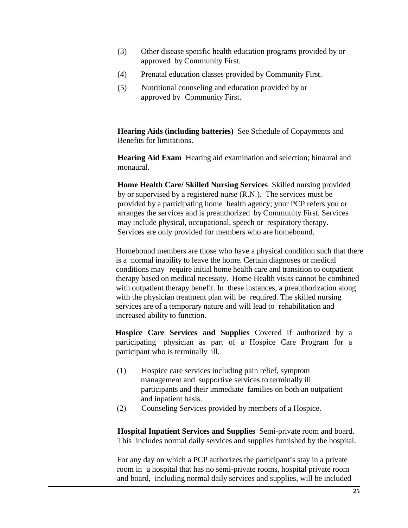- (3) Other disease specific health education programs provided by or approved by Community First.
- (4) Prenatal education classes provided by Community First.
- (5) Nutritional counseling and education provided by or approved by Community First.

**Hearing Aids (including batteries)** See Schedule of Copayments and Benefits for limitations.

**Hearing Aid Exam** Hearing aid examination and selection; binaural and monaural.

**Home Health Care/ Skilled Nursing Services** Skilled nursing provided by or supervised by a registered nurse (R.N.). The services must be provided by a participating home health agency; your PCP refers you or arranges the services and is preauthorized by Community First. Services may include physical, occupational, speech or respiratory therapy. Services are only provided for members who are homebound.

Homebound members are those who have a physical condition such that there is a normal inability to leave the home. Certain diagnoses or medical conditions may require initial home health care and transition to outpatient therapy based on medical necessity. Home Health visits cannot be combined with outpatient therapy benefit. In these instances, a preauthorization along with the physician treatment plan will be required. The skilled nursing services are of a temporary nature and will lead to rehabilitation and increased ability to function.

**Hospice Care Services and Supplies** Covered if authorized by a participating physician as part of a Hospice Care Program for a participant who is terminally ill.

- (1) Hospice care services including pain relief, symptom management and supportive services to terminally ill participants and their immediate families on both an outpatient and inpatient basis.
- (2) Counseling Services provided by members of a Hospice.

**Hospital Inpatient Services and Supplies** Semi-private room and board. This includes normal daily services and supplies furnished by the hospital.

For any day on which a PCP authorizes the participant's stay in a private room in a hospital that has no semi-private rooms, hospital private room and board, including normal daily services and supplies, will be included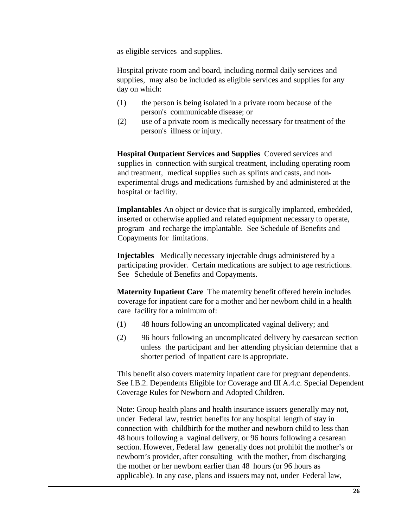as eligible services and supplies.

Hospital private room and board, including normal daily services and supplies, may also be included as eligible services and supplies for any day on which:

- (1) the person is being isolated in a private room because of the person's communicable disease; or
- (2) use of a private room is medically necessary for treatment of the person's illness or injury.

**Hospital Outpatient Services and Supplies** Covered services and supplies in connection with surgical treatment, including operating room and treatment, medical supplies such as splints and casts, and nonexperimental drugs and medications furnished by and administered at the hospital or facility.

**Implantables** An object or device that is surgically implanted, embedded, inserted or otherwise applied and related equipment necessary to operate, program and recharge the implantable. See Schedule of Benefits and Copayments for limitations.

**Injectables** Medically necessary injectable drugs administered by a participating provider. Certain medications are subject to age restrictions. See Schedule of Benefits and Copayments.

**Maternity Inpatient Care** The maternity benefit offered herein includes coverage for inpatient care for a mother and her newborn child in a health care facility for a minimum of:

- (1) 48 hours following an uncomplicated vaginal delivery; and
- (2) 96 hours following an uncomplicated delivery by caesarean section unless the participant and her attending physician determine that a shorter period of inpatient care is appropriate.

This benefit also covers maternity inpatient care for pregnant dependents. See I.B.2. Dependents Eligible for Coverage and III A.4.c. Special Dependent Coverage Rules for Newborn and Adopted Children.

Note: Group health plans and health insurance issuers generally may not, under Federal law, restrict benefits for any hospital length of stay in connection with childbirth for the mother and newborn child to less than 48 hours following a vaginal delivery, or 96 hours following a cesarean section. However, Federal law generally does not prohibit the mother's or newborn's provider, after consulting with the mother, from discharging the mother or her newborn earlier than 48 hours (or 96 hours as applicable). In any case, plans and issuers may not, under Federal law,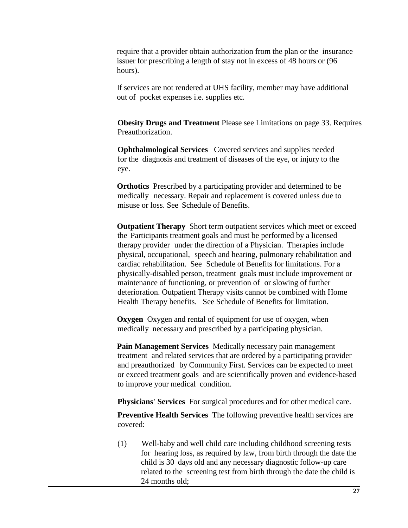require that a provider obtain authorization from the plan or the insurance issuer for prescribing a length of stay not in excess of 48 hours or (96 hours).

If services are not rendered at UHS facility, member may have additional out of pocket expenses i.e. supplies etc.

**Obesity Drugs and Treatment** Please see Limitations on page 33. Requires Preauthorization.

**Ophthalmological Services** Covered services and supplies needed for the diagnosis and treatment of diseases of the eye, or injury to the eye.

**Orthotics** Prescribed by a participating provider and determined to be medically necessary. Repair and replacement is covered unless due to misuse or loss. See Schedule of Benefits.

**Outpatient Therapy** Short term outpatient services which meet or exceed the Participants treatment goals and must be performed by a licensed therapy provider under the direction of a Physician. Therapies include physical, occupational, speech and hearing, pulmonary rehabilitation and cardiac rehabilitation. See Schedule of Benefits for limitations. For a physically-disabled person, treatment goals must include improvement or maintenance of functioning, or prevention of or slowing of further deterioration. Outpatient Therapy visits cannot be combined with Home Health Therapy benefits. See Schedule of Benefits for limitation.

**Oxygen** Oxygen and rental of equipment for use of oxygen, when medically necessary and prescribed by a participating physician.

**Pain Management Services** Medically necessary pain management treatment and related services that are ordered by a participating provider and preauthorized by Community First. Services can be expected to meet or exceed treatment goals and are scientifically proven and evidence-based to improve your medical condition.

**Physicians' Services** For surgical procedures and for other medical care.

**Preventive Health Services** The following preventive health services are covered:

(1) Well-baby and well child care including childhood screening tests for hearing loss, as required by law, from birth through the date the child is 30 days old and any necessary diagnostic follow-up care related to the screening test from birth through the date the child is 24 months old;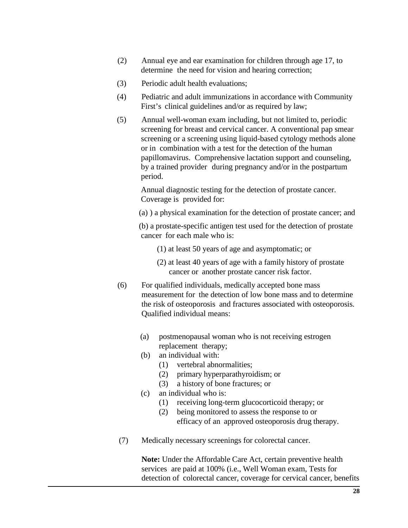- (2) Annual eye and ear examination for children through age 17, to determine the need for vision and hearing correction;
- (3) Periodic adult health evaluations;
- (4) Pediatric and adult immunizations in accordance with Community First's clinical guidelines and/or as required by law;
- (5) Annual well-woman exam including, but not limited to, periodic screening for breast and cervical cancer. A conventional pap smear screening or a screening using liquid-based cytology methods alone or in combination with a test for the detection of the human papillomavirus. Comprehensive lactation support and counseling, by a trained provider during pregnancy and/or in the postpartum period.

Annual diagnostic testing for the detection of prostate cancer. Coverage is provided for:

(a) ) a physical examination for the detection of prostate cancer; and

(b) a prostate-specific antigen test used for the detection of prostate cancer for each male who is:

- (1) at least 50 years of age and asymptomatic; or
- (2) at least 40 years of age with a family history of prostate cancer or another prostate cancer risk factor.
- (6) For qualified individuals, medically accepted bone mass measurement for the detection of low bone mass and to determine the risk of osteoporosis and fractures associated with osteoporosis. Qualified individual means:
	- (a) postmenopausal woman who is not receiving estrogen replacement therapy;
	- (b) an individual with:
		- (1) vertebral abnormalities;
		- (2) primary hyperparathyroidism; or
		- (3) a history of bone fractures; or
	- (c) an individual who is:
		- (1) receiving long-term glucocorticoid therapy; or
		- (2) being monitored to assess the response to or efficacy of an approved osteoporosis drug therapy.
- (7) Medically necessary screenings for colorectal cancer.

**Note:** Under the Affordable Care Act, certain preventive health services are paid at 100% (i.e., Well Woman exam, Tests for detection of colorectal cancer, coverage for cervical cancer, benefits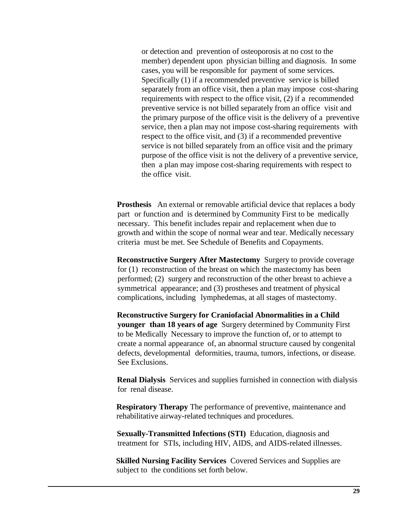or detection and prevention of osteoporosis at no cost to the member) dependent upon physician billing and diagnosis. In some cases, you will be responsible for payment of some services. Specifically (1) if a recommended preventive service is billed separately from an office visit, then a plan may impose cost-sharing requirements with respect to the office visit, (2) if a recommended preventive service is not billed separately from an office visit and the primary purpose of the office visit is the delivery of a preventive service, then a plan may not impose cost-sharing requirements with respect to the office visit, and (3) if a recommended preventive service is not billed separately from an office visit and the primary purpose of the office visit is not the delivery of a preventive service, then a plan may impose cost-sharing requirements with respect to the office visit.

**Prosthesis** An external or removable artificial device that replaces a body part or function and is determined by Community First to be medically necessary. This benefit includes repair and replacement when due to growth and within the scope of normal wear and tear. Medically necessary criteria must be met. See Schedule of Benefits and Copayments.

**Reconstructive Surgery After Mastectomy** Surgery to provide coverage for (1) reconstruction of the breast on which the mastectomy has been performed; (2) surgery and reconstruction of the other breast to achieve a symmetrical appearance; and (3) prostheses and treatment of physical complications, including lymphedemas, at all stages of mastectomy.

**Reconstructive Surgery for Craniofacial Abnormalities in a Child younger than 18 years of age** Surgery determined by Community First to be Medically Necessary to improve the function of, or to attempt to create a normal appearance of, an abnormal structure caused by congenital defects, developmental deformities, trauma, tumors, infections, or disease. See Exclusions.

**Renal Dialysis** Services and supplies furnished in connection with dialysis for renal disease.

**Respiratory Therapy** The performance of preventive, maintenance and rehabilitative airway-related techniques and procedures.

**Sexually-Transmitted Infections (STI)** Education, diagnosis and treatment for STIs, including HIV, AIDS, and AIDS-related illnesses.

**Skilled Nursing Facility Services** Covered Services and Supplies are subject to the conditions set forth below.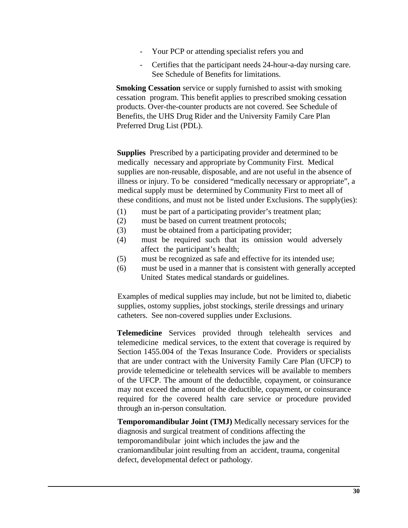- Your PCP or attending specialist refers you and
- Certifies that the participant needs 24-hour-a-day nursing care. See Schedule of Benefits for limitations.

**Smoking Cessation** service or supply furnished to assist with smoking cessation program. This benefit applies to prescribed smoking cessation products. Over-the-counter products are not covered. See Schedule of Benefits, the UHS Drug Rider and the University Family Care Plan Preferred Drug List (PDL).

**Supplies** Prescribed by a participating provider and determined to be medically necessary and appropriate by Community First. Medical supplies are non-reusable, disposable, and are not useful in the absence of illness or injury. To be considered "medically necessary or appropriate", a medical supply must be determined by Community First to meet all of these conditions, and must not be listed under Exclusions. The supply(ies):

- (1) must be part of a participating provider's treatment plan;
- (2) must be based on current treatment protocols;
- (3) must be obtained from a participating provider;
- (4) must be required such that its omission would adversely affect the participant's health;
- (5) must be recognized as safe and effective for its intended use;
- (6) must be used in a manner that is consistent with generally accepted United States medical standards or guidelines.

Examples of medical supplies may include, but not be limited to, diabetic supplies, ostomy supplies, jobst stockings, sterile dressings and urinary catheters. See non-covered supplies under Exclusions.

**Telemedicine** Services provided through telehealth services and telemedicine medical services, to the extent that coverage is required by Section 1455.004 of the Texas Insurance Code. Providers or specialists that are under contract with the University Family Care Plan (UFCP) to provide telemedicine or telehealth services will be available to members of the UFCP. The amount of the deductible, copayment, or coinsurance may not exceed the amount of the deductible, copayment, or coinsurance required for the covered health care service or procedure provided through an in-person consultation.

**Temporomandibular Joint (TMJ)** Medically necessary services for the diagnosis and surgical treatment of conditions affecting the temporomandibular joint which includes the jaw and the craniomandibular joint resulting from an accident, trauma, congenital defect, developmental defect or pathology.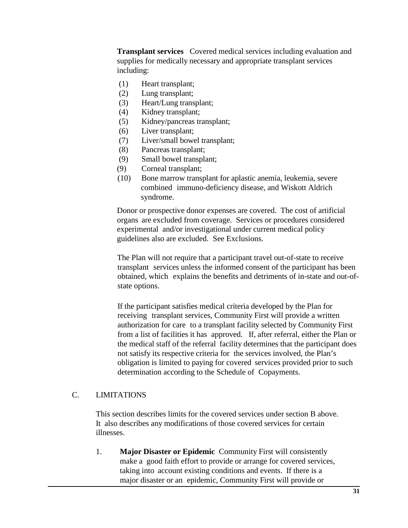**Transplant services** Covered medical services including evaluation and supplies for medically necessary and appropriate transplant services including:

- (1) Heart transplant;
- (2) Lung transplant;
- (3) Heart/Lung transplant;
- (4) Kidney transplant;
- (5) Kidney/pancreas transplant;
- (6) Liver transplant;
- (7) Liver/small bowel transplant;
- (8) Pancreas transplant;
- (9) Small bowel transplant;
- (9) Corneal transplant;
- (10) Bone marrow transplant for aplastic anemia, leukemia, severe combined immuno-deficiency disease, and Wiskott Aldrich syndrome.

Donor or prospective donor expenses are covered. The cost of artificial organs are excluded from coverage. Services or procedures considered experimental and/or investigational under current medical policy guidelines also are excluded. See Exclusions.

The Plan will not require that a participant travel out-of-state to receive transplant services unless the informed consent of the participant has been obtained, which explains the benefits and detriments of in-state and out-ofstate options.

If the participant satisfies medical criteria developed by the Plan for receiving transplant services, Community First will provide a written authorization for care to a transplant facility selected by Community First from a list of facilities it has approved. If, after referral, either the Plan or the medical staff of the referral facility determines that the participant does not satisfy its respective criteria for the services involved, the Plan's obligation is limited to paying for covered services provided prior to such determination according to the Schedule of Copayments.

### C. LIMITATIONS

This section describes limits for the covered services under section B above. It also describes any modifications of those covered services for certain illnesses.

1. **Major Disaster or Epidemic** Community First will consistently make a good faith effort to provide or arrange for covered services, taking into account existing conditions and events. If there is a major disaster or an epidemic, Community First will provide or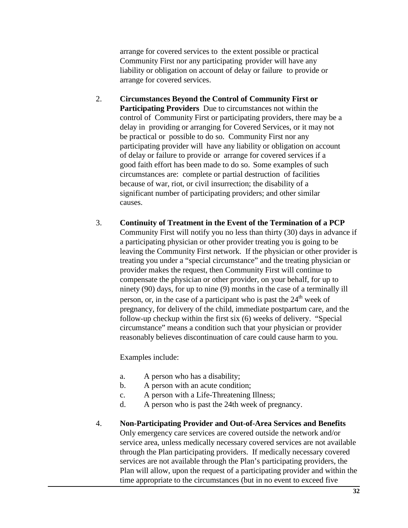arrange for covered services to the extent possible or practical Community First nor any participating provider will have any liability or obligation on account of delay or failure to provide or arrange for covered services.

- 2. **Circumstances Beyond the Control of Community First or Participating Providers** Due to circumstances not within the control of Community First or participating providers, there may be a delay in providing or arranging for Covered Services, or it may not be practical or possible to do so. Community First nor any participating provider will have any liability or obligation on account of delay or failure to provide or arrange for covered services if a good faith effort has been made to do so. Some examples of such circumstances are: complete or partial destruction of facilities because of war, riot, or civil insurrection; the disability of a significant number of participating providers; and other similar causes.
- 3. **Continuity of Treatment in the Event of the Termination of a PCP** Community First will notify you no less than thirty (30) days in advance if a participating physician or other provider treating you is going to be leaving the Community First network. If the physician or other provider is treating you under a "special circumstance" and the treating physician or provider makes the request, then Community First will continue to compensate the physician or other provider, on your behalf, for up to ninety (90) days, for up to nine (9) months in the case of a terminally ill person, or, in the case of a participant who is past the  $24<sup>th</sup>$  week of pregnancy, for delivery of the child, immediate postpartum care, and the follow-up checkup within the first six (6) weeks of delivery. "Special circumstance" means a condition such that your physician or provider reasonably believes discontinuation of care could cause harm to you.

Examples include:

- a. A person who has a disability;
- b. A person with an acute condition;
- c. A person with a Life-Threatening Illness;
- d. A person who is past the 24th week of pregnancy.
- 4. **Non-Participating Provider and Out-of-Area Services and Benefits** Only emergency care services are covered outside the network and/or service area, unless medically necessary covered services are not available through the Plan participating providers. If medically necessary covered services are not available through the Plan's participating providers, the Plan will allow, upon the request of a participating provider and within the time appropriate to the circumstances (but in no event to exceed five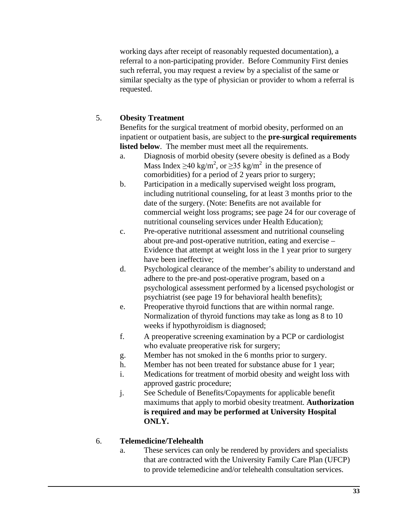working days after receipt of reasonably requested documentation), a referral to a non-participating provider. Before Community First denies such referral, you may request a review by a specialist of the same or similar specialty as the type of physician or provider to whom a referral is requested.

# 5. **Obesity Treatment**

Benefits for the surgical treatment of morbid obesity, performed on an inpatient or outpatient basis, are subject to the **pre-surgical requirements listed below**. The member must meet all the requirements.

- a. Diagnosis of morbid obesity (severe obesity is defined as a Body Mass Index  $\geq 40$  kg/m<sup>2</sup>, or  $\geq 35$  kg/m<sup>2</sup> in the presence of comorbidities) for a period of 2 years prior to surgery;
- b. Participation in a medically supervised weight loss program, including nutritional counseling, for at least 3 months prior to the date of the surgery. (Note: Benefits are not available for commercial weight loss programs; see page 24 for our coverage of nutritional counseling services under Health Education);
- c. Pre-operative nutritional assessment and nutritional counseling about pre-and post-operative nutrition, eating and exercise – Evidence that attempt at weight loss in the 1 year prior to surgery have been ineffective;
- d. Psychological clearance of the member's ability to understand and adhere to the pre-and post-operative program, based on a psychological assessment performed by a licensed psychologist or psychiatrist (see page 19 for behavioral health benefits);
- e. Preoperative thyroid functions that are within normal range. Normalization of thyroid functions may take as long as 8 to 10 weeks if hypothyroidism is diagnosed;
- f. A preoperative screening examination by a PCP or cardiologist who evaluate preoperative risk for surgery;
- g. Member has not smoked in the 6 months prior to surgery.
- h. Member has not been treated for substance abuse for 1 year;
- i. Medications for treatment of morbid obesity and weight loss with approved gastric procedure;
- j. See Schedule of Benefits/Copayments for applicable benefit maximums that apply to morbid obesity treatment. **Authorization is required and may be performed at University Hospital ONLY.**

# 6. **Telemedicine/Telehealth**

a. These services can only be rendered by providers and specialists that are contracted with the University Family Care Plan (UFCP) to provide telemedicine and/or telehealth consultation services.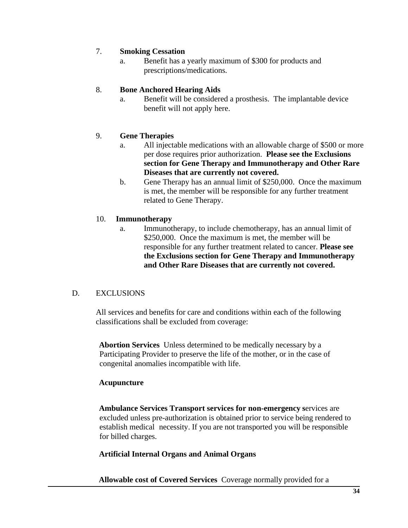## 7. **Smoking Cessation**

a. Benefit has a yearly maximum of \$300 for products and prescriptions/medications.

## 8. **Bone Anchored Hearing Aids**

a. Benefit will be considered a prosthesis. The implantable device benefit will not apply here.

# 9. **Gene Therapies**

- a. All injectable medications with an allowable charge of \$500 or more per dose requires prior authorization. **Please see the Exclusions section for Gene Therapy and Immunotherapy and Other Rare Diseases that are currently not covered.**
- b. Gene Therapy has an annual limit of \$250,000. Once the maximum is met, the member will be responsible for any further treatment related to Gene Therapy.

# 10. **Immunotherapy**

a. Immunotherapy, to include chemotherapy, has an annual limit of \$250,000. Once the maximum is met, the member will be responsible for any further treatment related to cancer. **Please see the Exclusions section for Gene Therapy and Immunotherapy and Other Rare Diseases that are currently not covered.**

## D. EXCLUSIONS

All services and benefits for care and conditions within each of the following classifications shall be excluded from coverage:

**Abortion Services** Unless determined to be medically necessary by a Participating Provider to preserve the life of the mother, or in the case of congenital anomalies incompatible with life.

## **Acupuncture**

**Ambulance Services Transport services for non-emergency s**ervices are excluded unless pre-authorization is obtained prior to service being rendered to establish medical necessity. If you are not transported you will be responsible for billed charges.

## **Artificial Internal Organs and Animal Organs**

**Allowable cost of Covered Services** Coverage normally provided for a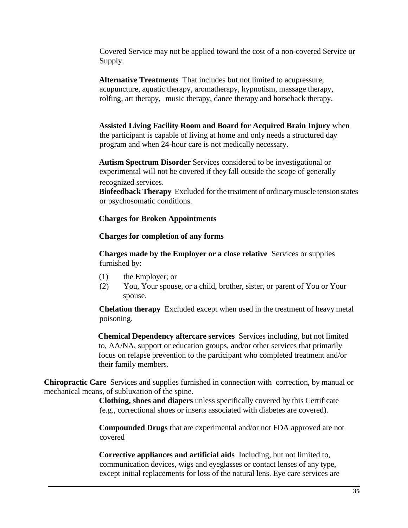Covered Service may not be applied toward the cost of a non-covered Service or Supply.

**Alternative Treatments** That includes but not limited to acupressure, acupuncture, aquatic therapy, aromatherapy, hypnotism, massage therapy, rolfing, art therapy, music therapy, dance therapy and horseback therapy.

**Assisted Living Facility Room and Board for Acquired Brain Injury** when the participant is capable of living at home and only needs a structured day program and when 24-hour care is not medically necessary.

**Autism Spectrum Disorder** Services considered to be investigational or experimental will not be covered if they fall outside the scope of generally recognized services.

**Biofeedback Therapy** Excluded for the treatment of ordinarymuscle tension states or psychosomatic conditions.

#### **Charges for Broken Appointments**

#### **Charges for completion of any forms**

**Charges made by the Employer or a close relative** Services or supplies furnished by:

- (1) the Employer; or
- (2) You, Your spouse, or a child, brother, sister, or parent of You or Your spouse.

**Chelation therapy** Excluded except when used in the treatment of heavy metal poisoning.

**Chemical Dependency aftercare services** Services including, but not limited to, AA/NA, support or education groups, and/or other services that primarily focus on relapse prevention to the participant who completed treatment and/or their family members.

**Chiropractic Care** Services and supplies furnished in connection with correction, by manual or mechanical means, of subluxation of the spine.

> **Clothing, shoes and diapers** unless specifically covered by this Certificate (e.g., correctional shoes or inserts associated with diabetes are covered).

**Compounded Drugs** that are experimental and/or not FDA approved are not covered

**Corrective appliances and artificial aids** Including, but not limited to, communication devices, wigs and eyeglasses or contact lenses of any type, except initial replacements for loss of the natural lens. Eye care services are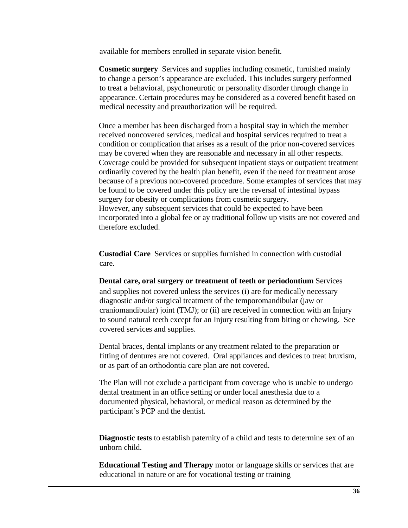available for members enrolled in separate vision benefit.

**Cosmetic surgery** Services and supplies including cosmetic, furnished mainly to change a person's appearance are excluded. This includes surgery performed to treat a behavioral, psychoneurotic or personality disorder through change in appearance. Certain procedures may be considered as a covered benefit based on medical necessity and preauthorization will be required.

Once a member has been discharged from a hospital stay in which the member received noncovered services, medical and hospital services required to treat a condition or complication that arises as a result of the prior non-covered services may be covered when they are reasonable and necessary in all other respects. Coverage could be provided for subsequent inpatient stays or outpatient treatment ordinarily covered by the health plan benefit, even if the need for treatment arose because of a previous non-covered procedure. Some examples of services that may be found to be covered under this policy are the reversal of intestinal bypass surgery for obesity or complications from cosmetic surgery. However, any subsequent services that could be expected to have been incorporated into a global fee or ay traditional follow up visits are not covered and therefore excluded.

**Custodial Care** Services or supplies furnished in connection with custodial care.

**Dental care, oral surgery or treatment of teeth or periodontium** Services and supplies not covered unless the services (i) are for medically necessary diagnostic and/or surgical treatment of the temporomandibular (jaw or craniomandibular) joint (TMJ); or (ii) are received in connection with an Injury to sound natural teeth except for an Injury resulting from biting or chewing. See *c*overed services and supplies.

Dental braces, dental implants or any treatment related to the preparation or fitting of dentures are not covered. Oral appliances and devices to treat bruxism, or as part of an orthodontia care plan are not covered.

The Plan will not exclude a participant from coverage who is unable to undergo dental treatment in an office setting or under local anesthesia due to a documented physical, behavioral, or medical reason as determined by the participant's PCP and the dentist.

**Diagnostic tests** to establish paternity of a child and tests to determine sex of an unborn child.

**Educational Testing and Therapy** motor or language skills or services that are educational in nature or are for vocational testing or training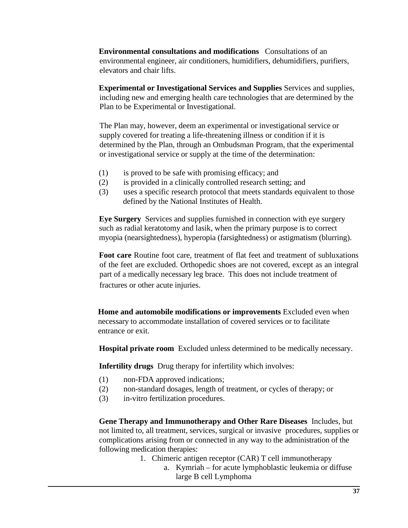**Environmental consultations and modifications** Consultations of an environmental engineer, air conditioners, humidifiers, dehumidifiers, purifiers, elevators and chair lifts.

**Experimental or Investigational Services and Supplies** Services and supplies, including new and emerging health care technologies that are determined by the Plan to be Experimental or Investigational.

The Plan may, however, deem an experimental or investigational service or supply covered for treating a life-threatening illness or condition if it is determined by the Plan, through an Ombudsman Program, that the experimental or investigational service or supply at the time of the determination:

- (1) is proved to be safe with promising efficacy; and
- (2) is provided in a clinically controlled research setting; and
- (3) uses a specific research protocol that meets standards equivalent to those defined by the National Institutes of Health.

**Eye Surgery** Services and supplies furnished in connection with eye surgery such as radial keratotomy and lasik, when the primary purpose is to correct myopia (nearsightedness), hyperopia (farsightedness) or astigmatism (blurring).

**Foot care** Routine foot care, treatment of flat feet and treatment of subluxations of the feet are excluded. Orthopedic shoes are not covered, except as an integral part of a medically necessary leg brace. This does not include treatment of fractures or other acute injuries.

**Home and automobile modifications or improvements** Excluded even when necessary to accommodate installation of covered services or to facilitate entrance or exit.

**Hospital private room** Excluded unless determined to be medically necessary.

**Infertility drugs** Drug therapy for infertility which involves:

- (1) non-FDA approved indications;
- (2) non-standard dosages, length of treatment, or cycles of therapy; or
- (3) in-vitro fertilization procedures.

**Gene Therapy and Immunotherapy and Other Rare Diseases** Includes, but not limited to, all treatment, services, surgical or invasive procedures, supplies or complications arising from or connected in any way to the administration of the following medication therapies:

- 1. Chimeric antigen receptor (CAR) T cell immunotherapy
	- a. Kymriah for acute lymphoblastic leukemia or diffuse large B cell Lymphoma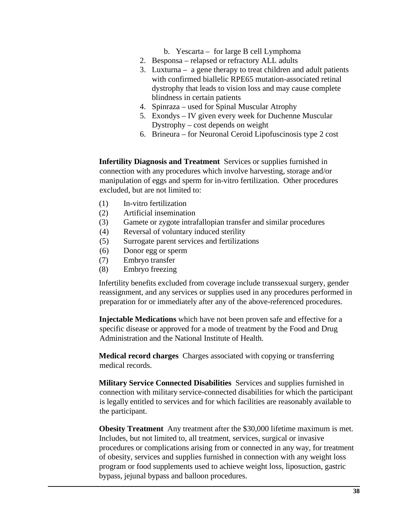- b. Yescarta for large B cell Lymphoma
- 2. Besponsa relapsed or refractory ALL adults
- 3. Luxturna a gene therapy to treat children and adult patients with confirmed biallelic RPE65 mutation-associated retinal dystrophy that leads to vision loss and may cause complete blindness in certain patients
- 4. Spinraza used for Spinal Muscular Atrophy
- 5. Exondys IV given every week for Duchenne Muscular Dystrophy – cost depends on weight
- 6. Brineura for Neuronal Ceroid Lipofuscinosis type 2 cost

**Infertility Diagnosis and Treatment** Services or supplies furnished in connection with any procedures which involve harvesting, storage and/or manipulation of eggs and sperm for in-vitro fertilization. Other procedures excluded, but are not limited to:

- (1) In-vitro fertilization
- (2) Artificial insemination
- (3) Gamete or zygote intrafallopian transfer and similar procedures
- (4) Reversal of voluntary induced sterility
- (5) Surrogate parent services and fertilizations
- (6) Donor egg or sperm
- (7) Embryo transfer
- (8) Embryo freezing

Infertility benefits excluded from coverage include transsexual surgery, gender reassignment, and any services or supplies used in any procedures performed in preparation for or immediately after any of the above-referenced procedures.

**Injectable Medications** which have not been proven safe and effective for a specific disease or approved for a mode of treatment by the Food and Drug Administration and the National Institute of Health.

**Medical record charges** Charges associated with copying or transferring medical records.

**Military Service Connected Disabilities** Services and supplies furnished in connection with military service-connected disabilities for which the participant is legally entitled to services and for which facilities are reasonably available to the participant.

**Obesity Treatment** Any treatment after the \$30,000 lifetime maximum is met. Includes, but not limited to, all treatment, services, surgical or invasive procedures or complications arising from or connected in any way, for treatment of obesity, services and supplies furnished in connection with any weight loss program or food supplements used to achieve weight loss, liposuction, gastric bypass, jejunal bypass and balloon procedures.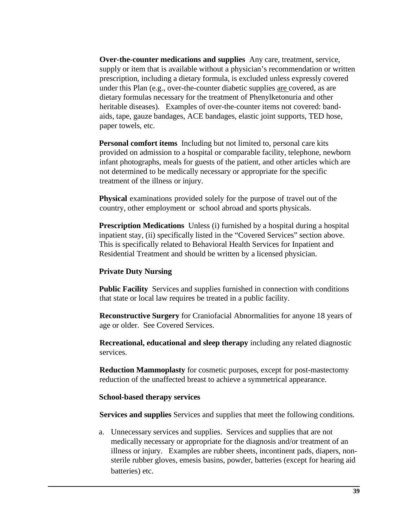**Over-the-counter medications and supplies** Any care, treatment, service, supply or item that is available without a physician's recommendation or written prescription, including a dietary formula, is excluded unless expressly covered under this Plan (e.g., over-the-counter diabetic supplies are covered, as are dietary formulas necessary for the treatment of Phenylketonuria and other heritable diseases). Examples of over-the-counter items not covered: bandaids, tape, gauze bandages, ACE bandages, elastic joint supports, TED hose, paper towels, etc.

**Personal comfort items** Including but not limited to, personal care kits provided on admission to a hospital or comparable facility, telephone, newborn infant photographs, meals for guests of the patient, and other articles which are not determined to be medically necessary or appropriate for the specific treatment of the illness or injury.

**Physical** examinations provided solely for the purpose of travel out of the country, other employment or school abroad and sports physicals.

**Prescription Medications** Unless (i) furnished by a hospital during a hospital inpatient stay, (ii) specifically listed in the "Covered Services" section above. This is specifically related to Behavioral Health Services for Inpatient and Residential Treatment and should be written by a licensed physician.

#### **Private Duty Nursing**

**Public Facility** Services and supplies furnished in connection with conditions that state or local law requires be treated in a public facility.

**Reconstructive Surgery** for Craniofacial Abnormalities for anyone 18 years of age or older. See Covered Services.

**Recreational, educational and sleep therapy** including any related diagnostic services.

**Reduction Mammoplasty** for cosmetic purposes, except for post-mastectomy reduction of the unaffected breast to achieve a symmetrical appearance.

#### **School-based therapy services**

**Services and supplies** Services and supplies that meet the following conditions.

a. Unnecessary services and supplies. Services and supplies that are not medically necessary or appropriate for the diagnosis and/or treatment of an illness or injury. Examples are rubber sheets, incontinent pads, diapers, nonsterile rubber gloves, emesis basins, powder, batteries (except for hearing aid batteries) etc.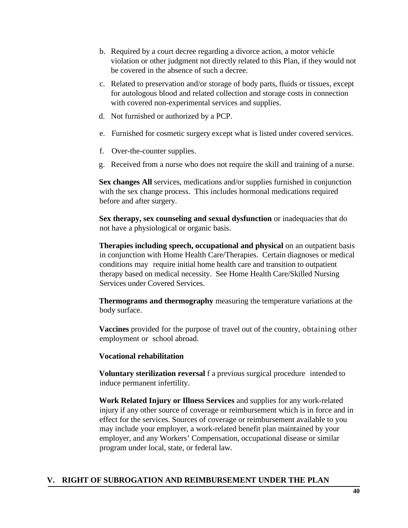- b. Required by a court decree regarding a divorce action, a motor vehicle violation or other judgment not directly related to this Plan, if they would not be covered in the absence of such a decree.
- c. Related to preservation and/or storage of body parts, fluids or tissues, except for autologous blood and related collection and storage costs in connection with covered non-experimental services and supplies.
- d. Not furnished or authorized by a PCP.
- e. Furnished for cosmetic surgery except what is listed under covered services.
- f. Over-the-counter supplies.
- g. Received from a nurse who does not require the skill and training of a nurse.

**Sex changes All** services, medications and/or supplies furnished in conjunction with the sex change process. This includes hormonal medications required before and after surgery.

**Sex therapy, sex counseling and sexual dysfunction** or inadequacies that do not have a physiological or organic basis.

**Therapies including speech, occupational and physical** on an outpatient basis in conjunction with Home Health Care/Therapies. Certain diagnoses or medical conditions may require initial home health care and transition to outpatient therapy based on medical necessity. See Home Health Care/Skilled Nursing Services under Covered Services.

**Thermograms and thermography** measuring the temperature variations at the body surface.

**Vaccines** provided for the purpose of travel out of the country, obtaining other employment or school abroad.

#### **Vocational rehabilitation**

**Voluntary sterilization reversal** f a previous surgical procedure intended to induce permanent infertility.

**Work Related Injury or Illness Services** and supplies for any work-related injury if any other source of coverage or reimbursement which is in force and in effect for the services. Sources of coverage or reimbursement available to you may include your employer, a work-related benefit plan maintained by your employer, and any Workers' Compensation, occupational disease or similar program under local, state, or federal law.

## **V. RIGHT OF SUBROGATION AND REIMBURSEMENT UNDER THE PLAN**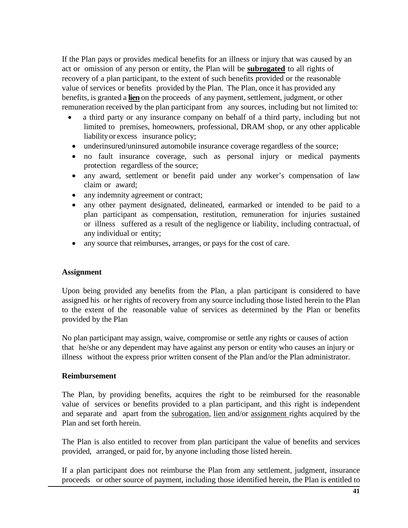If the Plan pays or provides medical benefits for an illness or injury that was caused by an act or omission of any person or entity, the Plan will be **subrogated** to all rights of recovery of a plan participant, to the extent of such benefits provided or the reasonable value of services or benefits provided by the Plan. The Plan, once it has provided any benefits, is granted a **lien** on the proceeds of any payment, settlement, judgment, or other remuneration received by the plan participant from any sources, including but not limited to:

- a third party or any insurance company on behalf of a third party, including but not limited to premises, homeowners, professional, DRAM shop, or any other applicable liability or excess insurance policy;
- underinsured/uninsured automobile insurance coverage regardless of the source;
- no fault insurance coverage, such as personal injury or medical payments protection regardless of the source;
- any award, settlement or benefit paid under any worker's compensation of law claim or award;
- any indemnity agreement or contract;
- any other payment designated, delineated, earmarked or intended to be paid to a plan participant as compensation, restitution, remuneration for injuries sustained or illness suffered as a result of the negligence or liability, including contractual, of any individual or entity;
- any source that reimburses, arranges, or pays for the cost of care.

## **Assignment**

Upon being provided any benefits from the Plan, a plan participant is considered to have assigned his or her rights of recovery from any source including those listed herein to the Plan to the extent of the reasonable value of services as determined by the Plan or benefits provided by the Plan

No plan participant may assign, waive, compromise or settle any rights or causes of action that he/she or any dependent may have against any person or entity who causes an injury or illness without the express prior written consent of the Plan and/or the Plan administrator.

## **Reimbursement**

The Plan, by providing benefits, acquires the right to be reimbursed for the reasonable value of services or benefits provided to a plan participant, and this right is independent and separate and apart from the subrogation, lien and/or assignment rights acquired by the Plan and set forth herein.

The Plan is also entitled to recover from plan participant the value of benefits and services provided, arranged, or paid for, by anyone including those listed herein.

If a plan participant does not reimburse the Plan from any settlement, judgment, insurance proceeds or other source of payment, including those identified herein, the Plan is entitled to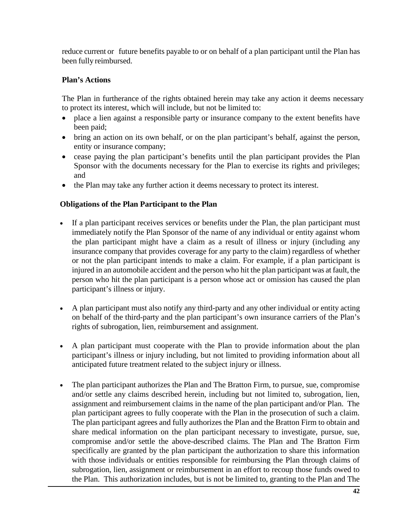reduce current or future benefits payable to or on behalf of a plan participant until the Plan has been fully reimbursed.

#### **Plan's Actions**

The Plan in furtherance of the rights obtained herein may take any action it deems necessary to protect its interest, which will include, but not be limited to:

- place a lien against a responsible party or insurance company to the extent benefits have been paid;
- bring an action on its own behalf, or on the plan participant's behalf, against the person, entity or insurance company;
- cease paying the plan participant's benefits until the plan participant provides the Plan Sponsor with the documents necessary for the Plan to exercise its rights and privileges; and
- the Plan may take any further action it deems necessary to protect its interest.

## **Obligations of the Plan Participant to the Plan**

- If a plan participant receives services or benefits under the Plan, the plan participant must immediately notify the Plan Sponsor of the name of any individual or entity against whom the plan participant might have a claim as a result of illness or injury (including any insurance company that provides coverage for any party to the claim) regardless of whether or not the plan participant intends to make a claim. For example, if a plan participant is injured in an automobile accident and the person who hit the plan participant was at fault, the person who hit the plan participant is a person whose act or omission has caused the plan participant's illness or injury.
- A plan participant must also notify any third-party and any other individual or entity acting on behalf of the third-party and the plan participant's own insurance carriers of the Plan's rights of subrogation, lien, reimbursement and assignment.
- A plan participant must cooperate with the Plan to provide information about the plan participant's illness or injury including, but not limited to providing information about all anticipated future treatment related to the subject injury or illness.
- The plan participant authorizes the Plan and The Bratton Firm, to pursue, sue, compromise and/or settle any claims described herein, including but not limited to, subrogation, lien, assignment and reimbursement claims in the name of the plan participant and/or Plan. The plan participant agrees to fully cooperate with the Plan in the prosecution of such a claim. The plan participant agrees and fully authorizes the Plan and the Bratton Firm to obtain and share medical information on the plan participant necessary to investigate, pursue, sue, compromise and/or settle the above-described claims. The Plan and The Bratton Firm specifically are granted by the plan participant the authorization to share this information with those individuals or entities responsible for reimbursing the Plan through claims of subrogation, lien, assignment or reimbursement in an effort to recoup those funds owed to the Plan. This authorization includes, but is not be limited to, granting to the Plan and The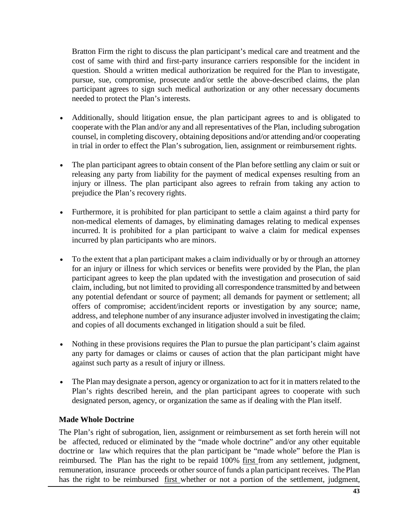Bratton Firm the right to discuss the plan participant's medical care and treatment and the cost of same with third and first-party insurance carriers responsible for the incident in question. Should a written medical authorization be required for the Plan to investigate, pursue, sue, compromise, prosecute and/or settle the above-described claims, the plan participant agrees to sign such medical authorization or any other necessary documents needed to protect the Plan's interests.

- Additionally, should litigation ensue, the plan participant agrees to and is obligated to cooperate with the Plan and/or any and all representatives of the Plan, including subrogation counsel, in completing discovery, obtaining depositions and/or attending and/or cooperating in trial in order to effect the Plan's subrogation, lien, assignment or reimbursement rights.
- The plan participant agrees to obtain consent of the Plan before settling any claim or suit or releasing any party from liability for the payment of medical expenses resulting from an injury or illness. The plan participant also agrees to refrain from taking any action to prejudice the Plan's recovery rights.
- Furthermore, it is prohibited for plan participant to settle a claim against a third party for non-medical elements of damages, by eliminating damages relating to medical expenses incurred. It is prohibited for a plan participant to waive a claim for medical expenses incurred by plan participants who are minors.
- To the extent that a plan participant makes a claim individually or by or through an attorney for an injury or illness for which services or benefits were provided by the Plan, the plan participant agrees to keep the plan updated with the investigation and prosecution of said claim, including, but not limited to providing all correspondence transmitted by and between any potential defendant or source of payment; all demands for payment or settlement; all offers of compromise; accident/incident reports or investigation by any source; name, address, and telephone number of any insurance adjuster involved in investigating the claim; and copies of all documents exchanged in litigation should a suit be filed.
- Nothing in these provisions requires the Plan to pursue the plan participant's claim against any party for damages or claims or causes of action that the plan participant might have against such party as a result of injury or illness.
- The Plan may designate a person, agency or organization to act for it in matters related to the Plan's rights described herein, and the plan participant agrees to cooperate with such designated person, agency, or organization the same as if dealing with the Plan itself.

## **Made Whole Doctrine**

The Plan's right of subrogation, lien, assignment or reimbursement as set forth herein will not be affected, reduced or eliminated by the "made whole doctrine" and/or any other equitable doctrine or law which requires that the plan participant be "made whole" before the Plan is reimbursed. The Plan has the right to be repaid 100% first from any settlement, judgment, remuneration, insurance proceeds or other source of funds a plan participant receives. The Plan has the right to be reimbursed <u>first</u> whether or not a portion of the settlement, judgment,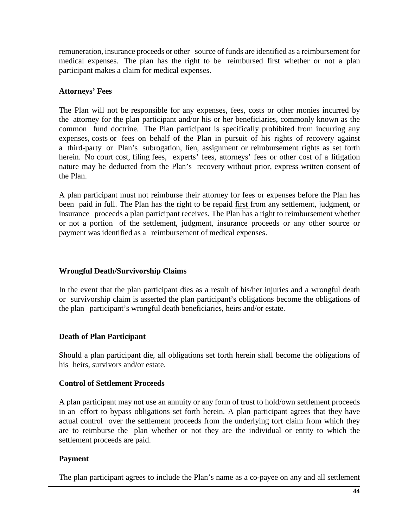remuneration, insurance proceeds or other source of funds are identified as a reimbursement for medical expenses. The plan has the right to be reimbursed first whether or not a plan participant makes a claim for medical expenses.

## **Attorneys' Fees**

The Plan will not be responsible for any expenses, fees, costs or other monies incurred by the attorney for the plan participant and/or his or her beneficiaries, commonly known as the common fund doctrine. The Plan participant is specifically prohibited from incurring any expenses, costs or fees on behalf of the Plan in pursuit of his rights of recovery against a third-party or Plan's subrogation, lien, assignment or reimbursement rights as set forth herein. No court cost, filing fees, experts' fees, attorneys' fees or other cost of a litigation nature may be deducted from the Plan's recovery without prior, express written consent of the Plan.

A plan participant must not reimburse their attorney for fees or expenses before the Plan has been paid in full. The Plan has the right to be repaid first from any settlement, judgment, or insurance proceeds a plan participant receives. The Plan has a right to reimbursement whether or not a portion of the settlement, judgment, insurance proceeds or any other source or payment was identified as a reimbursement of medical expenses.

## **Wrongful Death/Survivorship Claims**

In the event that the plan participant dies as a result of his/her injuries and a wrongful death or survivorship claim is asserted the plan participant's obligations become the obligations of the plan participant's wrongful death beneficiaries, heirs and/or estate.

## **Death of Plan Participant**

Should a plan participant die, all obligations set forth herein shall become the obligations of his heirs, survivors and/or estate.

## **Control of Settlement Proceeds**

A plan participant may not use an annuity or any form of trust to hold/own settlement proceeds in an effort to bypass obligations set forth herein. A plan participant agrees that they have actual control over the settlement proceeds from the underlying tort claim from which they are to reimburse the plan whether or not they are the individual or entity to which the settlement proceeds are paid.

# **Payment**

The plan participant agrees to include the Plan's name as a co-payee on any and all settlement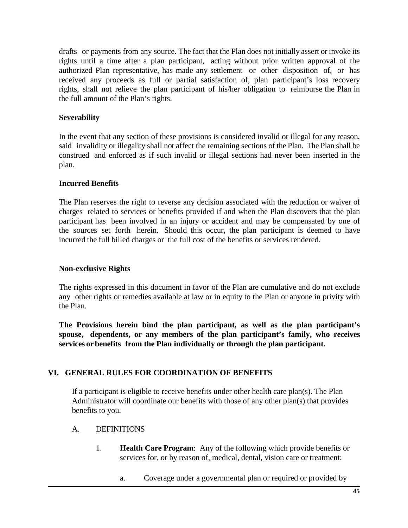drafts or payments from any source. The fact that the Plan does not initially assert or invoke its rights until a time after a plan participant, acting without prior written approval of the authorized Plan representative, has made any settlement or other disposition of, or has received any proceeds as full or partial satisfaction of, plan participant's loss recovery rights, shall not relieve the plan participant of his/her obligation to reimburse the Plan in the full amount of the Plan's rights.

## **Severability**

In the event that any section of these provisions is considered invalid or illegal for any reason, said invalidity or illegality shall not affect the remaining sections of the Plan. The Plan shall be construed and enforced as if such invalid or illegal sections had never been inserted in the plan.

# **Incurred Benefits**

The Plan reserves the right to reverse any decision associated with the reduction or waiver of charges related to services or benefits provided if and when the Plan discovers that the plan participant has been involved in an injury or accident and may be compensated by one of the sources set forth herein. Should this occur, the plan participant is deemed to have incurred the full billed charges or the full cost of the benefits or services rendered.

## **Non-exclusive Rights**

The rights expressed in this document in favor of the Plan are cumulative and do not exclude any other rights or remedies available at law or in equity to the Plan or anyone in privity with the Plan.

**The Provisions herein bind the plan participant, as well as the plan participant's spouse, dependents, or any members of the plan participant's family, who receives services or benefits from the Plan individually or through the plan participant.**

# **VI. GENERAL RULES FOR COORDINATION OF BENEFITS**

If a participant is eligible to receive benefits under other health care plan(s). The Plan Administrator will coordinate our benefits with those of any other plan(s) that provides benefits to you.

## A. DEFINITIONS

- 1. **Health Care Program**: Any of the following which provide benefits or services for, or by reason of, medical, dental, vision care or treatment:
	- a. Coverage under a governmental plan or required or provided by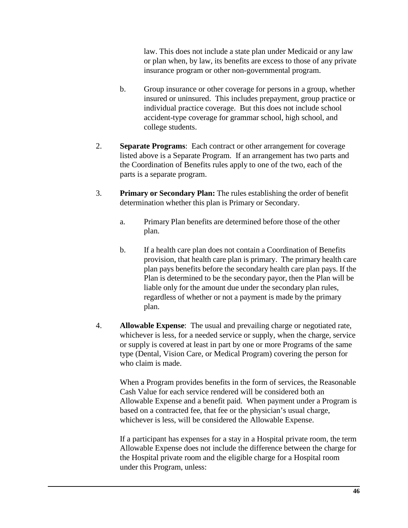law. This does not include a state plan under Medicaid or any law or plan when, by law, its benefits are excess to those of any private insurance program or other non-governmental program.

- b. Group insurance or other coverage for persons in a group, whether insured or uninsured. This includes prepayment, group practice or individual practice coverage. But this does not include school accident-type coverage for grammar school, high school, and college students.
- 2. **Separate Programs**: Each contract or other arrangement for coverage listed above is a Separate Program. If an arrangement has two parts and the Coordination of Benefits rules apply to one of the two, each of the parts is a separate program.
- 3. **Primary or Secondary Plan:** The rules establishing the order of benefit determination whether this plan is Primary or Secondary.
	- a. Primary Plan benefits are determined before those of the other plan.
	- b. If a health care plan does not contain a Coordination of Benefits provision, that health care plan is primary. The primary health care plan pays benefits before the secondary health care plan pays. If the Plan is determined to be the secondary payor, then the Plan will be liable only for the amount due under the secondary plan rules, regardless of whether or not a payment is made by the primary plan.
- 4. **Allowable Expense**: The usual and prevailing charge or negotiated rate, whichever is less, for a needed service or supply, when the charge, service or supply is covered at least in part by one or more Programs of the same type (Dental, Vision Care, or Medical Program) covering the person for who claim is made.

When a Program provides benefits in the form of services, the Reasonable Cash Value for each service rendered will be considered both an Allowable Expense and a benefit paid. When payment under a Program is based on a contracted fee, that fee or the physician's usual charge, whichever is less, will be considered the Allowable Expense.

If a participant has expenses for a stay in a Hospital private room, the term Allowable Expense does not include the difference between the charge for the Hospital private room and the eligible charge for a Hospital room under this Program, unless: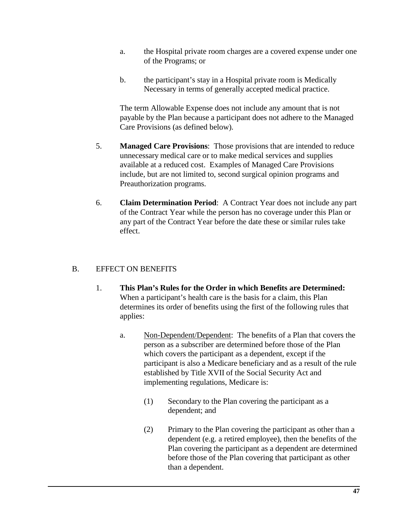- a. the Hospital private room charges are a covered expense under one of the Programs; or
- b. the participant's stay in a Hospital private room is Medically Necessary in terms of generally accepted medical practice.

The term Allowable Expense does not include any amount that is not payable by the Plan because a participant does not adhere to the Managed Care Provisions (as defined below).

- 5. **Managed Care Provisions**: Those provisions that are intended to reduce unnecessary medical care or to make medical services and supplies available at a reduced cost. Examples of Managed Care Provisions include, but are not limited to, second surgical opinion programs and Preauthorization programs.
- 6. **Claim Determination Period**: A Contract Year does not include any part of the Contract Year while the person has no coverage under this Plan or any part of the Contract Year before the date these or similar rules take effect.

# B. EFFECT ON BENEFITS

- 1. **This Plan's Rules for the Order in which Benefits are Determined:** When a participant's health care is the basis for a claim, this Plan determines its order of benefits using the first of the following rules that applies:
	- a. Non-Dependent/Dependent: The benefits of a Plan that covers the person as a subscriber are determined before those of the Plan which covers the participant as a dependent, except if the participant is also a Medicare beneficiary and as a result of the rule established by Title XVII of the Social Security Act and implementing regulations, Medicare is:
		- (1) Secondary to the Plan covering the participant as a dependent; and
		- (2) Primary to the Plan covering the participant as other than a dependent (e.g. a retired employee), then the benefits of the Plan covering the participant as a dependent are determined before those of the Plan covering that participant as other than a dependent.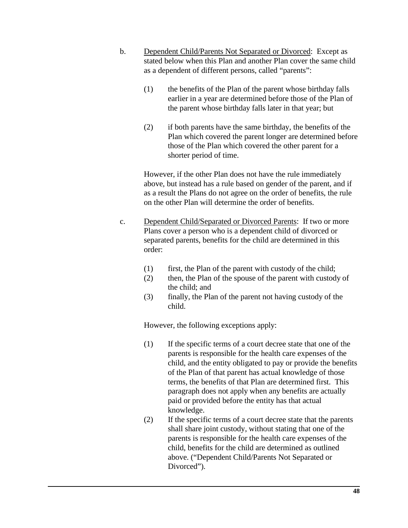- b. Dependent Child/Parents Not Separated or Divorced: Except as stated below when this Plan and another Plan cover the same child as a dependent of different persons, called "parents":
	- (1) the benefits of the Plan of the parent whose birthday falls earlier in a year are determined before those of the Plan of the parent whose birthday falls later in that year; but
	- (2) if both parents have the same birthday, the benefits of the Plan which covered the parent longer are determined before those of the Plan which covered the other parent for a shorter period of time.

However, if the other Plan does not have the rule immediately above, but instead has a rule based on gender of the parent, and if as a result the Plans do not agree on the order of benefits, the rule on the other Plan will determine the order of benefits.

- c. Dependent Child/Separated or Divorced Parents: If two or more Plans cover a person who is a dependent child of divorced or separated parents, benefits for the child are determined in this order:
	- $(1)$  first, the Plan of the parent with custody of the child;
	- (2) then, the Plan of the spouse of the parent with custody of the child; and
	- (3) finally, the Plan of the parent not having custody of the child.

However, the following exceptions apply:

- (1) If the specific terms of a court decree state that one of the parents is responsible for the health care expenses of the child, and the entity obligated to pay or provide the benefits of the Plan of that parent has actual knowledge of those terms, the benefits of that Plan are determined first. This paragraph does not apply when any benefits are actually paid or provided before the entity has that actual knowledge.
- (2) If the specific terms of a court decree state that the parents shall share joint custody, without stating that one of the parents is responsible for the health care expenses of the child, benefits for the child are determined as outlined above. ("Dependent Child/Parents Not Separated or Divorced").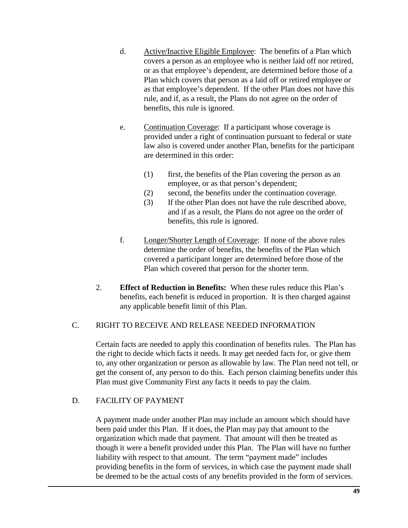- d. Active/Inactive Eligible Employee: The benefits of a Plan which covers a person as an employee who is neither laid off nor retired, or as that employee's dependent, are determined before those of a Plan which covers that person as a laid off or retired employee or as that employee's dependent. If the other Plan does not have this rule, and if, as a result, the Plans do not agree on the order of benefits, this rule is ignored.
- e. Continuation Coverage: If a participant whose coverage is provided under a right of continuation pursuant to federal or state law also is covered under another Plan, benefits for the participant are determined in this order:
	- (1) first, the benefits of the Plan covering the person as an employee, or as that person's dependent;
	- (2) second, the benefits under the continuation coverage.
	- (3) If the other Plan does not have the rule described above, and if as a result, the Plans do not agree on the order of benefits, this rule is ignored.
- f. Longer/Shorter Length of Coverage: If none of the above rules determine the order of benefits, the benefits of the Plan which covered a participant longer are determined before those of the Plan which covered that person for the shorter term.
- 2. **Effect of Reduction in Benefits:** When these rules reduce this Plan's benefits, each benefit is reduced in proportion. It is then charged against any applicable benefit limit of this Plan.

# C. RIGHT TO RECEIVE AND RELEASE NEEDED INFORMATION

Certain facts are needed to apply this coordination of benefits rules. The Plan has the right to decide which facts it needs. It may get needed facts for, or give them to, any other organization or person as allowable by law. The Plan need not tell, or get the consent of, any person to do this. Each person claiming benefits under this Plan must give Community First any facts it needs to pay the claim.

# D. FACILITY OF PAYMENT

A payment made under another Plan may include an amount which should have been paid under this Plan. If it does, the Plan may pay that amount to the organization which made that payment. That amount will then be treated as though it were a benefit provided under this Plan. The Plan will have no further liability with respect to that amount. The term "payment made" includes providing benefits in the form of services, in which case the payment made shall be deemed to be the actual costs of any benefits provided in the form of services.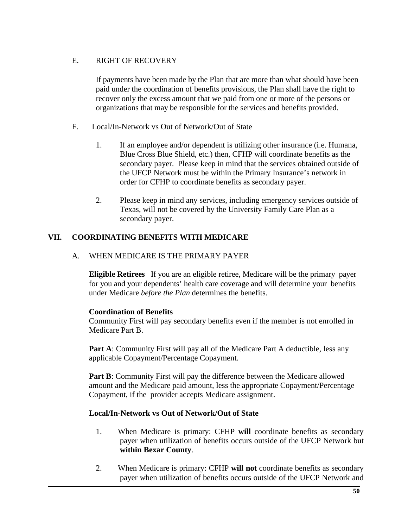# E. RIGHT OF RECOVERY

If payments have been made by the Plan that are more than what should have been paid under the coordination of benefits provisions, the Plan shall have the right to recover only the excess amount that we paid from one or more of the persons or organizations that may be responsible for the services and benefits provided.

- F. Local/In-Network vs Out of Network/Out of State
	- 1. If an employee and/or dependent is utilizing other insurance (i.e. Humana, Blue Cross Blue Shield, etc.) then, CFHP will coordinate benefits as the secondary payer. Please keep in mind that the services obtained outside of the UFCP Network must be within the Primary Insurance's network in order for CFHP to coordinate benefits as secondary payer.
	- 2. Please keep in mind any services, including emergency services outside of Texas, will not be covered by the University Family Care Plan as a secondary payer.

## **VII. COORDINATING BENEFITS WITH MEDICARE**

#### A. WHEN MEDICARE IS THE PRIMARY PAYER

**Eligible Retirees** If you are an eligible retiree, Medicare will be the primary payer for you and your dependents' health care coverage and will determine your benefits under Medicare *before the Plan* determines the benefits.

## **Coordination of Benefits**

Community First will pay secondary benefits even if the member is not enrolled in Medicare Part B.

**Part A**: Community First will pay all of the Medicare Part A deductible, less any applicable Copayment/Percentage Copayment.

**Part B**: Community First will pay the difference between the Medicare allowed amount and the Medicare paid amount, less the appropriate Copayment/Percentage Copayment, if the provider accepts Medicare assignment.

## **Local/In-Network vs Out of Network/Out of State**

- 1. When Medicare is primary: CFHP **will** coordinate benefits as secondary payer when utilization of benefits occurs outside of the UFCP Network but **within Bexar County**.
- 2. When Medicare is primary: CFHP **will not** coordinate benefits as secondary payer when utilization of benefits occurs outside of the UFCP Network and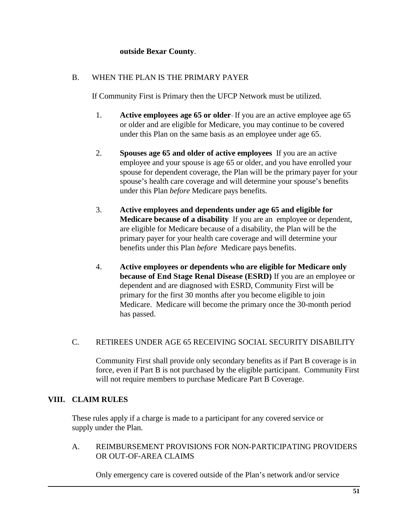## **outside Bexar County**.

## B. WHEN THE PLAN IS THE PRIMARY PAYER

If Community First is Primary then the UFCP Network must be utilized.

- 1. **Active employees age 65 or older** If you are an active employee age 65 or older and are eligible for Medicare, you may continue to be covered under this Plan on the same basis as an employee under age 65.
- 2. **Spouses age 65 and older of active employees** If you are an active employee and your spouse is age 65 or older, and you have enrolled your spouse for dependent coverage, the Plan will be the primary payer for your spouse's health care coverage and will determine your spouse's benefits under this Plan *before* Medicare pays benefits.
- 3. **Active employees and dependents under age 65 and eligible for Medicare because of a disability** If you are an employee or dependent, are eligible for Medicare because of a disability, the Plan will be the primary payer for your health care coverage and will determine your benefits under this Plan *before* Medicare pays benefits.
- 4. **Active employees or dependents who are eligible for Medicare only because of End Stage Renal Disease (ESRD)** If you are an employee or dependent and are diagnosed with ESRD, Community First will be primary for the first 30 months after you become eligible to join Medicare. Medicare will become the primary once the 30-month period has passed.

## C. RETIREES UNDER AGE 65 RECEIVING SOCIAL SECURITY DISABILITY

Community First shall provide only secondary benefits as if Part B coverage is in force, even if Part B is not purchased by the eligible participant. Community First will not require members to purchase Medicare Part B Coverage.

## **VIII. CLAIM RULES**

These rules apply if a charge is made to a participant for any covered service or supply under the Plan.

#### A. REIMBURSEMENT PROVISIONS FOR NON-PARTICIPATING PROVIDERS OR OUT-OF-AREA CLAIMS

Only emergency care is covered outside of the Plan's network and/or service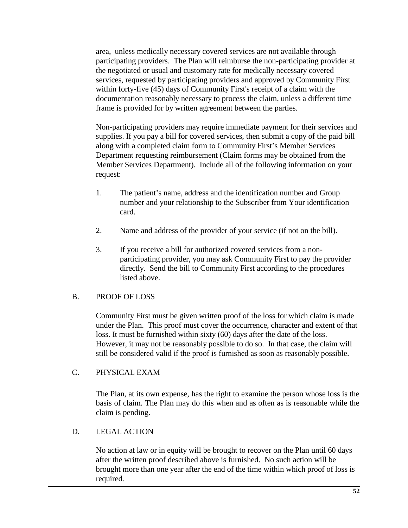area, unless medically necessary covered services are not available through participating providers. The Plan will reimburse the non-participating provider at the negotiated or usual and customary rate for medically necessary covered services, requested by participating providers and approved by Community First within forty-five (45) days of Community First's receipt of a claim with the documentation reasonably necessary to process the claim, unless a different time frame is provided for by written agreement between the parties.

Non-participating providers may require immediate payment for their services and supplies. If you pay a bill for covered services, then submit a copy of the paid bill along with a completed claim form to Community First's Member Services Department requesting reimbursement (Claim forms may be obtained from the Member Services Department). Include all of the following information on your request:

- 1. The patient's name, address and the identification number and Group number and your relationship to the Subscriber from Your identification card.
- 2. Name and address of the provider of your service (if not on the bill).
- 3. If you receive a bill for authorized covered services from a nonparticipating provider, you may ask Community First to pay the provider directly. Send the bill to Community First according to the procedures listed above.

## B. PROOF OF LOSS

Community First must be given written proof of the loss for which claim is made under the Plan. This proof must cover the occurrence, character and extent of that loss. It must be furnished within sixty (60) days after the date of the loss. However, it may not be reasonably possible to do so. In that case, the claim will still be considered valid if the proof is furnished as soon as reasonably possible.

## C. PHYSICAL EXAM

The Plan, at its own expense, has the right to examine the person whose loss is the basis of claim. The Plan may do this when and as often as is reasonable while the claim is pending.

## D. LEGAL ACTION

No action at law or in equity will be brought to recover on the Plan until 60 days after the written proof described above is furnished. No such action will be brought more than one year after the end of the time within which proof of loss is required.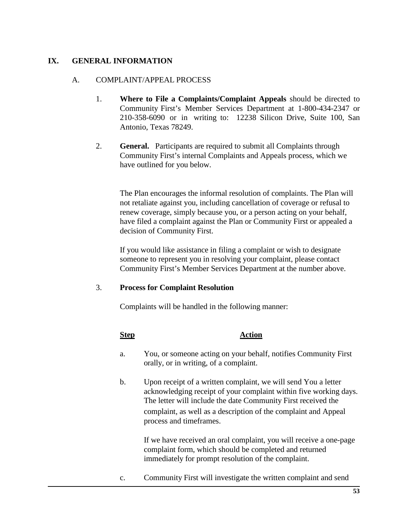## **IX. GENERAL INFORMATION**

#### A. COMPLAINT/APPEAL PROCESS

- 1. **Where to File a Complaints/Complaint Appeals** should be directed to Community First's Member Services Department at 1-800-434-2347 or 210-358-6090 or in writing to: 12238 Silicon Drive, Suite 100, San Antonio, Texas 78249.
- 2. **General.** Participants are required to submit all Complaints through Community First's internal Complaints and Appeals process, which we have outlined for you below.

The Plan encourages the informal resolution of complaints. The Plan will not retaliate against you, including cancellation of coverage or refusal to renew coverage, simply because you, or a person acting on your behalf, have filed a complaint against the Plan or Community First or appealed a decision of Community First.

If you would like assistance in filing a complaint or wish to designate someone to represent you in resolving your complaint, please contact Community First's Member Services Department at the number above.

## 3. **Process for Complaint Resolution**

Complaints will be handled in the following manner:

## **Step Action**

- a. You, or someone acting on your behalf, notifies Community First orally, or in writing, of a complaint.
- b. Upon receipt of a written complaint, we will send You a letter acknowledging receipt of your complaint within five working days. The letter will include the date Community First received the complaint, as well as a description of the complaint and Appeal process and timeframes.

If we have received an oral complaint, you will receive a one-page complaint form, which should be completed and returned immediately for prompt resolution of the complaint.

c. Community First will investigate the written complaint and send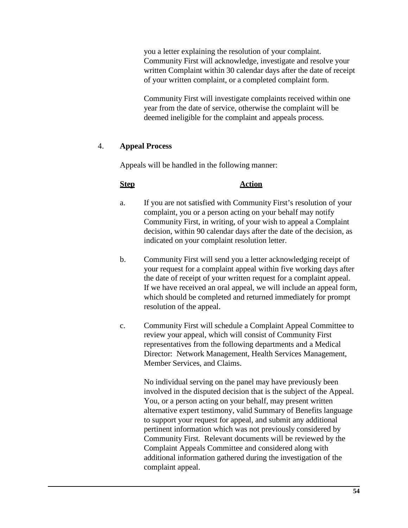you a letter explaining the resolution of your complaint. Community First will acknowledge, investigate and resolve your written Complaint within 30 calendar days after the date of receipt of your written complaint, or a completed complaint form.

Community First will investigate complaints received within one year from the date of service, otherwise the complaint will be deemed ineligible for the complaint and appeals process.

## 4. **Appeal Process**

Appeals will be handled in the following manner:

#### **Step Action**

- a. If you are not satisfied with Community First's resolution of your complaint, you or a person acting on your behalf may notify Community First, in writing, of your wish to appeal a Complaint decision, within 90 calendar days after the date of the decision, as indicated on your complaint resolution letter.
- b. Community First will send you a letter acknowledging receipt of your request for a complaint appeal within five working days after the date of receipt of your written request for a complaint appeal. If we have received an oral appeal, we will include an appeal form, which should be completed and returned immediately for prompt resolution of the appeal.
- c. Community First will schedule a Complaint Appeal Committee to review your appeal, which will consist of Community First representatives from the following departments and a Medical Director: Network Management, Health Services Management, Member Services, and Claims.

No individual serving on the panel may have previously been involved in the disputed decision that is the subject of the Appeal. You, or a person acting on your behalf, may present written alternative expert testimony, valid Summary of Benefits language to support your request for appeal, and submit any additional pertinent information which was not previously considered by Community First. Relevant documents will be reviewed by the Complaint Appeals Committee and considered along with additional information gathered during the investigation of the complaint appeal.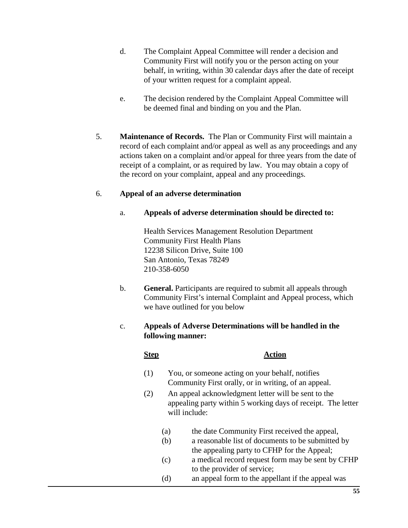- d. The Complaint Appeal Committee will render a decision and Community First will notify you or the person acting on your behalf, in writing, within 30 calendar days after the date of receipt of your written request for a complaint appeal.
- e. The decision rendered by the Complaint Appeal Committee will be deemed final and binding on you and the Plan.
- 5. **Maintenance of Records.** The Plan or Community First will maintain a record of each complaint and/or appeal as well as any proceedings and any actions taken on a complaint and/or appeal for three years from the date of receipt of a complaint, or as required by law. You may obtain a copy of the record on your complaint, appeal and any proceedings.

## 6. **Appeal of an adverse determination**

#### a. **Appeals of adverse determination should be directed to:**

Health Services Management Resolution Department Community First Health Plans 12238 Silicon Drive, Suite 100 San Antonio, Texas 78249 210-358-6050

b. **General.** Participants are required to submit all appeals through Community First's internal Complaint and Appeal process, which we have outlined for you below

# c. **Appeals of Adverse Determinations will be handled in the following manner:**

#### **Step Action**

- (1) You, or someone acting on your behalf, notifies Community First orally, or in writing, of an appeal.
- (2) An appeal acknowledgment letter will be sent to the appealing party within 5 working days of receipt. The letter will include:
	- (a) the date Community First received the appeal,
	- (b) a reasonable list of documents to be submitted by the appealing party to CFHP for the Appeal;
	- (c) a medical record request form may be sent by CFHP to the provider of service;
	- (d) an appeal form to the appellant if the appeal was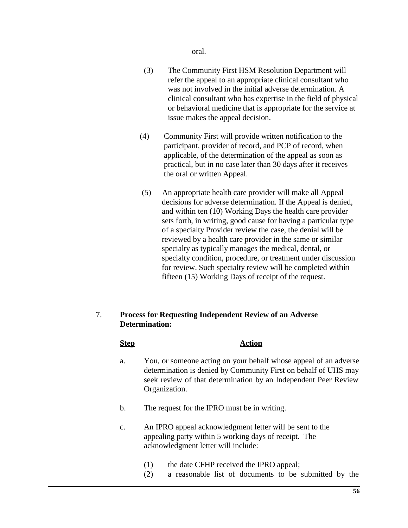oral.

- (3) The Community First HSM Resolution Department will refer the appeal to an appropriate clinical consultant who was not involved in the initial adverse determination. A clinical consultant who has expertise in the field of physical or behavioral medicine that is appropriate for the service at issue makes the appeal decision.
- (4) Community First will provide written notification to the participant, provider of record, and PCP of record, when applicable, of the determination of the appeal as soon as practical, but in no case later than 30 days after it receives the oral or written Appeal.
- (5) An appropriate health care provider will make all Appeal decisions for adverse determination. If the Appeal is denied, and within ten (10) Working Days the health care provider sets forth, in writing, good cause for having a particular type of a specialty Provider review the case, the denial will be reviewed by a health care provider in the same or similar specialty as typically manages the medical, dental, or specialty condition, procedure, or treatment under discussion for review. Such specialty review will be completed within fifteen (15) Working Days of receipt of the request.

# 7. **Process for Requesting Independent Review of an Adverse Determination:**

#### **Step Action**

- a. You, or someone acting on your behalf whose appeal of an adverse determination is denied by Community First on behalf of UHS may seek review of that determination by an Independent Peer Review Organization.
- b. The request for the IPRO must be in writing.
- c. An IPRO appeal acknowledgment letter will be sent to the appealing party within 5 working days of receipt. The acknowledgment letter will include:
	- (1) the date CFHP received the IPRO appeal;
	- (2) a reasonable list of documents to be submitted by the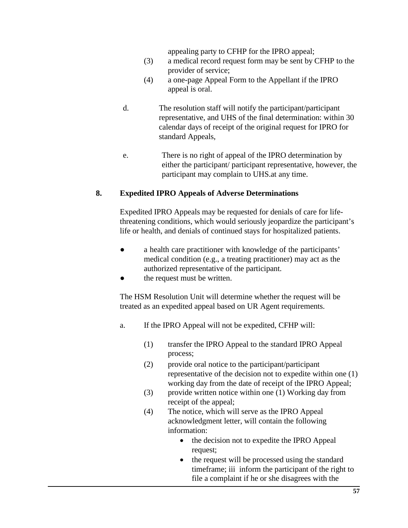appealing party to CFHP for the IPRO appeal;

- (3) a medical record request form may be sent by CFHP to the provider of service;
- (4) a one-page Appeal Form to the Appellant if the IPRO appeal is oral.
- d. The resolution staff will notify the participant/participant representative, and UHS of the final determination: within 30 calendar days of receipt of the original request for IPRO for standard Appeals,
- e. There is no right of appeal of the IPRO determination by either the participant/ participant representative, however, the participant may complain to UHS.at any time.

# **8. Expedited IPRO Appeals of Adverse Determinations**

Expedited IPRO Appeals may be requested for denials of care for lifethreatening conditions, which would seriously jeopardize the participant's life or health, and denials of continued stays for hospitalized patients.

- a health care practitioner with knowledge of the participants' medical condition (e.g., a treating practitioner) may act as the authorized representative of the participant.
- the request must be written.

The HSM Resolution Unit will determine whether the request will be treated as an expedited appeal based on UR Agent requirements.

- a. If the IPRO Appeal will not be expedited, CFHP will:
	- (1) transfer the IPRO Appeal to the standard IPRO Appeal process;
	- (2) provide oral notice to the participant/participant representative of the decision not to expedite within one (1) working day from the date of receipt of the IPRO Appeal;
	- (3) provide written notice within one (1) Working day from receipt of the appeal;
	- (4) The notice, which will serve as the IPRO Appeal acknowledgment letter, will contain the following information:
		- the decision not to expedite the IPRO Appeal request;
		- the request will be processed using the standard timeframe; iii inform the participant of the right to file a complaint if he or she disagrees with the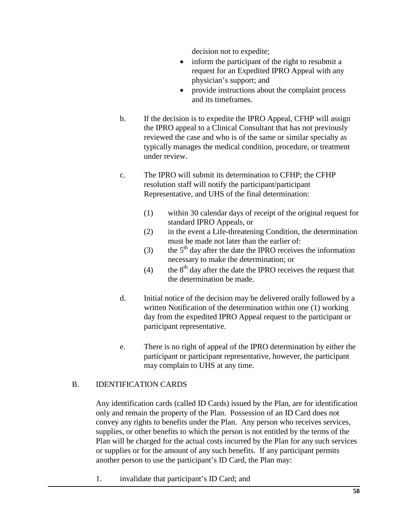decision not to expedite;

- inform the participant of the right to resubmit a request for an Expedited IPRO Appeal with any physician's support; and
- provide instructions about the complaint process and its timeframes.
- b. If the decision is to expedite the IPRO Appeal, CFHP will assign the IPRO appeal to a Clinical Consultant that has not previously reviewed the case and who is of the same or similar specialty as typically manages the medical condition, procedure, or treatment under review.
- c. The IPRO will submit its determination to CFHP; the CFHP resolution staff will notify the participant/participant Representative, and UHS of the final determination:
	- (1) within 30 calendar days of receipt of the original request for standard IPRO Appeals, or
	- (2) in the event a Life-threatening Condition, the determination must be made not later than the earlier of:
	- (3) the  $5<sup>th</sup>$  day after the date the IPRO receives the information necessary to make the determination; or
	- (4) the  $8<sup>th</sup>$  day after the date the IPRO receives the request that the determination be made.
- d. Initial notice of the decision may be delivered orally followed by a written Notification of the determination within one (1) working day from the expedited IPRO Appeal request to the participant or participant representative.
- e. There is no right of appeal of the IPRO determination by either the participant or participant representative, however, the participant may complain to UHS at any time.

## B. IDENTIFICATION CARDS

Any identification cards (called ID Cards) issued by the Plan, are for identification only and remain the property of the Plan. Possession of an ID Card does not convey any rights to benefits under the Plan. Any person who receives services, supplies, or other benefits to which the person is not entitled by the terms of the Plan will be charged for the actual costs incurred by the Plan for any such services or supplies or for the amount of any such benefits. If any participant permits another person to use the participant's ID Card, the Plan may:

1. invalidate that participant's ID Card; and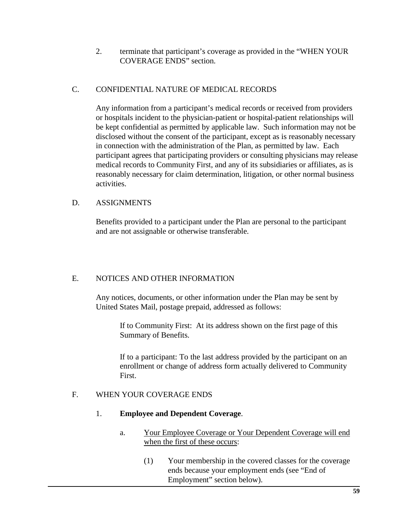2. terminate that participant's coverage as provided in the "WHEN YOUR COVERAGE ENDS" section.

## C. CONFIDENTIAL NATURE OF MEDICAL RECORDS

Any information from a participant's medical records or received from providers or hospitals incident to the physician-patient or hospital-patient relationships will be kept confidential as permitted by applicable law. Such information may not be disclosed without the consent of the participant, except as is reasonably necessary in connection with the administration of the Plan, as permitted by law. Each participant agrees that participating providers or consulting physicians may release medical records to Community First, and any of its subsidiaries or affiliates, as is reasonably necessary for claim determination, litigation, or other normal business activities.

# D. ASSIGNMENTS

Benefits provided to a participant under the Plan are personal to the participant and are not assignable or otherwise transferable.

# E. NOTICES AND OTHER INFORMATION

Any notices, documents, or other information under the Plan may be sent by United States Mail, postage prepaid, addressed as follows:

If to Community First: At its address shown on the first page of this Summary of Benefits.

If to a participant: To the last address provided by the participant on an enrollment or change of address form actually delivered to Community First.

## F. WHEN YOUR COVERAGE ENDS

## 1. **Employee and Dependent Coverage**.

- a. Your Employee Coverage or Your Dependent Coverage will end when the first of these occurs:
	- (1) Your membership in the covered classes for the coverage ends because your employment ends (see "End of Employment" section below).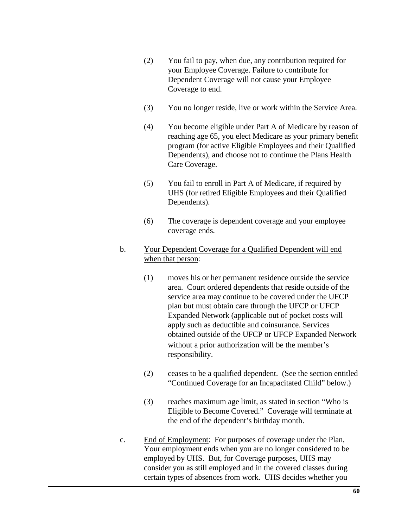- (2) You fail to pay, when due, any contribution required for your Employee Coverage. Failure to contribute for Dependent Coverage will not cause your Employee Coverage to end.
- (3) You no longer reside, live or work within the Service Area.
- (4) You become eligible under Part A of Medicare by reason of reaching age 65, you elect Medicare as your primary benefit program (for active Eligible Employees and their Qualified Dependents), and choose not to continue the Plans Health Care Coverage.
- (5) You fail to enroll in Part A of Medicare, if required by UHS (for retired Eligible Employees and their Qualified Dependents).
- (6) The coverage is dependent coverage and your employee coverage ends.
- b. Your Dependent Coverage for a Qualified Dependent will end when that person:
	- (1) moves his or her permanent residence outside the service area. Court ordered dependents that reside outside of the service area may continue to be covered under the UFCP plan but must obtain care through the UFCP or UFCP Expanded Network (applicable out of pocket costs will apply such as deductible and coinsurance. Services obtained outside of the UFCP or UFCP Expanded Network without a prior authorization will be the member's responsibility.
	- (2) ceases to be a qualified dependent. (See the section entitled "Continued Coverage for an Incapacitated Child" below.)
	- (3) reaches maximum age limit, as stated in section "Who is Eligible to Become Covered." Coverage will terminate at the end of the dependent's birthday month.
- c. End of Employment: For purposes of coverage under the Plan, Your employment ends when you are no longer considered to be employed by UHS. But, for Coverage purposes, UHS may consider you as still employed and in the covered classes during certain types of absences from work. UHS decides whether you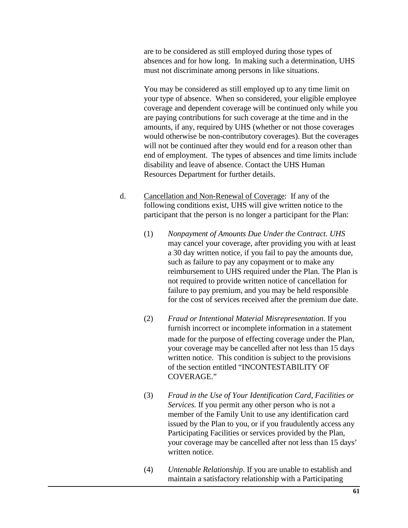are to be considered as still employed during those types of absences and for how long. In making such a determination, UHS must not discriminate among persons in like situations.

You may be considered as still employed up to any time limit on your type of absence. When so considered, your eligible employee coverage and dependent coverage will be continued only while you are paying contributions for such coverage at the time and in the amounts, if any, required by UHS (whether or not those coverages would otherwise be non-contributory coverages). But the coverages will not be continued after they would end for a reason other than end of employment. The types of absences and time limits include disability and leave of absence. Contact the UHS Human Resources Department for further details.

- d. Cancellation and Non-Renewal of Coverage: If any of the following conditions exist, UHS will give written notice to the participant that the person is no longer a participant for the Plan:
	- (1) *Nonpayment of Amounts Due Under the Contract. UHS* may cancel your coverage, after providing you with at least a 30 day written notice, if you fail to pay the amounts due, such as failure to pay any copayment or to make any reimbursement to UHS required under the Plan. The Plan is not required to provide written notice of cancellation for failure to pay premium, and you may be held responsible for the cost of services received after the premium due date.
	- (2) *Fraud or Intentional Material Misrepresentation.* If you furnish incorrect or incomplete information in a statement made for the purpose of effecting coverage under the Plan, your coverage may be cancelled after not less than 15 days written notice. This condition is subject to the provisions of the section entitled "INCONTESTABILITY OF COVERAGE."
	- (3) *Fraud in the Use of Your Identification Card, Facilities or Services.* If you permit any other person who is not a member of the Family Unit to use any identification card issued by the Plan to you, or if you fraudulently access any Participating Facilities or services provided by the Plan, your coverage may be cancelled after not less than 15 days' written notice.
	- (4) *Untenable Relationship*. If you are unable to establish and maintain a satisfactory relationship with a Participating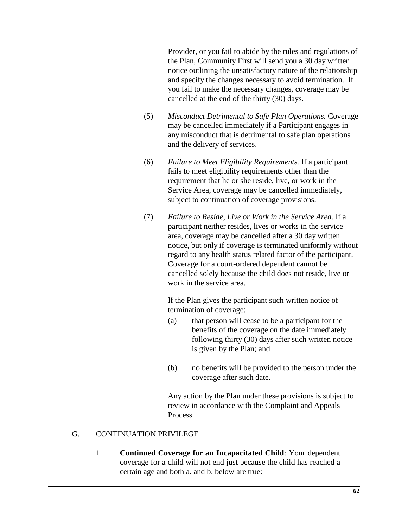Provider, or you fail to abide by the rules and regulations of the Plan, Community First will send you a 30 day written notice outlining the unsatisfactory nature of the relationship and specify the changes necessary to avoid termination. If you fail to make the necessary changes, coverage may be cancelled at the end of the thirty (30) days.

- (5) *Misconduct Detrimental to Safe Plan Operations.* Coverage may be cancelled immediately if a Participant engages in any misconduct that is detrimental to safe plan operations and the delivery of services.
- (6) *Failure to Meet Eligibility Requirements.* If a participant fails to meet eligibility requirements other than the requirement that he or she reside, live, or work in the Service Area, coverage may be cancelled immediately, subject to continuation of coverage provisions.
- (7) *Failure to Reside, Live or Work in the Service Area.* If a participant neither resides, lives or works in the service area, coverage may be cancelled after a 30 day written notice, but only if coverage is terminated uniformly without regard to any health status related factor of the participant. Coverage for a court-ordered dependent cannot be cancelled solely because the child does not reside, live or work in the service area.

If the Plan gives the participant such written notice of termination of coverage:

- (a) that person will cease to be a participant for the benefits of the coverage on the date immediately following thirty (30) days after such written notice is given by the Plan; and
- (b) no benefits will be provided to the person under the coverage after such date.

Any action by the Plan under these provisions is subject to review in accordance with the Complaint and Appeals Process.

## G. CONTINUATION PRIVILEGE

1. **Continued Coverage for an Incapacitated Child**: Your dependent coverage for a child will not end just because the child has reached a certain age and both a. and b. below are true: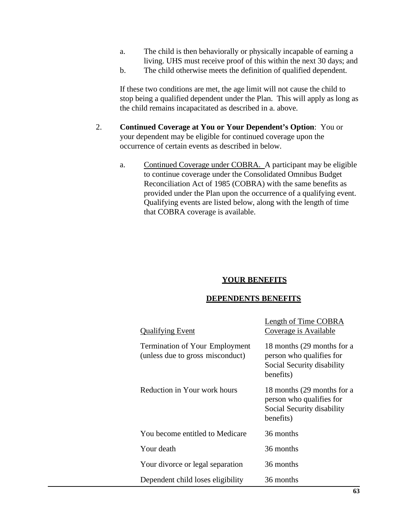- a. The child is then behaviorally or physically incapable of earning a living. UHS must receive proof of this within the next 30 days; and
- b. The child otherwise meets the definition of qualified dependent.

If these two conditions are met, the age limit will not cause the child to stop being a qualified dependent under the Plan. This will apply as long as the child remains incapacitated as described in a. above.

- 2. **Continued Coverage at You or Your Dependent's Option**: You or your dependent may be eligible for continued coverage upon the occurrence of certain events as described in below.
	- a. Continued Coverage under COBRA. A participant may be eligible to continue coverage under the Consolidated Omnibus Budget Reconciliation Act of 1985 (COBRA) with the same benefits as provided under the Plan upon the occurrence of a qualifying event. Qualifying events are listed below, along with the length of time that COBRA coverage is available.

#### **YOUR BENEFITS**

#### **DEPENDENTS BENEFITS**

| <b>Qualifying Event</b>                                                   | <b>Length of Time COBRA</b><br>Coverage is Available                                              |
|---------------------------------------------------------------------------|---------------------------------------------------------------------------------------------------|
| <b>Termination of Your Employment</b><br>(unless due to gross misconduct) | 18 months (29 months for a<br>person who qualifies for<br>Social Security disability<br>benefits) |
| Reduction in Your work hours                                              | 18 months (29 months for a<br>person who qualifies for<br>Social Security disability<br>benefits) |
| You become entitled to Medicare                                           | 36 months                                                                                         |
| Your death                                                                | 36 months                                                                                         |
| Your divorce or legal separation                                          | 36 months                                                                                         |
| Dependent child loses eligibility                                         | 36 months                                                                                         |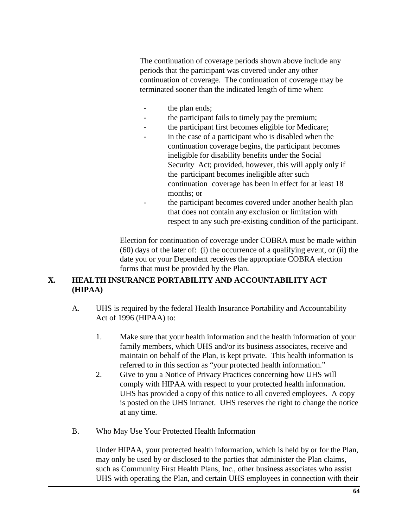The continuation of coverage periods shown above include any periods that the participant was covered under any other continuation of coverage. The continuation of coverage may be terminated sooner than the indicated length of time when:

- the plan ends;
- the participant fails to timely pay the premium;
- the participant first becomes eligible for Medicare;
- in the case of a participant who is disabled when the continuation coverage begins, the participant becomes ineligible for disability benefits under the Social Security Act; provided, however, this will apply only if the participant becomes ineligible after such continuation coverage has been in effect for at least 18 months; or
- the participant becomes covered under another health plan that does not contain any exclusion or limitation with respect to any such pre-existing condition of the participant.

Election for continuation of coverage under COBRA must be made within (60) days of the later of: (i) the occurrence of a qualifying event, or (ii) the date you or your Dependent receives the appropriate COBRA election forms that must be provided by the Plan.

# **X. HEALTH INSURANCE PORTABILITY AND ACCOUNTABILITY ACT (HIPAA)**

- A. UHS is required by the federal Health Insurance Portability and Accountability Act of 1996 (HIPAA) to:
	- 1. Make sure that your health information and the health information of your family members, which UHS and/or its business associates, receive and maintain on behalf of the Plan, is kept private. This health information is referred to in this section as "your protected health information."
	- 2. Give to you a Notice of Privacy Practices concerning how UHS will comply with HIPAA with respect to your protected health information. UHS has provided a copy of this notice to all covered employees. A copy is posted on the UHS intranet. UHS reserves the right to change the notice at any time.
- B. Who May Use Your Protected Health Information

Under HIPAA, your protected health information, which is held by or for the Plan, may only be used by or disclosed to the parties that administer the Plan claims, such as Community First Health Plans, Inc., other business associates who assist UHS with operating the Plan, and certain UHS employees in connection with their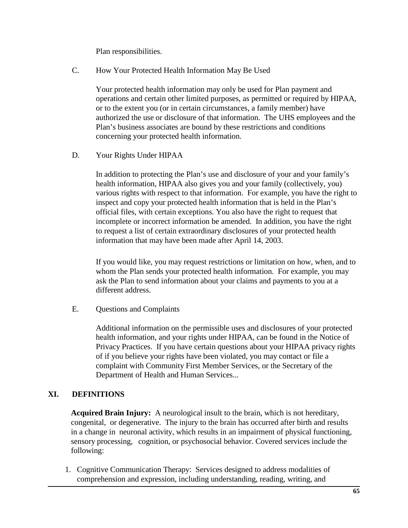Plan responsibilities.

C. How Your Protected Health Information May Be Used

Your protected health information may only be used for Plan payment and operations and certain other limited purposes, as permitted or required by HIPAA, or to the extent you (or in certain circumstances, a family member) have authorized the use or disclosure of that information. The UHS employees and the Plan's business associates are bound by these restrictions and conditions concerning your protected health information.

D. Your Rights Under HIPAA

In addition to protecting the Plan's use and disclosure of your and your family's health information, HIPAA also gives you and your family (collectively, you) various rights with respect to that information. For example, you have the right to inspect and copy your protected health information that is held in the Plan's official files, with certain exceptions. You also have the right to request that incomplete or incorrect information be amended. In addition, you have the right to request a list of certain extraordinary disclosures of your protected health information that may have been made after April 14, 2003.

If you would like, you may request restrictions or limitation on how, when, and to whom the Plan sends your protected health information. For example, you may ask the Plan to send information about your claims and payments to you at a different address.

E. Questions and Complaints

Additional information on the permissible uses and disclosures of your protected health information, and your rights under HIPAA, can be found in the Notice of Privacy Practices. If you have certain questions about your HIPAA privacy rights of if you believe your rights have been violated, you may contact or file a complaint with Community First Member Services, or the Secretary of the Department of Health and Human Services...

# **XI. DEFINITIONS**

**Acquired Brain Injury:** A neurological insult to the brain, which is not hereditary, congenital, or degenerative. The injury to the brain has occurred after birth and results in a change in neuronal activity, which results in an impairment of physical functioning, sensory processing, cognition, or psychosocial behavior. Covered services include the following:

1. Cognitive Communication Therapy: Services designed to address modalities of comprehension and expression, including understanding, reading, writing, and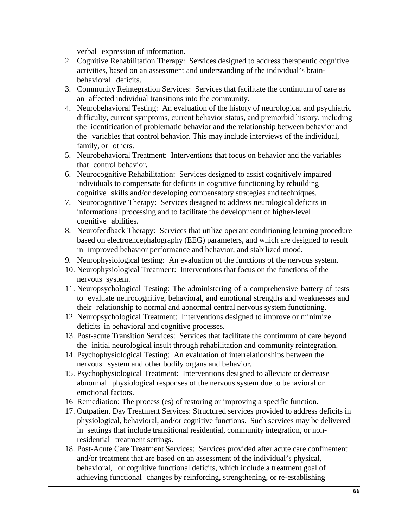verbal expression of information.

- 2. Cognitive Rehabilitation Therapy: Services designed to address therapeutic cognitive activities, based on an assessment and understanding of the individual's brainbehavioral deficits.
- 3. Community Reintegration Services: Services that facilitate the continuum of care as an affected individual transitions into the community.
- 4. Neurobehavioral Testing: An evaluation of the history of neurological and psychiatric difficulty, current symptoms, current behavior status, and premorbid history, including the identification of problematic behavior and the relationship between behavior and the variables that control behavior. This may include interviews of the individual, family, or others.
- 5. Neurobehavioral Treatment: Interventions that focus on behavior and the variables that control behavior.
- 6. Neurocognitive Rehabilitation: Services designed to assist cognitively impaired individuals to compensate for deficits in cognitive functioning by rebuilding cognitive skills and/or developing compensatory strategies and techniques.
- 7. Neurocognitive Therapy: Services designed to address neurological deficits in informational processing and to facilitate the development of higher-level cognitive abilities.
- 8. Neurofeedback Therapy: Services that utilize operant conditioning learning procedure based on electroencephalography (EEG) parameters, and which are designed to result in improved behavior performance and behavior, and stabilized mood.
- 9. Neurophysiological testing: An evaluation of the functions of the nervous system.
- 10. Neurophysiological Treatment: Interventions that focus on the functions of the nervous system.
- 11. Neuropsychological Testing: The administering of a comprehensive battery of tests to evaluate neurocognitive, behavioral, and emotional strengths and weaknesses and their relationship to normal and abnormal central nervous system functioning.
- 12. Neuropsychological Treatment: Interventions designed to improve or minimize deficits in behavioral and cognitive processes.
- 13. Post-acute Transition Services: Services that facilitate the continuum of care beyond the initial neurological insult through rehabilitation and community reintegration.
- 14. Psychophysiological Testing: An evaluation of interrelationships between the nervous system and other bodily organs and behavior.
- 15. Psychophysiological Treatment: Interventions designed to alleviate or decrease abnormal physiological responses of the nervous system due to behavioral or emotional factors.
- 16 Remediation: The process (es) of restoring or improving a specific function.
- 17. Outpatient Day Treatment Services: Structured services provided to address deficits in physiological, behavioral, and/or cognitive functions. Such services may be delivered in settings that include transitional residential, community integration, or nonresidential treatment settings.
- 18. Post-Acute Care Treatment Services: Services provided after acute care confinement and/or treatment that are based on an assessment of the individual's physical, behavioral, or cognitive functional deficits, which include a treatment goal of achieving functional changes by reinforcing, strengthening, or re-establishing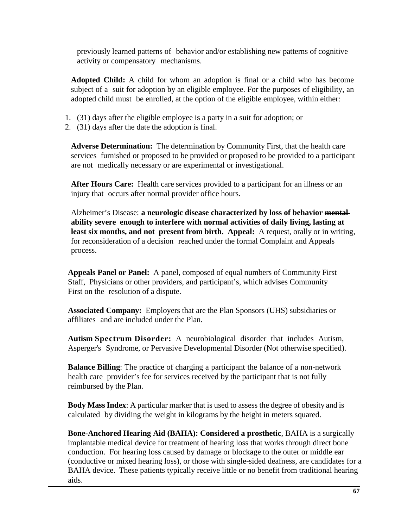previously learned patterns of behavior and/or establishing new patterns of cognitive activity or compensatory mechanisms.

**Adopted Child:** A child for whom an adoption is final or a child who has become subject of a suit for adoption by an eligible employee. For the purposes of eligibility, an adopted child must be enrolled, at the option of the eligible employee, within either:

- 1. (31) days after the eligible employee is a party in a suit for adoption; or
- 2. (31) days after the date the adoption is final.

**Adverse Determination:** The determination by Community First, that the health care services furnished or proposed to be provided or proposed to be provided to a participant are not medically necessary or are experimental or investigational.

**After Hours Care:** Health care services provided to a participant for an illness or an injury that occurs after normal provider office hours.

Alzheimer's Disease: **a neurologic disease characterized by loss of behavior mental ability severe enough to interfere with normal activities of daily living, lasting at least six months, and not present from birth. Appeal:** A request, orally or in writing, for reconsideration of a decision reached under the formal Complaint and Appeals process.

**Appeals Panel or Panel:** A panel, composed of equal numbers of Community First Staff, Physicians or other providers, and participant's, which advises Community First on the resolution of a dispute.

**Associated Company:** Employers that are the Plan Sponsors (UHS) subsidiaries or affiliates and are included under the Plan.

**Autism Spectrum Disorder:** A neurobiological disorder that includes Autism, Asperger's Syndrome, or Pervasive Developmental Disorder (Not otherwise specified).

**Balance Billing**: The practice of charging a participant the balance of a non-network health care provider's fee for services received by the participant that is not fully reimbursed by the Plan.

**Body Mass Index**: A particular marker that is used to assess the degree of obesity and is calculated by dividing the weight in kilograms by the height in meters squared.

**Bone-Anchored Hearing Aid (BAHA): Considered a prosthetic**, BAHA is a surgically implantable medical device for treatment of hearing loss that works through direct bone conduction. For hearing loss caused by damage or blockage to the outer or middle ear (conductive or mixed hearing loss), or those with single-sided deafness, are candidates for a BAHA device. These patients typically receive little or no benefit from traditional hearing aids.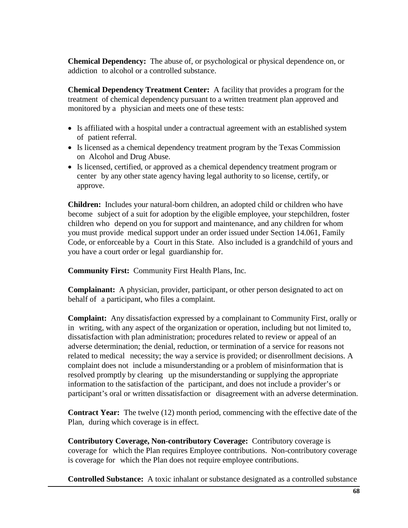**Chemical Dependency:** The abuse of, or psychological or physical dependence on, or addiction to alcohol or a controlled substance.

**Chemical Dependency Treatment Center:** A facility that provides a program for the treatment of chemical dependency pursuant to a written treatment plan approved and monitored by a physician and meets one of these tests:

- Is affiliated with a hospital under a contractual agreement with an established system of patient referral.
- Is licensed as a chemical dependency treatment program by the Texas Commission on Alcohol and Drug Abuse.
- Is licensed, certified, or approved as a chemical dependency treatment program or center by any other state agency having legal authority to so license, certify, or approve.

**Children:** Includes your natural-born children, an adopted child or children who have become subject of a suit for adoption by the eligible employee, your stepchildren, foster children who depend on you for support and maintenance, and any children for whom you must provide medical support under an order issued under Section 14.061, Family Code, or enforceable by a Court in this State. Also included is a grandchild of yours and you have a court order or legal guardianship for.

**Community First:** Community First Health Plans, Inc.

**Complainant:** A physician, provider, participant, or other person designated to act on behalf of a participant, who files a complaint.

**Complaint:** Any dissatisfaction expressed by a complainant to Community First, orally or in writing, with any aspect of the organization or operation, including but not limited to, dissatisfaction with plan administration; procedures related to review or appeal of an adverse determination; the denial, reduction, or termination of a service for reasons not related to medical necessity; the way a service is provided; or disenrollment decisions. A complaint does not include a misunderstanding or a problem of misinformation that is resolved promptly by clearing up the misunderstanding or supplying the appropriate information to the satisfaction of the participant, and does not include a provider's or participant's oral or written dissatisfaction or disagreement with an adverse determination.

**Contract Year:** The twelve (12) month period, commencing with the effective date of the Plan, during which coverage is in effect.

**Contributory Coverage, Non-contributory Coverage:** Contributory coverage is coverage for which the Plan requires Employee contributions. Non-contributory coverage is coverage for which the Plan does not require employee contributions.

**Controlled Substance:** A toxic inhalant or substance designated as a controlled substance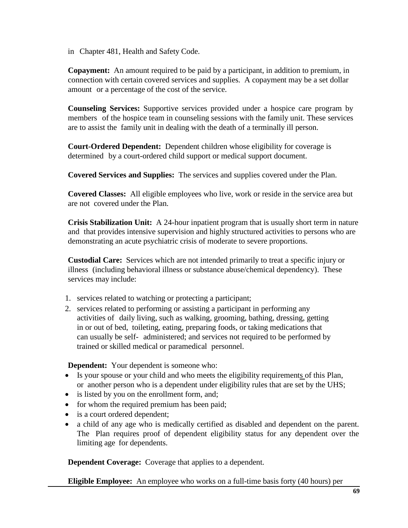in Chapter 481, Health and Safety Code.

**Copayment:** An amount required to be paid by a participant, in addition to premium, in connection with certain covered services and supplies. A copayment may be a set dollar amount or a percentage of the cost of the service.

**Counseling Services:** Supportive services provided under a hospice care program by members of the hospice team in counseling sessions with the family unit. These services are to assist the family unit in dealing with the death of a terminally ill person.

**Court-Ordered Dependent:** Dependent children whose eligibility for coverage is determined by a court-ordered child support or medical support document.

**Covered Services and Supplies:** The services and supplies covered under the Plan.

**Covered Classes:** All eligible employees who live, work or reside in the service area but are not covered under the Plan.

**Crisis Stabilization Unit:** A 24-hour inpatient program that is usually short term in nature and that provides intensive supervision and highly structured activities to persons who are demonstrating an acute psychiatric crisis of moderate to severe proportions.

**Custodial Care:** Services which are not intended primarily to treat a specific injury or illness (including behavioral illness or substance abuse/chemical dependency). These services may include:

- 1. services related to watching or protecting a participant;
- 2. services related to performing or assisting a participant in performing any activities of daily living, such as walking, grooming, bathing, dressing, getting in or out of bed, toileting, eating, preparing foods, or taking medications that can usually be self- administered; and services not required to be performed by trained or skilled medical or paramedical personnel.

**Dependent:** Your dependent is someone who:

- Is your spouse or your child and who meets the eligibility requirements of this Plan, or another person who is a dependent under eligibility rules that are set by the UHS;
- is listed by you on the enrollment form, and;
- for whom the required premium has been paid;
- is a court ordered dependent;
- a child of any age who is medically certified as disabled and dependent on the parent. The Plan requires proof of dependent eligibility status for any dependent over the limiting age for dependents.

**Dependent Coverage:** Coverage that applies to a dependent.

**Eligible Employee:** An employee who works on a full-time basis forty (40 hours) per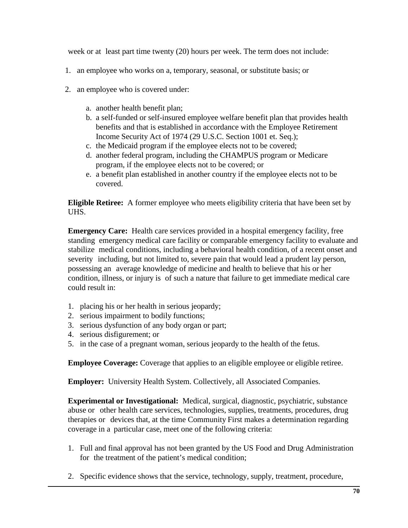week or at least part time twenty (20) hours per week. The term does not include:

- 1. an employee who works on a, temporary, seasonal, or substitute basis; or
- 2. an employee who is covered under:
	- a. another health benefit plan;
	- b. a self-funded or self-insured employee welfare benefit plan that provides health benefits and that is established in accordance with the Employee Retirement Income Security Act of 1974 (29 U.S.C. Section 1001 et. Seq.);
	- c. the Medicaid program if the employee elects not to be covered;
	- d. another federal program, including the CHAMPUS program or Medicare program, if the employee elects not to be covered; or
	- e. a benefit plan established in another country if the employee elects not to be covered.

**Eligible Retiree:** A former employee who meets eligibility criteria that have been set by UHS.

**Emergency Care:** Health care services provided in a hospital emergency facility, free standing emergency medical care facility or comparable emergency facility to evaluate and stabilize medical conditions, including a behavioral health condition, of a recent onset and severity including, but not limited to, severe pain that would lead a prudent lay person, possessing an average knowledge of medicine and health to believe that his or her condition, illness, or injury is of such a nature that failure to get immediate medical care could result in:

- 1. placing his or her health in serious jeopardy;
- 2. serious impairment to bodily functions;
- 3. serious dysfunction of any body organ or part;
- 4. serious disfigurement; or
- 5. in the case of a pregnant woman, serious jeopardy to the health of the fetus.

**Employee Coverage:** Coverage that applies to an eligible employee or eligible retiree.

**Employer:** University Health System. Collectively, all Associated Companies.

**Experimental or Investigational:** Medical, surgical, diagnostic, psychiatric, substance abuse or other health care services, technologies, supplies, treatments, procedures, drug therapies or devices that, at the time Community First makes a determination regarding coverage in a particular case, meet one of the following criteria:

- 1. Full and final approval has not been granted by the US Food and Drug Administration for the treatment of the patient's medical condition;
- 2. Specific evidence shows that the service, technology, supply, treatment, procedure,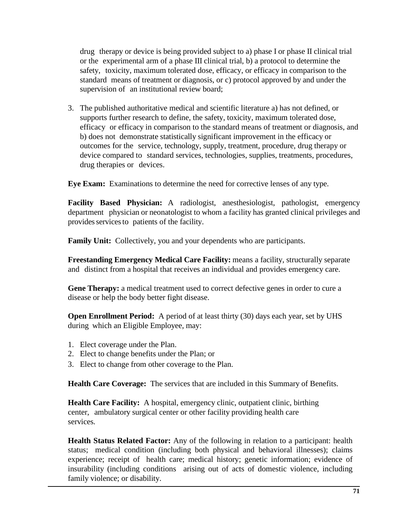drug therapy or device is being provided subject to a) phase I or phase II clinical trial or the experimental arm of a phase III clinical trial, b) a protocol to determine the safety, toxicity, maximum tolerated dose, efficacy, or efficacy in comparison to the standard means of treatment or diagnosis, or c) protocol approved by and under the supervision of an institutional review board;

3. The published authoritative medical and scientific literature a) has not defined, or supports further research to define, the safety, toxicity, maximum tolerated dose, efficacy or efficacy in comparison to the standard means of treatment or diagnosis, and b) does not demonstrate statistically significant improvement in the efficacy or outcomes for the service, technology, supply, treatment, procedure, drug therapy or device compared to standard services, technologies, supplies, treatments, procedures, drug therapies or devices.

**Eye Exam:** Examinations to determine the need for corrective lenses of any type.

**Facility Based Physician:** A radiologist, anesthesiologist, pathologist, emergency department physician or neonatologist to whom a facility has granted clinical privileges and provides services to patients of the facility.

**Family Unit:** Collectively, you and your dependents who are participants.

**Freestanding Emergency Medical Care Facility:** means a facility, structurally separate and distinct from a hospital that receives an individual and provides emergency care.

**Gene Therapy:** a medical treatment used to correct defective genes in order to cure a disease or help the body better fight disease.

**Open Enrollment Period:** A period of at least thirty (30) days each year, set by UHS during which an Eligible Employee, may:

- 1. Elect coverage under the Plan.
- 2. Elect to change benefits under the Plan; or
- 3. Elect to change from other coverage to the Plan.

**Health Care Coverage:** The services that are included in this Summary of Benefits.

**Health Care Facility:** A hospital, emergency clinic, outpatient clinic, birthing center, ambulatory surgical center or other facility providing health care services.

**Health Status Related Factor:** Any of the following in relation to a participant: health status; medical condition (including both physical and behavioral illnesses); claims experience; receipt of health care; medical history; genetic information; evidence of insurability (including conditions arising out of acts of domestic violence, including family violence; or disability.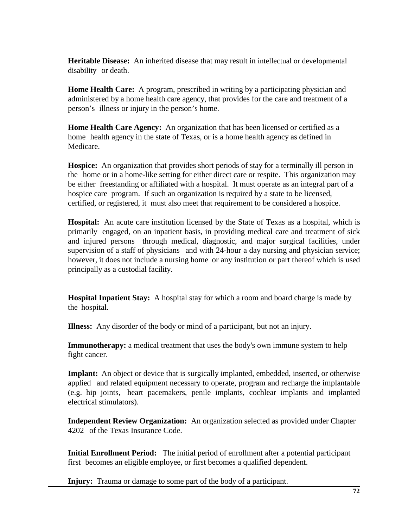**Heritable Disease:** An inherited disease that may result in intellectual or developmental disability or death.

**Home Health Care:** A program, prescribed in writing by a participating physician and administered by a home health care agency, that provides for the care and treatment of a person's illness or injury in the person's home.

**Home Health Care Agency:** An organization that has been licensed or certified as a home health agency in the state of Texas, or is a home health agency as defined in Medicare.

**Hospice:** An organization that provides short periods of stay for a terminally ill person in the home or in a home-like setting for either direct care or respite. This organization may be either freestanding or affiliated with a hospital. It must operate as an integral part of a hospice care program. If such an organization is required by a state to be licensed, certified, or registered, it must also meet that requirement to be considered a hospice.

**Hospital:** An acute care institution licensed by the State of Texas as a hospital, which is primarily engaged, on an inpatient basis, in providing medical care and treatment of sick and injured persons through medical, diagnostic, and major surgical facilities, under supervision of a staff of physicians and with 24-hour a day nursing and physician service; however, it does not include a nursing home or any institution or part thereof which is used principally as a custodial facility.

**Hospital Inpatient Stay:** A hospital stay for which a room and board charge is made by the hospital.

**Illness:** Any disorder of the body or mind of a participant, but not an injury.

**Immunotherapy:** a medical treatment that uses the body's own immune system to help fight cancer.

**Implant:** An object or device that is surgically implanted, embedded, inserted, or otherwise applied and related equipment necessary to operate, program and recharge the implantable (e.g. hip joints, heart pacemakers, penile implants, cochlear implants and implanted electrical stimulators).

**Independent Review Organization:** An organization selected as provided under Chapter 4202 of the Texas Insurance Code.

**Initial Enrollment Period:** The initial period of enrollment after a potential participant first becomes an eligible employee, or first becomes a qualified dependent.

**Injury:** Trauma or damage to some part of the body of a participant.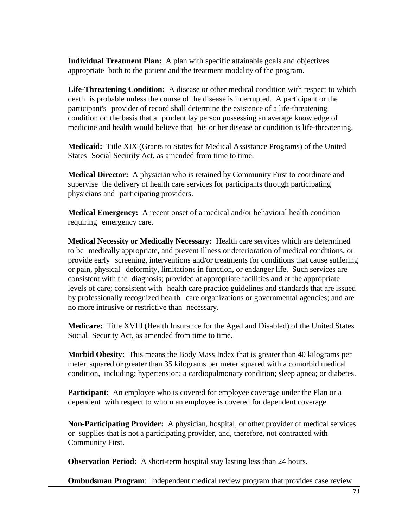**Individual Treatment Plan:** A plan with specific attainable goals and objectives appropriate both to the patient and the treatment modality of the program.

**Life-Threatening Condition:** A disease or other medical condition with respect to which death is probable unless the course of the disease is interrupted. A participant or the participant's provider of record shall determine the existence of a life-threatening condition on the basis that a prudent lay person possessing an average knowledge of medicine and health would believe that his or her disease or condition is life-threatening.

**Medicaid:** Title XIX (Grants to States for Medical Assistance Programs) of the United States Social Security Act, as amended from time to time.

**Medical Director:** A physician who is retained by Community First to coordinate and supervise the delivery of health care services for participants through participating physicians and participating providers.

**Medical Emergency:** A recent onset of a medical and/or behavioral health condition requiring emergency care.

**Medical Necessity or Medically Necessary:** Health care services which are determined to be medically appropriate, and prevent illness or deterioration of medical conditions, or provide early screening, interventions and/or treatments for conditions that cause suffering or pain, physical deformity, limitations in function, or endanger life. Such services are consistent with the diagnosis; provided at appropriate facilities and at the appropriate levels of care; consistent with health care practice guidelines and standards that are issued by professionally recognized health care organizations or governmental agencies; and are no more intrusive or restrictive than necessary.

**Medicare:** Title XVIII (Health Insurance for the Aged and Disabled) of the United States Social Security Act, as amended from time to time.

**Morbid Obesity:** This means the Body Mass Index that is greater than 40 kilograms per meter squared or greater than 35 kilograms per meter squared with a comorbid medical condition, including: hypertension; a cardiopulmonary condition; sleep apnea; or diabetes.

**Participant:** An employee who is covered for employee coverage under the Plan or a dependent with respect to whom an employee is covered for dependent coverage.

**Non-Participating Provider:** A physician, hospital, or other provider of medical services or supplies that is not a participating provider, and, therefore, not contracted with Community First.

**Observation Period:** A short-term hospital stay lasting less than 24 hours.

**Ombudsman Program:** Independent medical review program that provides case review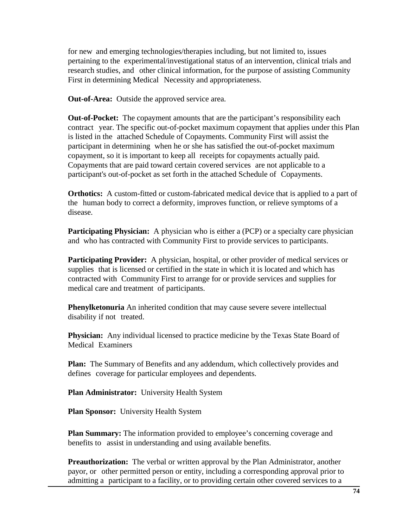for new and emerging technologies/therapies including, but not limited to, issues pertaining to the experimental/investigational status of an intervention, clinical trials and research studies, and other clinical information, for the purpose of assisting Community First in determining Medical Necessity and appropriateness.

**Out-of-Area:** Outside the approved service area.

**Out-of-Pocket:** The copayment amounts that are the participant's responsibility each contract year. The specific out-of-pocket maximum copayment that applies under this Plan is listed in the attached Schedule of Copayments. Community First will assist the participant in determining when he or she has satisfied the out-of-pocket maximum copayment, so it is important to keep all receipts for copayments actually paid. Copayments that are paid toward certain covered services are not applicable to a participant's out-of-pocket as set forth in the attached Schedule of Copayments.

**Orthotics:** A custom-fitted or custom-fabricated medical device that is applied to a part of the human body to correct a deformity, improves function, or relieve symptoms of a disease.

**Participating Physician:** A physician who is either a (PCP) or a specialty care physician and who has contracted with Community First to provide services to participants.

**Participating Provider:** A physician, hospital, or other provider of medical services or supplies that is licensed or certified in the state in which it is located and which has contracted with Community First to arrange for or provide services and supplies for medical care and treatment of participants.

**Phenylketonuria** An inherited condition that may cause severe severe intellectual disability if not treated.

**Physician:** Any individual licensed to practice medicine by the Texas State Board of Medical Examiners

**Plan:** The Summary of Benefits and any addendum, which collectively provides and defines coverage for particular employees and dependents.

**Plan Administrator:** University Health System

**Plan Sponsor:** University Health System

**Plan Summary:** The information provided to employee's concerning coverage and benefits to assist in understanding and using available benefits.

**Preauthorization:** The verbal or written approval by the Plan Administrator, another payor, or other permitted person or entity, including a corresponding approval prior to admitting a participant to a facility, or to providing certain other covered services to a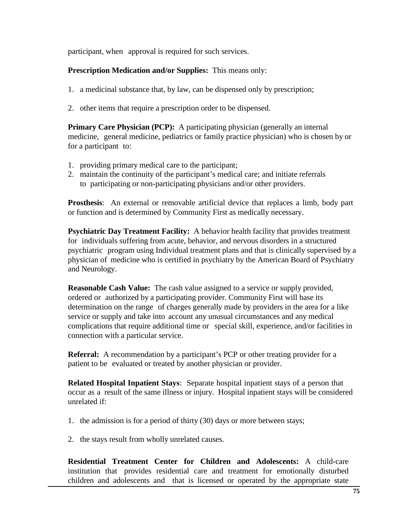participant, when approval is required for such services.

### **Prescription Medication and/or Supplies:** This means only:

- 1. a medicinal substance that, by law, can be dispensed only by prescription;
- 2. other items that require a prescription order to be dispensed.

**Primary Care Physician (PCP):** A participating physician (generally an internal medicine, general medicine, pediatrics or family practice physician) who is chosen by or for a participant to:

- 1. providing primary medical care to the participant;
- 2. maintain the continuity of the participant's medical care; and initiate referrals to participating or non-participating physicians and/or other providers.

**Prosthesis**: An external or removable artificial device that replaces a limb, body part or function and is determined by Community First as medically necessary.

**Psychiatric Day Treatment Facility:** A behavior health facility that provides treatment for individuals suffering from acute, behavior, and nervous disorders in a structured psychiatric program using Individual treatment plans and that is clinically supervised by a physician of medicine who is certified in psychiatry by the American Board of Psychiatry and Neurology.

**Reasonable Cash Value:** The cash value assigned to a service or supply provided, ordered or authorized by a participating provider. Community First will base its determination on the range of charges generally made by providers in the area for a like service or supply and take into account any unusual circumstances and any medical complications that require additional time or special skill, experience, and/or facilities in connection with a particular service.

**Referral:** A recommendation by a participant's PCP or other treating provider for a patient to be evaluated or treated by another physician or provider.

**Related Hospital Inpatient Stays**: Separate hospital inpatient stays of a person that occur as a result of the same illness or injury. Hospital inpatient stays will be considered unrelated if:

- 1. the admission is for a period of thirty (30) days or more between stays;
- 2. the stays result from wholly unrelated causes.

**Residential Treatment Center for Children and Adolescents:** A child-care institution that provides residential care and treatment for emotionally disturbed children and adolescents and that is licensed or operated by the appropriate state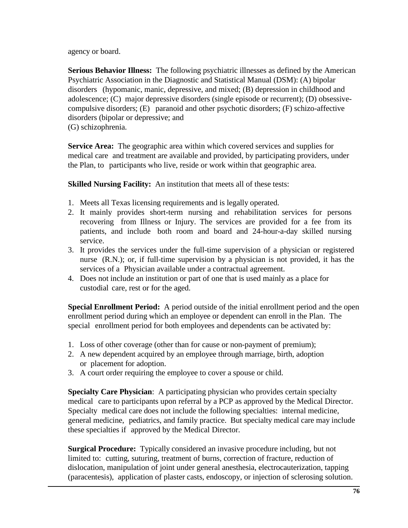agency or board.

**Serious Behavior Illness:** The following psychiatric illnesses as defined by the American Psychiatric Association in the Diagnostic and Statistical Manual (DSM): (A) bipolar disorders (hypomanic, manic, depressive, and mixed; (B) depression in childhood and adolescence; (C) major depressive disorders (single episode or recurrent); (D) obsessivecompulsive disorders; (E) paranoid and other psychotic disorders; (F) schizo-affective disorders (bipolar or depressive; and (G) schizophrenia.

**Service Area:** The geographic area within which covered services and supplies for medical care and treatment are available and provided, by participating providers, under the Plan, to participants who live, reside or work within that geographic area.

**Skilled Nursing Facility:** An institution that meets all of these tests:

- 1. Meets all Texas licensing requirements and is legally operated.
- 2. It mainly provides short-term nursing and rehabilitation services for persons recovering from Illness or Injury. The services are provided for a fee from its patients, and include both room and board and 24-hour-a-day skilled nursing service.
- 3. It provides the services under the full-time supervision of a physician or registered nurse (R.N.); or, if full-time supervision by a physician is not provided, it has the services of a Physician available under a contractual agreement.
- 4. Does not include an institution or part of one that is used mainly as a place for custodial care, rest or for the aged.

**Special Enrollment Period:** A period outside of the initial enrollment period and the open enrollment period during which an employee or dependent can enroll in the Plan. The special enrollment period for both employees and dependents can be activated by:

- 1. Loss of other coverage (other than for cause or non-payment of premium);
- 2. A new dependent acquired by an employee through marriage, birth, adoption or placement for adoption.
- 3. A court order requiring the employee to cover a spouse or child.

**Specialty Care Physician**: A participating physician who provides certain specialty medical care to participants upon referral by a PCP as approved by the Medical Director. Specialty medical care does not include the following specialties: internal medicine, general medicine, pediatrics, and family practice. But specialty medical care may include these specialties if approved by the Medical Director.

**Surgical Procedure:** Typically considered an invasive procedure including, but not limited to: cutting, suturing, treatment of burns, correction of fracture, reduction of dislocation, manipulation of joint under general anesthesia, electrocauterization, tapping (paracentesis), application of plaster casts, endoscopy, or injection of sclerosing solution.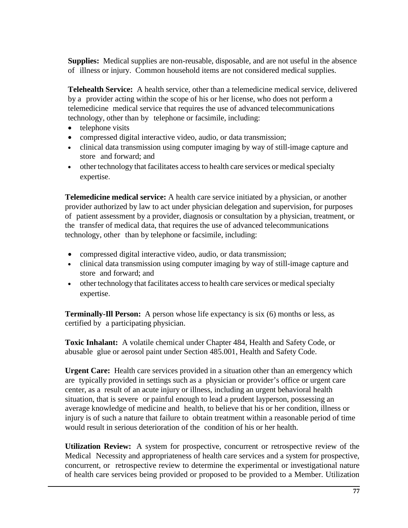**Supplies:** Medical supplies are non-reusable, disposable, and are not useful in the absence of illness or injury. Common household items are not considered medical supplies.

**Telehealth Service:** A health service, other than a telemedicine medical service, delivered by a provider acting within the scope of his or her license, who does not perform a telemedicine medical service that requires the use of advanced telecommunications technology, other than by telephone or facsimile, including:

- telephone visits
- compressed digital interactive video, audio, or data transmission;
- clinical data transmission using computer imaging by way of still-image capture and store and forward; and
- other technology that facilitates access to health care services or medical specialty expertise.

**Telemedicine medical service:** A health care service initiated by a physician, or another provider authorized by law to act under physician delegation and supervision, for purposes of patient assessment by a provider, diagnosis or consultation by a physician, treatment, or the transfer of medical data, that requires the use of advanced telecommunications technology, other than by telephone or facsimile, including:

- compressed digital interactive video, audio, or data transmission;
- clinical data transmission using computer imaging by way of still-image capture and store and forward; and
- other technology that facilitates access to health care services or medical specialty expertise.

**Terminally-Ill Person:** A person whose life expectancy is six (6) months or less, as certified by a participating physician.

**Toxic Inhalant:** A volatile chemical under Chapter 484, Health and Safety Code, or abusable glue or aerosol paint under Section 485.001, Health and Safety Code.

**Urgent Care:** Health care services provided in a situation other than an emergency which are typically provided in settings such as a physician or provider's office or urgent care center, as a result of an acute injury or illness, including an urgent behavioral health situation, that is severe or painful enough to lead a prudent layperson, possessing an average knowledge of medicine and health, to believe that his or her condition, illness or injury is of such a nature that failure to obtain treatment within a reasonable period of time would result in serious deterioration of the condition of his or her health.

**Utilization Review:** A system for prospective, concurrent or retrospective review of the Medical Necessity and appropriateness of health care services and a system for prospective, concurrent, or retrospective review to determine the experimental or investigational nature of health care services being provided or proposed to be provided to a Member. Utilization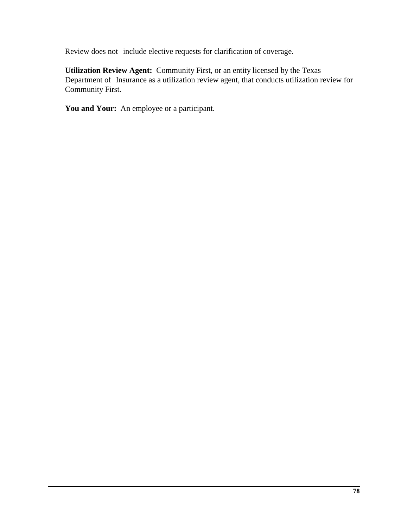Review does not include elective requests for clarification of coverage.

**Utilization Review Agent:** Community First, or an entity licensed by the Texas Department of Insurance as a utilization review agent, that conducts utilization review for Community First.

**You and Your:** An employee or a participant.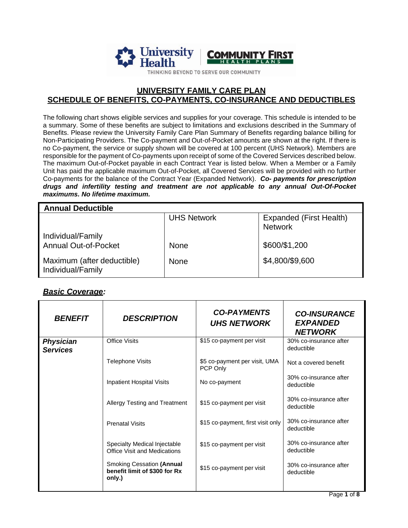

#### **UNIVERSITY FAMILY CARE PLAN SCHEDULE OF BENEFITS, CO-PAYMENTS, CO-INSURANCE AND DEDUCTIBLES**

The following chart shows eligible services and supplies for your coverage. This schedule is intended to be a summary. Some of these benefits are subject to limitations and exclusions described in the Summary of Benefits. Please review the University Family Care Plan Summary of Benefits regarding balance billing for Non-Participating Providers. The Co-payment and Out-of-Pocket amounts are shown at the right. If there is no Co-payment, the service or supply shown will be covered at 100 percent (UHS Network). Members are responsible for the payment of Co-payments upon receipt of some of the Covered Services described below. The maximum Out-of-Pocket payable in each Contract Year is listed below. When a Member or a Family Unit has paid the applicable maximum Out-of-Pocket, all Covered Services will be provided with no further Co-payments for the balance of the Contract Year (Expanded Network). *Co- payments for prescription drugs and infertility testing and treatment are not applicable to any annual Out-Of-Pocket maximums. No lifetime maximum.*

| <b>Annual Deductible</b>                         |                    |                                           |  |
|--------------------------------------------------|--------------------|-------------------------------------------|--|
|                                                  | <b>UHS Network</b> | Expanded (First Health)<br><b>Network</b> |  |
| Individual/Family<br><b>Annual Out-of-Pocket</b> | <b>None</b>        | \$600/\$1,200                             |  |
| Maximum (after deductible)<br>Individual/Family  | None               | \$4,800/\$9,600                           |  |

#### *Basic Coverage:*

| <i><b>BENEFIT</b></i>               | <b>DESCRIPTION</b>                                                          | <b>CO-PAYMENTS</b><br><b>UHS NETWORK</b>  | <b>CO-INSURANCE</b><br><b>EXPANDED</b><br><b>NETWORK</b> |
|-------------------------------------|-----------------------------------------------------------------------------|-------------------------------------------|----------------------------------------------------------|
| <b>Physician</b><br><b>Services</b> | <b>Office Visits</b>                                                        | \$15 co-payment per visit                 | 30% co-insurance after<br>deductible                     |
|                                     | <b>Telephone Visits</b>                                                     | \$5 co-payment per visit, UMA<br>PCP Only | Not a covered benefit                                    |
|                                     | <b>Inpatient Hospital Visits</b>                                            | No co-payment                             | 30% co-insurance after<br>deductible                     |
|                                     | Allergy Testing and Treatment                                               | \$15 co-payment per visit                 | 30% co-insurance after<br>deductible                     |
|                                     | <b>Prenatal Visits</b>                                                      | \$15 co-payment, first visit only         | 30% co-insurance after<br>deductible                     |
|                                     | Specialty Medical Injectable<br><b>Office Visit and Medications</b>         | \$15 co-payment per visit                 | 30% co-insurance after<br>deductible                     |
|                                     | <b>Smoking Cessation (Annual</b><br>benefit limit of \$300 for Rx<br>only.) | \$15 co-payment per visit                 | 30% co-insurance after<br>deductible                     |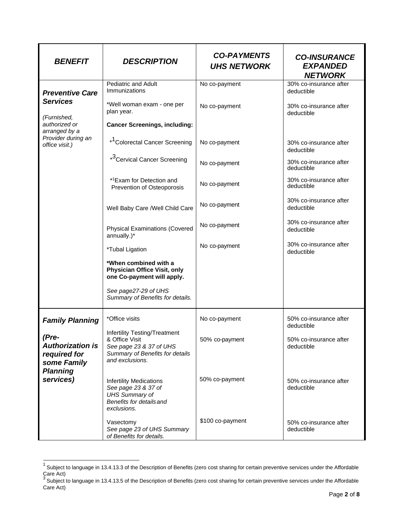| <b>BENEFIT</b>                                                                                  | <b>DESCRIPTION</b>                                                                                                               | <b>CO-PAYMENTS</b><br><b>UHS NETWORK</b> | <b>CO-INSURANCE</b><br><b>EXPANDED</b><br><b>NETWORK</b> |
|-------------------------------------------------------------------------------------------------|----------------------------------------------------------------------------------------------------------------------------------|------------------------------------------|----------------------------------------------------------|
| <b>Preventive Care</b>                                                                          | <b>Pediatric and Adult</b><br>Immunizations                                                                                      | No co-payment                            | 30% co-insurance after<br>deductible                     |
| <b>Services</b>                                                                                 | *Well woman exam - one per<br>plan year.                                                                                         | No co-payment                            | 30% co-insurance after<br>deductible                     |
| (Furnished,<br>authorized or<br>arranged by a                                                   | <b>Cancer Screenings, including:</b>                                                                                             |                                          |                                                          |
| Provider during an<br>office visit.)                                                            | * <sup>1</sup> Colorectal Cancer Screening                                                                                       | No co-payment                            | 30% co-insurance after<br>deductible                     |
|                                                                                                 | * <sup>3</sup> Cervical Cancer Screening                                                                                         | No co-payment                            | 30% co-insurance after<br>deductible                     |
|                                                                                                 | *1Exam for Detection and<br>Prevention of Osteoporosis                                                                           | No co-payment                            | 30% co-insurance after<br>deductible                     |
|                                                                                                 | Well Baby Care /Well Child Care                                                                                                  | No co-payment                            | 30% co-insurance after<br>deductible                     |
|                                                                                                 | <b>Physical Examinations (Covered</b><br>annually.)*                                                                             | No co-payment                            | 30% co-insurance after<br>deductible                     |
|                                                                                                 | *Tubal Ligation                                                                                                                  | No co-payment                            | 30% co-insurance after<br>deductible                     |
|                                                                                                 | *When combined with a<br>Physician Office Visit, only<br>one Co-payment will apply.                                              |                                          |                                                          |
|                                                                                                 | See page27-29 of UHS<br>Summary of Benefits for details.                                                                         |                                          |                                                          |
| <b>Family Planning</b>                                                                          | *Office visits                                                                                                                   | No co-payment                            | 50% co-insurance after<br>deductible                     |
| (Pre-<br><b>Authorization is</b><br>required for<br>some Family<br><b>Planning</b><br>services) | Infertility Testing/Treatment<br>& Office Visit<br>See page 23 & 37 of UHS<br>Summary of Benefits for details<br>and exclusions. | 50% co-payment                           | 50% co-insurance after<br>deductible                     |
|                                                                                                 | <b>Infertility Medications</b><br>See page 23 & 37 of<br><b>UHS Summary of</b><br>Benefits for details and<br>exclusions.        | 50% co-payment                           | 50% co-insurance after<br>deductible                     |
|                                                                                                 | Vasectomy<br>See page 23 of UHS Summary<br>of Benefits for details.                                                              | \$100 co-payment                         | 50% co-insurance after<br>deductible                     |

 $1$  Subject to language in 13.4.13.3 of the Description of Benefits (zero cost sharing for certain preventive services under the Affordable Care Act)<br><sup>3</sup> Subject to language in 13.4.13.5 of the Description of Benefits (zero cost sharing for certain preventive services under the Affordable

Care Act)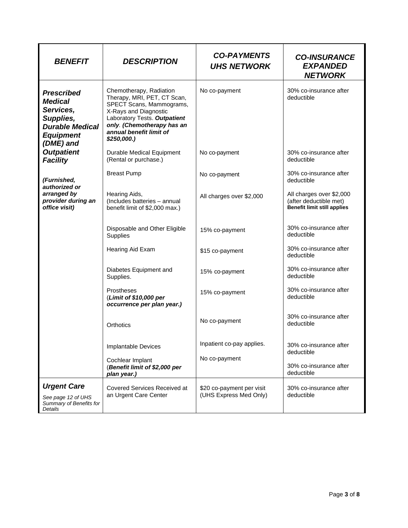| <b>BENEFIT</b>                                                                                                           | <b>DESCRIPTION</b>                                                                                                                                                                                                    | <b>CO-PAYMENTS</b><br><b>UHS NETWORK</b>            | <b>CO-INSURANCE</b><br><b>EXPANDED</b><br><b>NETWORK</b>                                 |
|--------------------------------------------------------------------------------------------------------------------------|-----------------------------------------------------------------------------------------------------------------------------------------------------------------------------------------------------------------------|-----------------------------------------------------|------------------------------------------------------------------------------------------|
| <b>Prescribed</b><br><b>Medical</b><br>Services,<br>Supplies,<br><b>Durable Medical</b><br><b>Equipment</b><br>(DME) and | Chemotherapy, Radiation<br>Therapy, MRI, PET, CT Scan,<br>SPECT Scans, Mammograms,<br>X-Rays and Diagnostic<br>Laboratory Tests. Outpatient<br>only. (Chemotherapy has an<br>annual benefit limit of<br>$$250,000.$ ) | No co-payment                                       | 30% co-insurance after<br>deductible                                                     |
| <b>Outpatient</b><br><b>Facility</b>                                                                                     | <b>Durable Medical Equipment</b><br>(Rental or purchase.)                                                                                                                                                             | No co-payment                                       | 30% co-insurance after<br>deductible                                                     |
| (Furnished,<br>authorized or                                                                                             | <b>Breast Pump</b>                                                                                                                                                                                                    | No co-payment                                       | 30% co-insurance after<br>deductible                                                     |
| arranged by<br>provider during an<br>office visit)                                                                       | Hearing Aids,<br>(Includes batteries - annual<br>benefit limit of \$2,000 max.)                                                                                                                                       | All charges over \$2,000                            | All charges over \$2,000<br>(after deductible met)<br><b>Benefit limit still applies</b> |
|                                                                                                                          | Disposable and Other Eligible<br>Supplies                                                                                                                                                                             | 15% co-payment                                      | 30% co-insurance after<br>deductible                                                     |
|                                                                                                                          | Hearing Aid Exam                                                                                                                                                                                                      | \$15 co-payment                                     | 30% co-insurance after<br>deductible                                                     |
|                                                                                                                          | Diabetes Equipment and<br>Supplies.                                                                                                                                                                                   | 15% co-payment                                      | 30% co-insurance after<br>deductible                                                     |
|                                                                                                                          | Prostheses<br>(Limit of \$10,000 per<br>occurrence per plan year.)                                                                                                                                                    | 15% co-payment                                      | 30% co-insurance after<br>deductible                                                     |
|                                                                                                                          | Orthotics                                                                                                                                                                                                             | No co-payment                                       | 30% co-insurance after<br>deductible                                                     |
|                                                                                                                          | Implantable Devices                                                                                                                                                                                                   | Inpatient co-pay applies.                           | 30% co-insurance after<br>deductible                                                     |
|                                                                                                                          | Cochlear Implant<br>(Benefit limit of \$2,000 per<br>plan year.)                                                                                                                                                      | No co-payment                                       | 30% co-insurance after<br>deductible                                                     |
| <b>Urgent Care</b><br>See page 12 of UHS<br>Summary of Benefits for<br>Details                                           | Covered Services Received at<br>an Urgent Care Center                                                                                                                                                                 | \$20 co-payment per visit<br>(UHS Express Med Only) | 30% co-insurance after<br>deductible                                                     |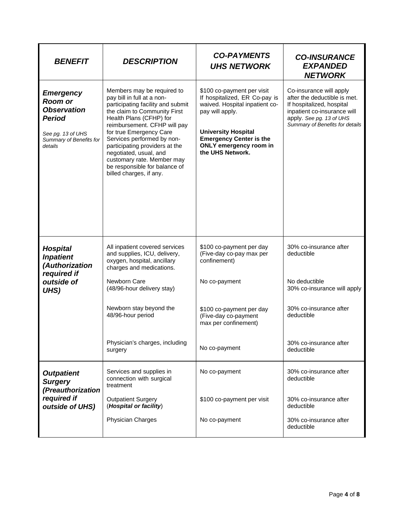| <b>BENEFIT</b>                                                                                                                       | <b>DESCRIPTION</b>                                                                                                                                                                                                                                                                                                                                                                                      | <b>CO-PAYMENTS</b><br><b>UHS NETWORK</b>                                                                                                                                                                                       | <b>CO-INSURANCE</b><br><b>EXPANDED</b><br><b>NETWORK</b>                                                                                                                           |
|--------------------------------------------------------------------------------------------------------------------------------------|---------------------------------------------------------------------------------------------------------------------------------------------------------------------------------------------------------------------------------------------------------------------------------------------------------------------------------------------------------------------------------------------------------|--------------------------------------------------------------------------------------------------------------------------------------------------------------------------------------------------------------------------------|------------------------------------------------------------------------------------------------------------------------------------------------------------------------------------|
| <b>Emergency</b><br><b>Room or</b><br><b>Observation</b><br><b>Period</b><br>See pg. 13 of UHS<br>Summary of Benefits for<br>details | Members may be required to<br>pay bill in full at a non-<br>participating facility and submit<br>the claim to Community First<br>Health Plans (CFHP) for<br>reimbursement. CFHP will pay<br>for true Emergency Care<br>Services performed by non-<br>participating providers at the<br>negotiated, usual, and<br>customary rate. Member may<br>be responsible for balance of<br>billed charges, if any. | \$100 co-payment per visit<br>If hospitalized, ER Co-pay is<br>waived. Hospital inpatient co-<br>pay will apply.<br><b>University Hospital</b><br><b>Emergency Center is the</b><br>ONLY emergency room in<br>the UHS Network. | Co-insurance will apply<br>after the deductible is met.<br>If hospitalized, hospital<br>inpatient co-insurance will<br>apply. See pg. 13 of UHS<br>Summary of Benefits for details |
| <b>Hospital</b><br><b>Inpatient</b><br>(Authorization<br>required if                                                                 | All inpatient covered services<br>and supplies, ICU, delivery,<br>oxygen, hospital, ancillary<br>charges and medications.                                                                                                                                                                                                                                                                               | \$100 co-payment per day<br>(Five-day co-pay max per<br>confinement)                                                                                                                                                           | 30% co-insurance after<br>deductible                                                                                                                                               |
| outside of<br>UHS)                                                                                                                   | Newborn Care<br>(48/96-hour delivery stay)                                                                                                                                                                                                                                                                                                                                                              | No co-payment                                                                                                                                                                                                                  | No deductible<br>30% co-insurance will apply                                                                                                                                       |
|                                                                                                                                      | Newborn stay beyond the<br>48/96-hour period                                                                                                                                                                                                                                                                                                                                                            | \$100 co-payment per day<br>(Five-day co-payment<br>max per confinement)                                                                                                                                                       | 30% co-insurance after<br>deductible                                                                                                                                               |
|                                                                                                                                      | Physician's charges, including<br>surgery                                                                                                                                                                                                                                                                                                                                                               | No co-payment                                                                                                                                                                                                                  | 30% co-insurance after<br>deductible                                                                                                                                               |
| <b>Outpatient</b><br><b>Surgery</b><br>(Preauthorization                                                                             | Services and supplies in<br>connection with surgical<br>treatment                                                                                                                                                                                                                                                                                                                                       | No co-payment                                                                                                                                                                                                                  | 30% co-insurance after<br>deductible                                                                                                                                               |
| required if<br>outside of UHS)                                                                                                       | <b>Outpatient Surgery</b><br>(Hospital or facility)                                                                                                                                                                                                                                                                                                                                                     | \$100 co-payment per visit                                                                                                                                                                                                     | 30% co-insurance after<br>deductible                                                                                                                                               |
|                                                                                                                                      | Physician Charges                                                                                                                                                                                                                                                                                                                                                                                       | No co-payment                                                                                                                                                                                                                  | 30% co-insurance after<br>deductible                                                                                                                                               |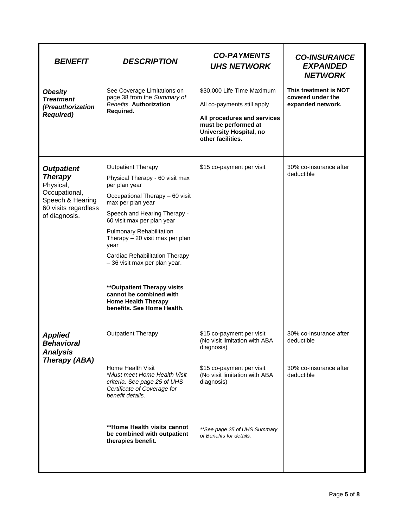| <b>BENEFIT</b>                                                                                                                 | <b>DESCRIPTION</b>                                                                                                                                                                                                                                                                                                                                                                                                                                                                      | <b>CO-PAYMENTS</b><br><b>UHS NETWORK</b>                                                                                                                                                                         | <b>CO-INSURANCE</b><br><b>EXPANDED</b><br><b>NETWORK</b>                     |
|--------------------------------------------------------------------------------------------------------------------------------|-----------------------------------------------------------------------------------------------------------------------------------------------------------------------------------------------------------------------------------------------------------------------------------------------------------------------------------------------------------------------------------------------------------------------------------------------------------------------------------------|------------------------------------------------------------------------------------------------------------------------------------------------------------------------------------------------------------------|------------------------------------------------------------------------------|
| <b>Obesity</b><br><b>Treatment</b><br>(Preauthorization<br><b>Required)</b>                                                    | See Coverage Limitations on<br>page 38 from the Summary of<br><b>Benefits. Authorization</b><br>Required.                                                                                                                                                                                                                                                                                                                                                                               | \$30,000 Life Time Maximum<br>All co-payments still apply<br>All procedures and services<br>must be performed at<br><b>University Hospital, no</b><br>other facilities.                                          | This treatment is NOT<br>covered under the<br>expanded network.              |
| <b>Outpatient</b><br><b>Therapy</b><br>Physical,<br>Occupational,<br>Speech & Hearing<br>60 visits regardless<br>of diagnosis. | <b>Outpatient Therapy</b><br>Physical Therapy - 60 visit max<br>per plan year<br>Occupational Therapy - 60 visit<br>max per plan year<br>Speech and Hearing Therapy -<br>60 visit max per plan year<br><b>Pulmonary Rehabilitation</b><br>Therapy - 20 visit max per plan<br>year<br><b>Cardiac Rehabilitation Therapy</b><br>-36 visit max per plan year.<br><b>**Outpatient Therapy visits</b><br>cannot be combined with<br><b>Home Health Therapy</b><br>benefits. See Home Health. | \$15 co-payment per visit                                                                                                                                                                                        | 30% co-insurance after<br>deductible                                         |
| <b>Applied</b><br><b>Benavioral</b><br><b>Analysis</b><br>Therapy (ABA)                                                        | <b>Outpatient Therapy</b><br>Home Health Visit<br>*Must meet Home Health Visit<br>criteria. See page 25 of UHS<br>Certificate of Coverage for<br>benefit details.<br>**Home Health visits cannot<br>be combined with outpatient<br>therapies benefit.                                                                                                                                                                                                                                   | \$15 co-payment per visit<br>(No visit limitation with ABA<br>diagnosis)<br>\$15 co-payment per visit<br>(No visit limitation with ABA<br>diagnosis)<br>**See page 25 of UHS Summary<br>of Benefits for details. | 30% co-insurance after<br>deductible<br>30% co-insurance after<br>deductible |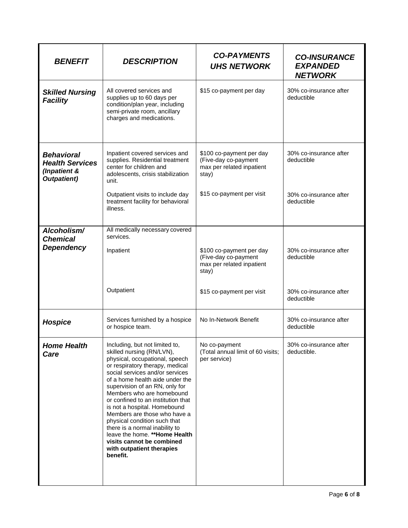| <b>BENEFIT</b>                                                                    | <b>DESCRIPTION</b>                                                                                                                                                                                                                                                                                                                                                                                                                                                                                                                                    | <b>CO-PAYMENTS</b><br><b>UHS NETWORK</b>                                               | <b>CO-INSURANCE</b><br><b>EXPANDED</b><br><b>NETWORK</b> |
|-----------------------------------------------------------------------------------|-------------------------------------------------------------------------------------------------------------------------------------------------------------------------------------------------------------------------------------------------------------------------------------------------------------------------------------------------------------------------------------------------------------------------------------------------------------------------------------------------------------------------------------------------------|----------------------------------------------------------------------------------------|----------------------------------------------------------|
| <b>Skilled Nursing</b><br><b>Facility</b>                                         | All covered services and<br>supplies up to 60 days per<br>condition/plan year, including<br>semi-private room, ancillary<br>charges and medications.                                                                                                                                                                                                                                                                                                                                                                                                  | \$15 co-payment per day                                                                | 30% co-insurance after<br>deductible                     |
| <b>Behavioral</b><br><b>Health Services</b><br>(Inpatient &<br><b>Outpatient)</b> | Inpatient covered services and<br>supplies. Residential treatment<br>center for children and<br>adolescents, crisis stabilization<br>unit.                                                                                                                                                                                                                                                                                                                                                                                                            | \$100 co-payment per day<br>(Five-day co-payment<br>max per related inpatient<br>stay) | 30% co-insurance after<br>deductible                     |
|                                                                                   | Outpatient visits to include day<br>treatment facility for behavioral<br>illness.                                                                                                                                                                                                                                                                                                                                                                                                                                                                     | \$15 co-payment per visit                                                              | 30% co-insurance after<br>deductible                     |
| Alcoholism/<br><b>Chemical</b>                                                    | All medically necessary covered<br>services.                                                                                                                                                                                                                                                                                                                                                                                                                                                                                                          |                                                                                        |                                                          |
| <b>Dependency</b>                                                                 | Inpatient                                                                                                                                                                                                                                                                                                                                                                                                                                                                                                                                             | \$100 co-payment per day<br>(Five-day co-payment<br>max per related inpatient<br>stay) | 30% co-insurance after<br>deductible                     |
|                                                                                   | Outpatient                                                                                                                                                                                                                                                                                                                                                                                                                                                                                                                                            | \$15 co-payment per visit                                                              | 30% co-insurance after<br>deductible                     |
| <b>Hospice</b>                                                                    | Services furnished by a hospice<br>or hospice team.                                                                                                                                                                                                                                                                                                                                                                                                                                                                                                   | No In-Network Benefit                                                                  | 30% co-insurance after<br>deductible                     |
| <b>Home Health</b><br>Care                                                        | Including, but not limited to,<br>skilled nursing (RN/LVN),<br>physical, occupational, speech<br>or respiratory therapy, medical<br>social services and/or services<br>of a home health aide under the<br>supervision of an RN, only for<br>Members who are homebound<br>or confined to an institution that<br>is not a hospital. Homebound<br>Members are those who have a<br>physical condition such that<br>there is a normal inability to<br>leave the home. ** Home Health<br>visits cannot be combined<br>with outpatient therapies<br>benefit. | No co-payment<br>(Total annual limit of 60 visits;<br>per service)                     | 30% co-insurance after<br>deductible.                    |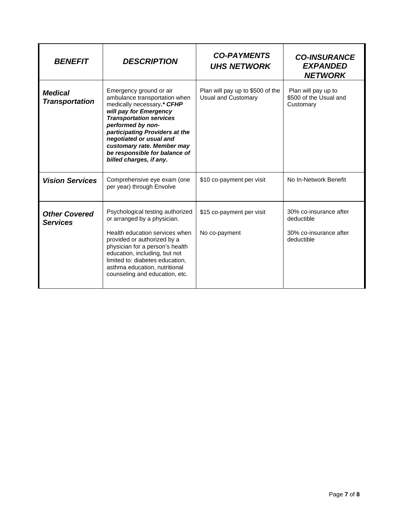| <b>BENEFIT</b>                          | <b>DESCRIPTION</b>                                                                                                                                                                                                                                                                                                             | <b>CO-PAYMENTS</b><br><b>UHS NETWORK</b>                       | <b>CO-INSURANCE</b><br><b>EXPANDED</b><br><b>NETWORK</b>                     |
|-----------------------------------------|--------------------------------------------------------------------------------------------------------------------------------------------------------------------------------------------------------------------------------------------------------------------------------------------------------------------------------|----------------------------------------------------------------|------------------------------------------------------------------------------|
| <b>Medical</b><br>Transportation        | Emergency ground or air<br>ambulance transportation when<br>medically necessary.* CFHP<br>will pay for Emergency<br><b>Transportation services</b><br>performed by non-<br>participating Providers at the<br>negotiated or usual and<br>customary rate. Member may<br>be responsible for balance of<br>billed charges, if any. | Plan will pay up to \$500 of the<br><b>Usual and Customary</b> | Plan will pay up to<br>\$500 of the Usual and<br>Customary                   |
| <b>Vision Services</b>                  | Comprehensive eye exam (one<br>per year) through Envolve                                                                                                                                                                                                                                                                       | \$10 co-payment per visit                                      | No In-Network Benefit                                                        |
| <b>Other Covered</b><br><b>Services</b> | Psychological testing authorized<br>or arranged by a physician.<br>Health education services when<br>provided or authorized by a<br>physician for a person's health<br>education, including, but not<br>limited to: diabetes education,<br>asthma education, nutritional<br>counseling and education, etc.                     | \$15 co-payment per visit<br>No co-payment                     | 30% co-insurance after<br>deductible<br>30% co-insurance after<br>deductible |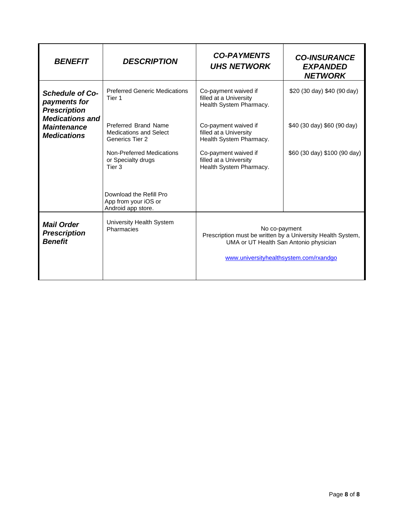| <b>BENEFIT</b>                                                     | <b>DESCRIPTION</b>                                                       | <b>CO-PAYMENTS</b><br><b>UHS NETWORK</b>                                                                                                                         | <b>CO-INSURANCE</b><br><b>EXPANDED</b><br><b>NETWORK</b> |
|--------------------------------------------------------------------|--------------------------------------------------------------------------|------------------------------------------------------------------------------------------------------------------------------------------------------------------|----------------------------------------------------------|
| <b>Schedule of Co-</b><br>payments for<br><b>Prescription</b>      | <b>Preferred Generic Medications</b><br>Tier 1                           | Co-payment waived if<br>filled at a University<br>Health System Pharmacy.                                                                                        | \$20 (30 day) \$40 (90 day)                              |
| <b>Medications and</b><br><b>Maintenance</b><br><b>Medications</b> | Preferred Brand Name<br><b>Medications and Select</b><br>Generics Tier 2 | Co-payment waived if<br>filled at a University<br>Health System Pharmacy.                                                                                        | \$40 (30 day) \$60 (90 day)                              |
|                                                                    | Non-Preferred Medications<br>or Specialty drugs<br>Tier <sub>3</sub>     | Co-payment waived if<br>filled at a University<br>Health System Pharmacy.                                                                                        | \$60 (30 day) \$100 (90 day)                             |
|                                                                    | Download the Refill Pro<br>App from your iOS or<br>Android app store.    |                                                                                                                                                                  |                                                          |
| <b>Mail Order</b><br><b>Prescription</b><br><b>Benefit</b>         | University Health System<br>Pharmacies                                   | No co-payment<br>Prescription must be written by a University Health System,<br>UMA or UT Health San Antonio physician<br>www.universityhealthsystem.com/rxandgo |                                                          |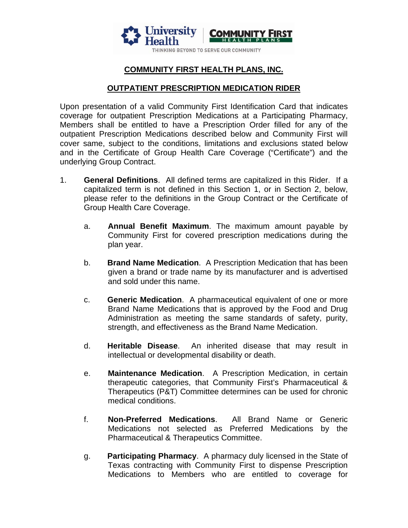

# **COMMUNITY FIRST HEALTH PLANS, INC.**

#### **OUTPATIENT PRESCRIPTION MEDICATION RIDER**

Upon presentation of a valid Community First Identification Card that indicates coverage for outpatient Prescription Medications at a Participating Pharmacy, Members shall be entitled to have a Prescription Order filled for any of the outpatient Prescription Medications described below and Community First will cover same, subject to the conditions, limitations and exclusions stated below and in the Certificate of Group Health Care Coverage ("Certificate") and the underlying Group Contract.

- 1. **General Definitions**. All defined terms are capitalized in this Rider. If a capitalized term is not defined in this Section 1, or in Section 2, below, please refer to the definitions in the Group Contract or the Certificate of Group Health Care Coverage.
	- a. **Annual Benefit Maximum**. The maximum amount payable by Community First for covered prescription medications during the plan year.
	- b. **Brand Name Medication**. A Prescription Medication that has been given a brand or trade name by its manufacturer and is advertised and sold under this name.
	- c. **Generic Medication**. A pharmaceutical equivalent of one or more Brand Name Medications that is approved by the Food and Drug Administration as meeting the same standards of safety, purity, strength, and effectiveness as the Brand Name Medication.
	- d. **Heritable Disease**. An inherited disease that may result in intellectual or developmental disability or death.
	- e. **Maintenance Medication**. A Prescription Medication, in certain therapeutic categories, that Community First's Pharmaceutical & Therapeutics (P&T) Committee determines can be used for chronic medical conditions.
	- f. **Non-Preferred Medications**. All Brand Name or Generic Medications not selected as Preferred Medications by the Pharmaceutical & Therapeutics Committee.
	- g. **Participating Pharmacy**. A pharmacy duly licensed in the State of Texas contracting with Community First to dispense Prescription Medications to Members who are entitled to coverage for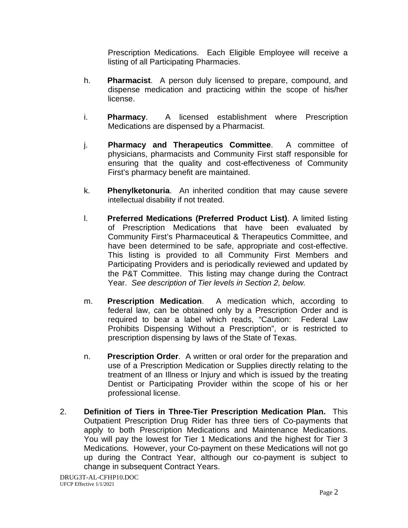Prescription Medications. Each Eligible Employee will receive a listing of all Participating Pharmacies.

- h. **Pharmacist**. A person duly licensed to prepare, compound, and dispense medication and practicing within the scope of his/her license.
- i. **Pharmacy**. A licensed establishment where Prescription Medications are dispensed by a Pharmacist.
- j. **Pharmacy and Therapeutics Committee**. A committee of physicians, pharmacists and Community First staff responsible for ensuring that the quality and cost-effectiveness of Community First's pharmacy benefit are maintained.
- k. **Phenylketonuria**. An inherited condition that may cause severe intellectual disability if not treated.
- l. **Preferred Medications (Preferred Product List)**. A limited listing of Prescription Medications that have been evaluated by Community First's Pharmaceutical & Therapeutics Committee, and have been determined to be safe, appropriate and cost-effective. This listing is provided to all Community First Members and Participating Providers and is periodically reviewed and updated by the P&T Committee. This listing may change during the Contract Year. *See description of Tier levels in Section 2, below.*
- m. **Prescription Medication**. A medication which, according to federal law, can be obtained only by a Prescription Order and is required to bear a label which reads, "Caution: Federal Law Prohibits Dispensing Without a Prescription", or is restricted to prescription dispensing by laws of the State of Texas.
- n. **Prescription Order**. A written or oral order for the preparation and use of a Prescription Medication or Supplies directly relating to the treatment of an Illness or Injury and which is issued by the treating Dentist or Participating Provider within the scope of his or her professional license.
- 2. **Definition of Tiers in Three-Tier Prescription Medication Plan.** This Outpatient Prescription Drug Rider has three tiers of Co-payments that apply to both Prescription Medications and Maintenance Medications. You will pay the lowest for Tier 1 Medications and the highest for Tier 3 Medications. However, your Co-payment on these Medications will not go up during the Contract Year, although our co-payment is subject to change in subsequent Contract Years.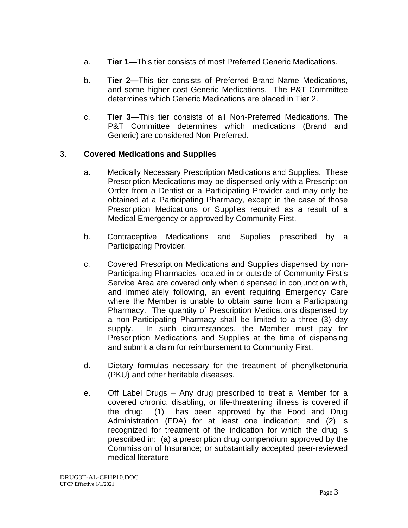- a. **Tier 1—**This tier consists of most Preferred Generic Medications.
- b. **Tier 2—**This tier consists of Preferred Brand Name Medications, and some higher cost Generic Medications. The P&T Committee determines which Generic Medications are placed in Tier 2.
- c. **Tier 3—**This tier consists of all Non-Preferred Medications. The P&T Committee determines which medications (Brand and Generic) are considered Non-Preferred.

## 3. **Covered Medications and Supplies**

- a. Medically Necessary Prescription Medications and Supplies. These Prescription Medications may be dispensed only with a Prescription Order from a Dentist or a Participating Provider and may only be obtained at a Participating Pharmacy, except in the case of those Prescription Medications or Supplies required as a result of a Medical Emergency or approved by Community First.
- b. Contraceptive Medications and Supplies prescribed by a Participating Provider.
- c. Covered Prescription Medications and Supplies dispensed by non-Participating Pharmacies located in or outside of Community First's Service Area are covered only when dispensed in conjunction with, and immediately following, an event requiring Emergency Care where the Member is unable to obtain same from a Participating Pharmacy. The quantity of Prescription Medications dispensed by a non-Participating Pharmacy shall be limited to a three (3) day supply. In such circumstances, the Member must pay for Prescription Medications and Supplies at the time of dispensing and submit a claim for reimbursement to Community First.
- d. Dietary formulas necessary for the treatment of phenylketonuria (PKU) and other heritable diseases.
- e. Off Label Drugs Any drug prescribed to treat a Member for a covered chronic, disabling, or life-threatening illness is covered if the drug: (1) has been approved by the Food and Drug Administration (FDA) for at least one indication; and (2) is recognized for treatment of the indication for which the drug is prescribed in: (a) a prescription drug compendium approved by the Commission of Insurance; or substantially accepted peer-reviewed medical literature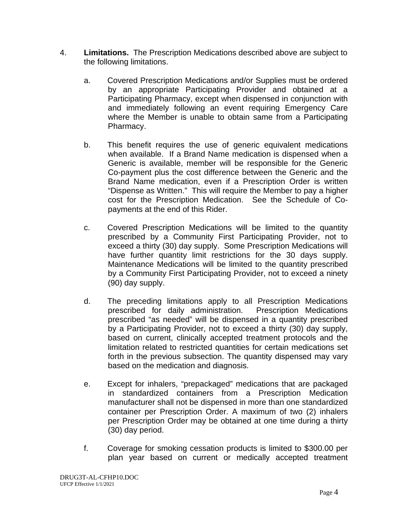- 4. **Limitations.** The Prescription Medications described above are subject to the following limitations.
	- a. Covered Prescription Medications and/or Supplies must be ordered by an appropriate Participating Provider and obtained at a Participating Pharmacy, except when dispensed in conjunction with and immediately following an event requiring Emergency Care where the Member is unable to obtain same from a Participating Pharmacy.
	- b. This benefit requires the use of generic equivalent medications when available. If a Brand Name medication is dispensed when a Generic is available, member will be responsible for the Generic Co-payment plus the cost difference between the Generic and the Brand Name medication, even if a Prescription Order is written "Dispense as Written." This will require the Member to pay a higher cost for the Prescription Medication. See the Schedule of Copayments at the end of this Rider.
	- c. Covered Prescription Medications will be limited to the quantity prescribed by a Community First Participating Provider, not to exceed a thirty (30) day supply. Some Prescription Medications will have further quantity limit restrictions for the 30 days supply. Maintenance Medications will be limited to the quantity prescribed by a Community First Participating Provider, not to exceed a ninety (90) day supply.
	- d. The preceding limitations apply to all Prescription Medications prescribed for daily administration. Prescription Medications prescribed "as needed" will be dispensed in a quantity prescribed by a Participating Provider, not to exceed a thirty (30) day supply, based on current, clinically accepted treatment protocols and the limitation related to restricted quantities for certain medications set forth in the previous subsection. The quantity dispensed may vary based on the medication and diagnosis.
	- e. Except for inhalers, "prepackaged" medications that are packaged in standardized containers from a Prescription Medication manufacturer shall not be dispensed in more than one standardized container per Prescription Order. A maximum of two (2) inhalers per Prescription Order may be obtained at one time during a thirty (30) day period.
	- f. Coverage for smoking cessation products is limited to \$300.00 per plan year based on current or medically accepted treatment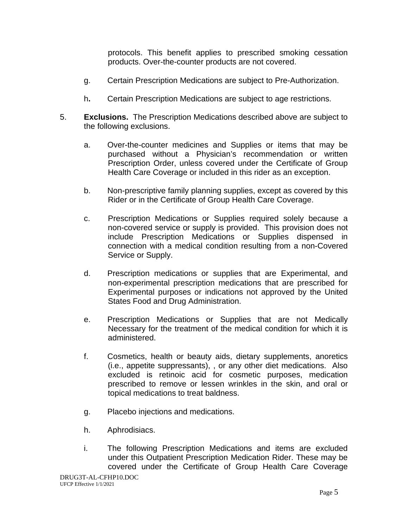protocols. This benefit applies to prescribed smoking cessation products. Over-the-counter products are not covered.

- g. Certain Prescription Medications are subject to Pre-Authorization.
- h**.** Certain Prescription Medications are subject to age restrictions.
- 5. **Exclusions.** The Prescription Medications described above are subject to the following exclusions.
	- a. Over-the-counter medicines and Supplies or items that may be purchased without a Physician's recommendation or written Prescription Order, unless covered under the Certificate of Group Health Care Coverage or included in this rider as an exception.
	- b. Non-prescriptive family planning supplies, except as covered by this Rider or in the Certificate of Group Health Care Coverage.
	- c. Prescription Medications or Supplies required solely because a non-covered service or supply is provided. This provision does not include Prescription Medications or Supplies dispensed in connection with a medical condition resulting from a non-Covered Service or Supply.
	- d. Prescription medications or supplies that are Experimental, and non-experimental prescription medications that are prescribed for Experimental purposes or indications not approved by the United States Food and Drug Administration.
	- e. Prescription Medications or Supplies that are not Medically Necessary for the treatment of the medical condition for which it is administered.
	- f. Cosmetics, health or beauty aids, dietary supplements, anoretics (i.e., appetite suppressants), , or any other diet medications. Also excluded is retinoic acid for cosmetic purposes, medication prescribed to remove or lessen wrinkles in the skin, and oral or topical medications to treat baldness.
	- g. Placebo injections and medications.
	- h. Aphrodisiacs.
	- i. The following Prescription Medications and items are excluded under this Outpatient Prescription Medication Rider. These may be covered under the Certificate of Group Health Care Coverage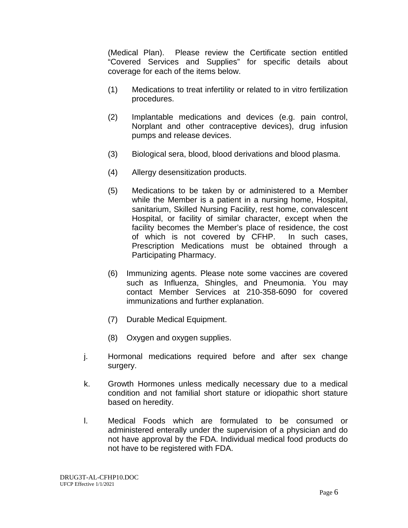(Medical Plan). Please review the Certificate section entitled "Covered Services and Supplies" for specific details about coverage for each of the items below.

- (1) Medications to treat infertility or related to in vitro fertilization procedures.
- (2) Implantable medications and devices (e.g. pain control, Norplant and other contraceptive devices), drug infusion pumps and release devices.
- (3) Biological sera, blood, blood derivations and blood plasma.
- (4) Allergy desensitization products.
- (5) Medications to be taken by or administered to a Member while the Member is a patient in a nursing home, Hospital, sanitarium, Skilled Nursing Facility, rest home, convalescent Hospital, or facility of similar character, except when the facility becomes the Member's place of residence, the cost of which is not covered by CFHP. In such cases, Prescription Medications must be obtained through a Participating Pharmacy.
- (6) Immunizing agents. Please note some vaccines are covered such as Influenza, Shingles, and Pneumonia. You may contact Member Services at 210-358-6090 for covered immunizations and further explanation.
- (7) Durable Medical Equipment.
- (8) Oxygen and oxygen supplies.
- j. Hormonal medications required before and after sex change surgery.
- k. Growth Hormones unless medically necessary due to a medical condition and not familial short stature or idiopathic short stature based on heredity.
- l. Medical Foods which are formulated to be consumed or administered enterally under the supervision of a physician and do not have approval by the FDA. Individual medical food products do not have to be registered with FDA.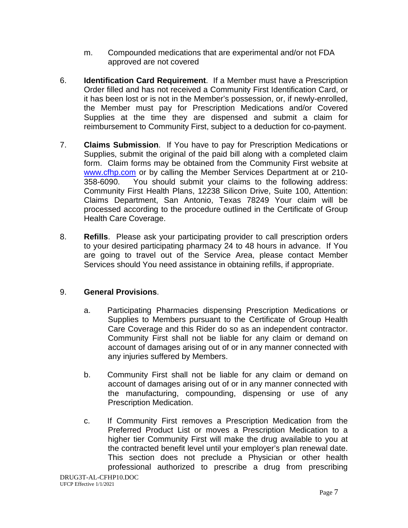- m. Compounded medications that are experimental and/or not FDA approved are not covered
- 6. **Identification Card Requirement**. If a Member must have a Prescription Order filled and has not received a Community First Identification Card, or it has been lost or is not in the Member's possession, or, if newly-enrolled, the Member must pay for Prescription Medications and/or Covered Supplies at the time they are dispensed and submit a claim for reimbursement to Community First, subject to a deduction for co-payment.
- 7. **Claims Submission**. If You have to pay for Prescription Medications or Supplies, submit the original of the paid bill along with a completed claim form. Claim forms may be obtained from the Community First website at [www.cfhp.com](http://www.cfhp.com/) or by calling the Member Services Department at or 210- 358-6090. You should submit your claims to the following address: Community First Health Plans, 12238 Silicon Drive, Suite 100, Attention: Claims Department, San Antonio, Texas 78249 Your claim will be processed according to the procedure outlined in the Certificate of Group Health Care Coverage.
- 8. **Refills**. Please ask your participating provider to call prescription orders to your desired participating pharmacy 24 to 48 hours in advance. If You are going to travel out of the Service Area, please contact Member Services should You need assistance in obtaining refills, if appropriate.

## 9. **General Provisions**.

- a. Participating Pharmacies dispensing Prescription Medications or Supplies to Members pursuant to the Certificate of Group Health Care Coverage and this Rider do so as an independent contractor. Community First shall not be liable for any claim or demand on account of damages arising out of or in any manner connected with any injuries suffered by Members.
- b. Community First shall not be liable for any claim or demand on account of damages arising out of or in any manner connected with the manufacturing, compounding, dispensing or use of any Prescription Medication.
- c. If Community First removes a Prescription Medication from the Preferred Product List or moves a Prescription Medication to a higher tier Community First will make the drug available to you at the contracted benefit level until your employer's plan renewal date. This section does not preclude a Physician or other health professional authorized to prescribe a drug from prescribing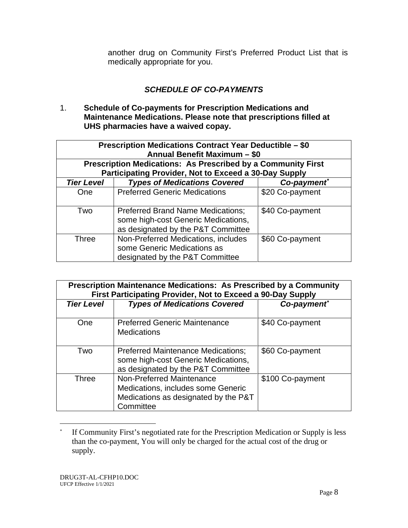another drug on Community First's Preferred Product List that is medically appropriate for you.

# *SCHEDULE OF CO-PAYMENTS*

1. **Schedule of Co-payments for Prescription Medications and Maintenance Medications. Please note that prescriptions filled at UHS pharmacies have a waived copay.**

| Prescription Medications Contract Year Deductible - \$0<br>Annual Benefit Maximum - \$0<br><b>Prescription Medications: As Prescribed by a Community First</b> |                                                                                                                       |                 |  |
|----------------------------------------------------------------------------------------------------------------------------------------------------------------|-----------------------------------------------------------------------------------------------------------------------|-----------------|--|
|                                                                                                                                                                | Participating Provider, Not to Exceed a 30-Day Supply                                                                 |                 |  |
| <b>Tier Level</b>                                                                                                                                              | <b>Types of Medications Covered</b>                                                                                   | Co-payment*     |  |
| One                                                                                                                                                            | <b>Preferred Generic Medications</b>                                                                                  | \$20 Co-payment |  |
| Two                                                                                                                                                            | <b>Preferred Brand Name Medications;</b><br>some high-cost Generic Medications,<br>as designated by the P&T Committee | \$40 Co-payment |  |
| <b>Three</b>                                                                                                                                                   | Non-Preferred Medications, includes<br>some Generic Medications as<br>designated by the P&T Committee                 | \$60 Co-payment |  |

| Prescription Maintenance Medications: As Prescribed by a Community<br>First Participating Provider, Not to Exceed a 90-Day Supply |                                                                                                                        |                  |  |
|-----------------------------------------------------------------------------------------------------------------------------------|------------------------------------------------------------------------------------------------------------------------|------------------|--|
| <b>Tier Level</b>                                                                                                                 | <b>Types of Medications Covered</b>                                                                                    | Co-payment*      |  |
| One                                                                                                                               | <b>Preferred Generic Maintenance</b><br><b>Medications</b>                                                             | \$40 Co-payment  |  |
| Two                                                                                                                               | <b>Preferred Maintenance Medications:</b><br>some high-cost Generic Medications,<br>as designated by the P&T Committee | \$60 Co-payment  |  |
| <b>Three</b>                                                                                                                      | Non-Preferred Maintenance<br>Medications, includes some Generic<br>Medications as designated by the P&T<br>Committee   | \$100 Co-payment |  |

<span id="page-98-1"></span><span id="page-98-0"></span><sup>\*</sup> If Community First's negotiated rate for the Prescription Medication or Supply is less than the co-payment, You will only be charged for the actual cost of the drug or supply.